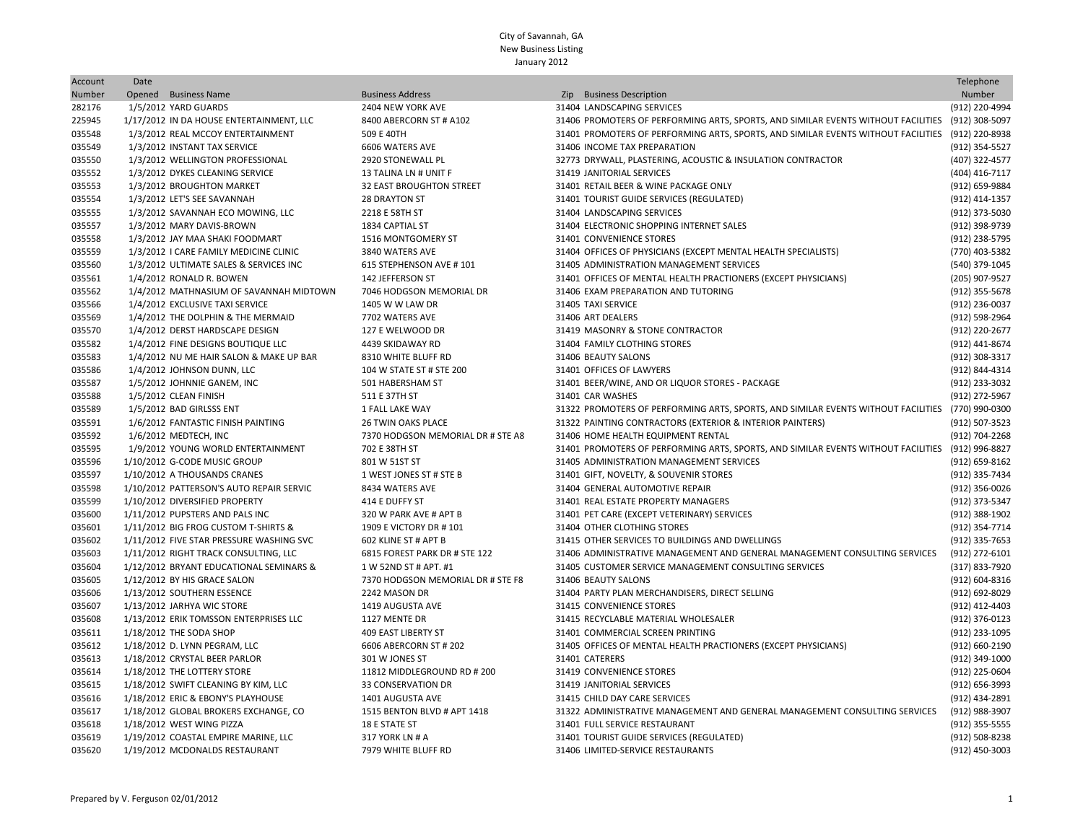| Account          | Date |                                                                   |                                        |                                                                                   | Telephone                        |
|------------------|------|-------------------------------------------------------------------|----------------------------------------|-----------------------------------------------------------------------------------|----------------------------------|
| Number           |      | Opened Business Name                                              | <b>Business Address</b>                | Zip Business Description                                                          | Number                           |
| 282176           |      | 1/5/2012 YARD GUARDS                                              | 2404 NEW YORK AVE                      | 31404 LANDSCAPING SERVICES                                                        | (912) 220-4994                   |
| 225945           |      | 1/17/2012 IN DA HOUSE ENTERTAINMENT, LLC                          | 8400 ABERCORN ST # A102                | 31406 PROMOTERS OF PERFORMING ARTS, SPORTS, AND SIMILAR EVENTS WITHOUT FACILITIES | (912) 308-5097                   |
| 035548           |      | 1/3/2012 REAL MCCOY ENTERTAINMENT                                 | 509 E 40TH                             | 31401 PROMOTERS OF PERFORMING ARTS, SPORTS, AND SIMILAR EVENTS WITHOUT FACILITIES | (912) 220-8938                   |
| 035549           |      | 1/3/2012 INSTANT TAX SERVICE                                      | 6606 WATERS AVE                        | 31406 INCOME TAX PREPARATION                                                      | (912) 354-5527                   |
| 035550           |      | 1/3/2012 WELLINGTON PROFESSIONAL                                  | 2920 STONEWALL PL                      | 32773 DRYWALL, PLASTERING, ACOUSTIC & INSULATION CONTRACTOR                       | (407) 322-4577                   |
| 035552           |      | 1/3/2012 DYKES CLEANING SERVICE                                   | 13 TALINA LN # UNIT F                  | 31419 JANITORIAL SERVICES                                                         | (404) 416-7117                   |
| 035553           |      | 1/3/2012 BROUGHTON MARKET                                         | <b>32 EAST BROUGHTON STREET</b>        | 31401 RETAIL BEER & WINE PACKAGE ONLY                                             | (912) 659-9884                   |
| 035554           |      | 1/3/2012 LET'S SEE SAVANNAH                                       | <b>28 DRAYTON ST</b>                   | 31401 TOURIST GUIDE SERVICES (REGULATED)                                          | (912) 414-1357                   |
| 035555           |      | 1/3/2012 SAVANNAH ECO MOWING, LLC                                 | 2218 E 58TH ST                         | 31404 LANDSCAPING SERVICES                                                        | (912) 373-5030                   |
| 035557           |      | 1/3/2012 MARY DAVIS-BROWN                                         | 1834 CAPTIAL ST                        | 31404 ELECTRONIC SHOPPING INTERNET SALES                                          | (912) 398-9739                   |
| 035558           |      | 1/3/2012 JAY MAA SHAKI FOODMART                                   | 1516 MONTGOMERY ST                     | 31401 CONVENIENCE STORES                                                          | (912) 238-5795                   |
| 035559           |      | 1/3/2012 I CARE FAMILY MEDICINE CLINIC                            | 3840 WATERS AVE                        | 31404 OFFICES OF PHYSICIANS (EXCEPT MENTAL HEALTH SPECIALISTS)                    | (770) 403-5382                   |
| 035560           |      | 1/3/2012 ULTIMATE SALES & SERVICES INC                            | 615 STEPHENSON AVE #101                | 31405 ADMINISTRATION MANAGEMENT SERVICES                                          | (540) 379-1045                   |
| 035561           |      | 1/4/2012 RONALD R. BOWEN                                          | 142 JEFFERSON ST                       | 31401 OFFICES OF MENTAL HEALTH PRACTIONERS (EXCEPT PHYSICIANS)                    | (205) 907-9527                   |
| 035562           |      | 1/4/2012 MATHNASIUM OF SAVANNAH MIDTOWN                           | 7046 HODGSON MEMORIAL DR               | 31406 EXAM PREPARATION AND TUTORING                                               | (912) 355-5678                   |
| 035566           |      | 1/4/2012 EXCLUSIVE TAXI SERVICE                                   | 1405 W W LAW DR                        | 31405 TAXI SERVICE                                                                | (912) 236-0037                   |
| 035569           |      | 1/4/2012 THE DOLPHIN & THE MERMAID                                | 7702 WATERS AVE                        | 31406 ART DEALERS                                                                 | (912) 598-2964                   |
| 035570           |      | 1/4/2012 DERST HARDSCAPE DESIGN                                   | 127 E WELWOOD DR                       | 31419 MASONRY & STONE CONTRACTOR                                                  | (912) 220-2677                   |
| 035582           |      | 1/4/2012 FINE DESIGNS BOUTIQUE LLC                                | 4439 SKIDAWAY RD                       | 31404 FAMILY CLOTHING STORES                                                      | (912) 441-8674                   |
| 035583           |      | 1/4/2012 NU ME HAIR SALON & MAKE UP BAR                           | 8310 WHITE BLUFF RD                    | 31406 BEAUTY SALONS                                                               | (912) 308-3317                   |
| 035586           |      | 1/4/2012 JOHNSON DUNN, LLC                                        | 104 W STATE ST # STE 200               | 31401 OFFICES OF LAWYERS                                                          | (912) 844-4314                   |
| 035587           |      | 1/5/2012 JOHNNIE GANEM, INC                                       | 501 HABERSHAM ST                       | 31401 BEER/WINE, AND OR LIQUOR STORES - PACKAGE                                   | (912) 233-3032                   |
| 035588           |      | 1/5/2012 CLEAN FINISH                                             | 511 E 37TH ST                          | 31401 CAR WASHES                                                                  | (912) 272-5967                   |
| 035589           |      | 1/5/2012 BAD GIRLSSS ENT                                          | 1 FALL LAKE WAY                        | 31322 PROMOTERS OF PERFORMING ARTS, SPORTS, AND SIMILAR EVENTS WITHOUT FACILITIES | (770) 990-0300                   |
| 035591           |      | 1/6/2012 FANTASTIC FINISH PAINTING                                | <b>26 TWIN OAKS PLACE</b>              | 31322 PAINTING CONTRACTORS (EXTERIOR & INTERIOR PAINTERS)                         | (912) 507-3523                   |
| 035592           |      | 1/6/2012 MEDTECH, INC                                             | 7370 HODGSON MEMORIAL DR # STE A8      | 31406 HOME HEALTH EQUIPMENT RENTAL                                                | (912) 704-2268                   |
| 035595           |      | 1/9/2012 YOUNG WORLD ENTERTAINMENT                                | 702 E 38TH ST                          | 31401 PROMOTERS OF PERFORMING ARTS, SPORTS, AND SIMILAR EVENTS WITHOUT FACILITIES | (912) 996-8827                   |
| 035596           |      | 1/10/2012 G-CODE MUSIC GROUP                                      | 801 W 51ST ST                          | 31405 ADMINISTRATION MANAGEMENT SERVICES                                          | (912) 659-8162                   |
| 035597           |      | 1/10/2012 A THOUSANDS CRANES                                      | 1 WEST JONES ST # STE B                | 31401 GIFT, NOVELTY, & SOUVENIR STORES                                            | (912) 335-7434                   |
| 035598           |      | 1/10/2012 PATTERSON'S AUTO REPAIR SERVIC                          | 8434 WATERS AVE                        | 31404 GENERAL AUTOMOTIVE REPAIR                                                   | (912) 356-0026                   |
| 035599           |      | 1/10/2012 DIVERSIFIED PROPERTY                                    | 414 E DUFFY ST                         | 31401 REAL ESTATE PROPERTY MANAGERS                                               | (912) 373-5347                   |
| 035600           |      | 1/11/2012 PUPSTERS AND PALS INC                                   | 320 W PARK AVE # APT B                 | 31401 PET CARE (EXCEPT VETERINARY) SERVICES                                       | (912) 388-1902                   |
| 035601           |      | 1/11/2012 BIG FROG CUSTOM T-SHIRTS &                              | 1909 E VICTORY DR # 101                | 31404 OTHER CLOTHING STORES                                                       | (912) 354-7714                   |
| 035602           |      | 1/11/2012 FIVE STAR PRESSURE WASHING SVC                          | 602 KLINE ST # APT B                   | 31415 OTHER SERVICES TO BUILDINGS AND DWELLINGS                                   | (912) 335-7653                   |
| 035603           |      | 1/11/2012 RIGHT TRACK CONSULTING, LLC                             | 6815 FOREST PARK DR # STE 122          | 31406 ADMINISTRATIVE MANAGEMENT AND GENERAL MANAGEMENT CONSULTING SERVICES        | (912) 272-6101                   |
| 035604           |      | 1/12/2012 BRYANT EDUCATIONAL SEMINARS &                           | 1 W 52ND ST # APT. #1                  | 31405 CUSTOMER SERVICE MANAGEMENT CONSULTING SERVICES                             | (317) 833-7920                   |
| 035605           |      | 1/12/2012 BY HIS GRACE SALON                                      | 7370 HODGSON MEMORIAL DR # STE F8      | 31406 BEAUTY SALONS                                                               | (912) 604-8316                   |
| 035606           |      | 1/13/2012 SOUTHERN ESSENCE                                        | 2242 MASON DR                          | 31404 PARTY PLAN MERCHANDISERS, DIRECT SELLING                                    | (912) 692-8029                   |
| 035607           |      | 1/13/2012 JARHYA WIC STORE                                        | 1419 AUGUSTA AVE                       | 31415 CONVENIENCE STORES                                                          | (912) 412-4403                   |
| 035608           |      | 1/13/2012 ERIK TOMSSON ENTERPRISES LLC                            | 1127 MENTE DR                          | 31415 RECYCLABLE MATERIAL WHOLESALER                                              | (912) 376-0123                   |
| 035611           |      | 1/18/2012 THE SODA SHOP                                           | <b>409 EAST LIBERTY ST</b>             | 31401 COMMERCIAL SCREEN PRINTING                                                  | (912) 233-1095                   |
| 035612           |      | 1/18/2012 D. LYNN PEGRAM, LLC                                     | 6606 ABERCORN ST # 202                 | 31405 OFFICES OF MENTAL HEALTH PRACTIONERS (EXCEPT PHYSICIANS)                    | (912) 660-2190                   |
| 035613           |      | 1/18/2012 CRYSTAL BEER PARLOR                                     | 301 W JONES ST                         | 31401 CATERERS                                                                    | (912) 349-1000                   |
| 035614           |      | 1/18/2012 THE LOTTERY STORE                                       | 11812 MIDDLEGROUND RD # 200            | 31419 CONVENIENCE STORES                                                          | (912) 225-0604                   |
|                  |      |                                                                   |                                        |                                                                                   |                                  |
| 035615           |      | 1/18/2012 SWIFT CLEANING BY KIM, LLC                              | 33 CONSERVATION DR<br>1401 AUGUSTA AVE | 31419 JANITORIAL SERVICES<br>31415 CHILD DAY CARE SERVICES                        | (912) 656-3993                   |
| 035616           |      | 1/18/2012 ERIC & EBONY'S PLAYHOUSE                                | 1515 BENTON BLVD # APT 1418            | 31322 ADMINISTRATIVE MANAGEMENT AND GENERAL MANAGEMENT CONSULTING SERVICES        | (912) 434-2891                   |
| 035617<br>035618 |      | 1/18/2012 GLOBAL BROKERS EXCHANGE, CO                             | <b>18 E STATE ST</b>                   | 31401 FULL SERVICE RESTAURANT                                                     | (912) 988-3907<br>(912) 355-5555 |
| 035619           |      | 1/18/2012 WEST WING PIZZA<br>1/19/2012 COASTAL EMPIRE MARINE, LLC | 317 YORK LN # A                        | 31401 TOURIST GUIDE SERVICES (REGULATED)                                          | (912) 508-8238                   |
| 035620           |      | 1/19/2012 MCDONALDS RESTAURANT                                    | 7979 WHITE BLUFF RD                    | 31406 LIMITED-SERVICE RESTAURANTS                                                 | (912) 450-3003                   |
|                  |      |                                                                   |                                        |                                                                                   |                                  |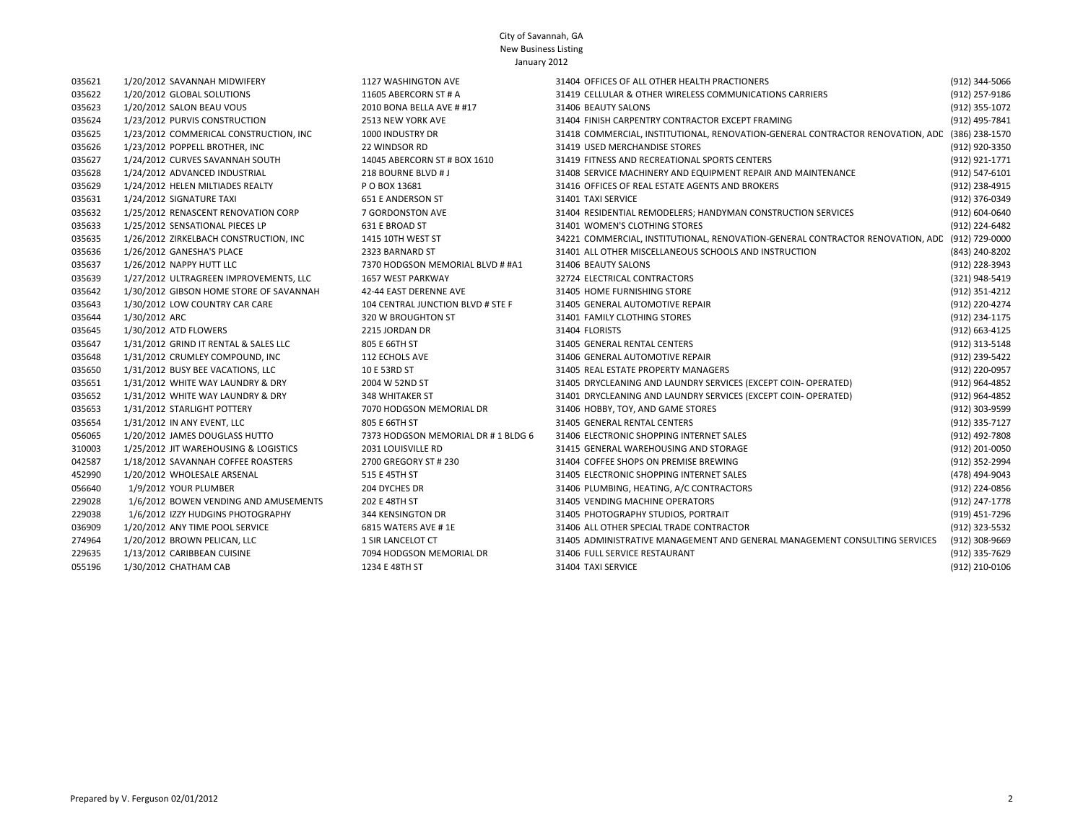| 035621 | 1/20/2012 SAVANNAH MIDWIFERY            | 1127 WASHINGTON AVE                 | 31404 OFFICES OF ALL OTHER HEALTH PRACTIONERS                                  | (912) 344-5066 |
|--------|-----------------------------------------|-------------------------------------|--------------------------------------------------------------------------------|----------------|
| 035622 | 1/20/2012 GLOBAL SOLUTIONS              | 11605 ABERCORN ST # A               | 31419 CELLULAR & OTHER WIRELESS COMMUNICATIONS CARRIERS                        | (912) 257-9186 |
| 035623 | 1/20/2012 SALON BEAU VOUS               | 2010 BONA BELLA AVE # #17           | 31406 BEAUTY SALONS                                                            | (912) 355-1072 |
| 035624 | 1/23/2012 PURVIS CONSTRUCTION           | 2513 NEW YORK AVE                   | 31404 FINISH CARPENTRY CONTRACTOR EXCEPT FRAMING                               | (912) 495-7841 |
| 035625 | 1/23/2012 COMMERICAL CONSTRUCTION, INC  | 1000 INDUSTRY DR                    | 31418 COMMERCIAL, INSTITUTIONAL, RENOVATION-GENERAL CONTRACTOR RENOVATION, ADD | (386) 238-1570 |
| 035626 | 1/23/2012 POPPELL BROTHER, INC          | 22 WINDSOR RD                       | 31419 USED MERCHANDISE STORES                                                  | (912) 920-3350 |
| 035627 | 1/24/2012 CURVES SAVANNAH SOUTH         | 14045 ABERCORN ST # BOX 1610        | 31419 FITNESS AND RECREATIONAL SPORTS CENTERS                                  | (912) 921-1771 |
| 035628 | 1/24/2012 ADVANCED INDUSTRIAL           | 218 BOURNE BLVD # J                 | 31408 SERVICE MACHINERY AND EQUIPMENT REPAIR AND MAINTENANCE                   | (912) 547-6101 |
| 035629 | 1/24/2012 HELEN MILTIADES REALTY        | P O BOX 13681                       | 31416 OFFICES OF REAL ESTATE AGENTS AND BROKERS                                | (912) 238-4915 |
| 035631 | 1/24/2012 SIGNATURE TAXI                | 651 E ANDERSON ST                   | 31401 TAXI SERVICE                                                             | (912) 376-0349 |
| 035632 | 1/25/2012 RENASCENT RENOVATION CORP     | 7 GORDONSTON AVE                    | 31404 RESIDENTIAL REMODELERS; HANDYMAN CONSTRUCTION SERVICES                   | (912) 604-0640 |
| 035633 | 1/25/2012 SENSATIONAL PIECES LP         | 631 E BROAD ST                      | 31401 WOMEN'S CLOTHING STORES                                                  | (912) 224-6482 |
| 035635 | 1/26/2012 ZIRKELBACH CONSTRUCTION, INC  | 1415 10TH WEST ST                   | 34221 COMMERCIAL, INSTITUTIONAL, RENOVATION-GENERAL CONTRACTOR RENOVATION, ADD | (912) 729-0000 |
| 035636 | 1/26/2012 GANESHA'S PLACE               | 2323 BARNARD ST                     | 31401 ALL OTHER MISCELLANEOUS SCHOOLS AND INSTRUCTION                          | (843) 240-8202 |
| 035637 | 1/26/2012 NAPPY HUTT LLC                | 7370 HODGSON MEMORIAL BLVD # #A1    | 31406 BEAUTY SALONS                                                            | (912) 228-3943 |
| 035639 | 1/27/2012 ULTRAGREEN IMPROVEMENTS, LLC  | 1657 WEST PARKWAY                   | 32724 ELECTRICAL CONTRACTORS                                                   | (321) 948-5419 |
| 035642 | 1/30/2012 GIBSON HOME STORE OF SAVANNAH | 42-44 EAST DERENNE AVE              | 31405 HOME FURNISHING STORE                                                    | (912) 351-4212 |
| 035643 | 1/30/2012 LOW COUNTRY CAR CARE          | 104 CENTRAL JUNCTION BLVD # STE F   | 31405 GENERAL AUTOMOTIVE REPAIR                                                | (912) 220-4274 |
| 035644 | 1/30/2012 ARC                           | 320 W BROUGHTON ST                  | 31401 FAMILY CLOTHING STORES                                                   | (912) 234-1175 |
| 035645 | 1/30/2012 ATD FLOWERS                   | 2215 JORDAN DR                      | 31404 FLORISTS                                                                 | (912) 663-4125 |
| 035647 | 1/31/2012 GRIND IT RENTAL & SALES LLC   | 805 E 66TH ST                       | 31405 GENERAL RENTAL CENTERS                                                   | (912) 313-5148 |
| 035648 | 1/31/2012 CRUMLEY COMPOUND, INC         | 112 ECHOLS AVE                      | 31406 GENERAL AUTOMOTIVE REPAIR                                                | (912) 239-5422 |
| 035650 | 1/31/2012 BUSY BEE VACATIONS, LLC       | 10 E 53RD ST                        | 31405 REAL ESTATE PROPERTY MANAGERS                                            | (912) 220-0957 |
| 035651 | 1/31/2012 WHITE WAY LAUNDRY & DRY       | 2004 W 52ND ST                      | 31405 DRYCLEANING AND LAUNDRY SERVICES (EXCEPT COIN- OPERATED)                 | (912) 964-4852 |
| 035652 | 1/31/2012 WHITE WAY LAUNDRY & DRY       | 348 WHITAKER ST                     | 31401 DRYCLEANING AND LAUNDRY SERVICES (EXCEPT COIN- OPERATED)                 | (912) 964-4852 |
| 035653 | 1/31/2012 STARLIGHT POTTERY             | 7070 HODGSON MEMORIAL DR            | 31406 HOBBY, TOY, AND GAME STORES                                              | (912) 303-9599 |
| 035654 | 1/31/2012 IN ANY EVENT, LLC             | 805 E 66TH ST                       | 31405 GENERAL RENTAL CENTERS                                                   | (912) 335-7127 |
| 056065 | 1/20/2012 JAMES DOUGLASS HUTTO          | 7373 HODGSON MEMORIAL DR # 1 BLDG 6 | 31406 ELECTRONIC SHOPPING INTERNET SALES                                       | (912) 492-7808 |
| 310003 | 1/25/2012 JIT WAREHOUSING & LOGISTICS   | 2031 LOUISVILLE RD                  | 31415 GENERAL WAREHOUSING AND STORAGE                                          | (912) 201-0050 |
| 042587 | 1/18/2012 SAVANNAH COFFEE ROASTERS      | 2700 GREGORY ST # 230               | 31404 COFFEE SHOPS ON PREMISE BREWING                                          | (912) 352-2994 |
| 452990 | 1/20/2012 WHOLESALE ARSENAL             | 515 E 45TH ST                       | 31405 ELECTRONIC SHOPPING INTERNET SALES                                       | (478) 494-9043 |
| 056640 | 1/9/2012 YOUR PLUMBER                   | 204 DYCHES DR                       | 31406 PLUMBING, HEATING, A/C CONTRACTORS                                       | (912) 224-0856 |
| 229028 | 1/6/2012 BOWEN VENDING AND AMUSEMENTS   | 202 E 48TH ST                       | 31405 VENDING MACHINE OPERATORS                                                | (912) 247-1778 |
| 229038 | 1/6/2012 IZZY HUDGINS PHOTOGRAPHY       | 344 KENSINGTON DR                   | 31405 PHOTOGRAPHY STUDIOS, PORTRAIT                                            | (919) 451-7296 |
| 036909 | 1/20/2012 ANY TIME POOL SERVICE         | 6815 WATERS AVE #1E                 | 31406 ALL OTHER SPECIAL TRADE CONTRACTOR                                       | (912) 323-5532 |
| 274964 | 1/20/2012 BROWN PELICAN, LLC            | 1 SIR LANCELOT CT                   | 31405 ADMINISTRATIVE MANAGEMENT AND GENERAL MANAGEMENT CONSULTING SERVICES     | (912) 308-9669 |
| 229635 | 1/13/2012 CARIBBEAN CUISINE             | 7094 HODGSON MEMORIAL DR            | 31406 FULL SERVICE RESTAURANT                                                  | (912) 335-7629 |
| 055196 | 1/30/2012 CHATHAM CAB                   | 1234 E 48TH ST                      | 31404 TAXI SERVICE                                                             | (912) 210-0106 |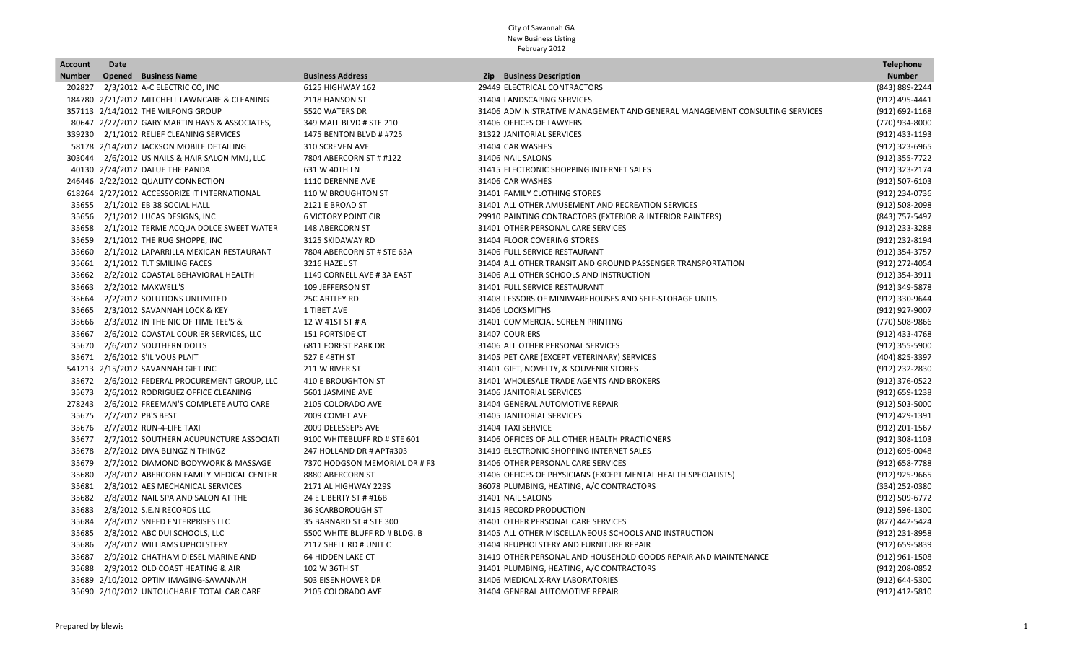### City of Savannah GA New Business Listing February 2012

| Account       | <b>Date</b> |                                                |                               |                                                                            | <b>Telephone</b> |
|---------------|-------------|------------------------------------------------|-------------------------------|----------------------------------------------------------------------------|------------------|
| <b>Number</b> |             | <b>Opened</b> Business Name                    | <b>Business Address</b>       | Zip Business Description                                                   | <b>Number</b>    |
| 202827        |             | 2/3/2012 A-C ELECTRIC CO, INC                  | 6125 HIGHWAY 162              | 29449 ELECTRICAL CONTRACTORS                                               | (843) 889-2244   |
|               |             | 184780 2/21/2012 MITCHELL LAWNCARE & CLEANING  | 2118 HANSON ST                | 31404 LANDSCAPING SERVICES                                                 | (912) 495-4441   |
|               |             | 357113 2/14/2012 THE WILFONG GROUP             | 5520 WATERS DR                | 31406 ADMINISTRATIVE MANAGEMENT AND GENERAL MANAGEMENT CONSULTING SERVICES | (912) 692-1168   |
|               |             | 80647 2/27/2012 GARY MARTIN HAYS & ASSOCIATES, | 349 MALL BLVD # STE 210       | 31406 OFFICES OF LAWYERS                                                   | (770) 934-8000   |
|               |             | 339230 2/1/2012 RELIEF CLEANING SERVICES       | 1475 BENTON BLVD # #725       | 31322 JANITORIAL SERVICES                                                  | (912) 433-1193   |
|               |             | 58178 2/14/2012 JACKSON MOBILE DETAILING       | 310 SCREVEN AVE               | 31404 CAR WASHES                                                           | (912) 323-6965   |
|               |             | 303044 2/6/2012 US NAILS & HAIR SALON MMJ, LLC | 7804 ABERCORN ST # #122       | 31406 NAIL SALONS                                                          | (912) 355-7722   |
|               |             | 40130 2/24/2012 DALUE THE PANDA                | 631 W 40TH LN                 | 31415 ELECTRONIC SHOPPING INTERNET SALES                                   | (912) 323-2174   |
|               |             | 246446 2/22/2012 QUALITY CONNECTION            | 1110 DERENNE AVE              | 31406 CAR WASHES                                                           | (912) 507-6103   |
|               |             | 618264 2/27/2012 ACCESSORIZE IT INTERNATIONAL  | 110 W BROUGHTON ST            | 31401 FAMILY CLOTHING STORES                                               | (912) 234-0736   |
|               |             | 35655 2/1/2012 EB 38 SOCIAL HALL               | 2121 E BROAD ST               | 31401 ALL OTHER AMUSEMENT AND RECREATION SERVICES                          | (912) 508-2098   |
|               |             | 35656 2/1/2012 LUCAS DESIGNS, INC              | <b>6 VICTORY POINT CIR</b>    | 29910 PAINTING CONTRACTORS (EXTERIOR & INTERIOR PAINTERS)                  | (843) 757-5497   |
| 35658         |             | 2/1/2012 TERME ACQUA DOLCE SWEET WATER         | 148 ABERCORN ST               | 31401 OTHER PERSONAL CARE SERVICES                                         | (912) 233-3288   |
| 35659         |             | 2/1/2012 THE RUG SHOPPE, INC                   | 3125 SKIDAWAY RD              | 31404 FLOOR COVERING STORES                                                | (912) 232-8194   |
| 35660         |             | 2/1/2012 LAPARRILLA MEXICAN RESTAURANT         | 7804 ABERCORN ST # STE 63A    | 31406 FULL SERVICE RESTAURANT                                              | (912) 354-3757   |
|               |             | 35661 2/1/2012 TLT SMILING FACES               | 3216 HAZEL ST                 | 31404 ALL OTHER TRANSIT AND GROUND PASSENGER TRANSPORTATION                | (912) 272-4054   |
|               |             | 35662 2/2/2012 COASTAL BEHAVIORAL HEALTH       | 1149 CORNELL AVE #3A EAST     | 31406 ALL OTHER SCHOOLS AND INSTRUCTION                                    | (912) 354-3911   |
| 35663         |             | 2/2/2012 MAXWELL'S                             | 109 JEFFERSON ST              | 31401 FULL SERVICE RESTAURANT                                              | (912) 349-5878   |
| 35664         |             | 2/2/2012 SOLUTIONS UNLIMITED                   | <b>25C ARTLEY RD</b>          | 31408 LESSORS OF MINIWAREHOUSES AND SELF-STORAGE UNITS                     | (912) 330-9644   |
| 35665         |             | 2/3/2012 SAVANNAH LOCK & KEY                   | 1 TIBET AVE                   | 31406 LOCKSMITHS                                                           | (912) 927-9007   |
| 35666         |             | 2/3/2012 IN THE NIC OF TIME TEE'S &            | 12 W 41ST ST # A              | 31401 COMMERCIAL SCREEN PRINTING                                           | (770) 508-9866   |
| 35667         |             | 2/6/2012 COASTAL COURIER SERVICES, LLC         | 151 PORTSIDE CT               | 31407 COURIERS                                                             | (912) 433-4768   |
|               |             | 35670 2/6/2012 SOUTHERN DOLLS                  | <b>6811 FOREST PARK DR</b>    | 31406 ALL OTHER PERSONAL SERVICES                                          | (912) 355-5900   |
|               |             | 35671 2/6/2012 S'IL VOUS PLAIT                 | 527 E 48TH ST                 | 31405 PET CARE (EXCEPT VETERINARY) SERVICES                                | (404) 825-3397   |
|               |             | 541213 2/15/2012 SAVANNAH GIFT INC             | 211 W RIVER ST                | 31401 GIFT, NOVELTY, & SOUVENIR STORES                                     | (912) 232-2830   |
| 35672         |             | 2/6/2012 FEDERAL PROCUREMENT GROUP, LLC        | 410 E BROUGHTON ST            | 31401 WHOLESALE TRADE AGENTS AND BROKERS                                   | (912) 376-0522   |
| 35673         |             | 2/6/2012 RODRIGUEZ OFFICE CLEANING             | 5601 JASMINE AVE              | 31406 JANITORIAL SERVICES                                                  | (912) 659-1238   |
| 278243        |             | 2/6/2012 FREEMAN'S COMPLETE AUTO CARE          | 2105 COLORADO AVE             | 31404 GENERAL AUTOMOTIVE REPAIR                                            | (912) 503-5000   |
| 35675         |             | 2/7/2012 PB'S BEST                             | 2009 COMET AVE                | 31405 JANITORIAL SERVICES                                                  | (912) 429-1391   |
|               |             | 35676 2/7/2012 RUN-4-LIFE TAXI                 | 2009 DELESSEPS AVE            | 31404 TAXI SERVICE                                                         | (912) 201-1567   |
| 35677         |             | 2/7/2012 SOUTHERN ACUPUNCTURE ASSOCIATI        | 9100 WHITEBLUFF RD # STE 601  | 31406 OFFICES OF ALL OTHER HEALTH PRACTIONERS                              | (912) 308-1103   |
| 35678         |             | 2/7/2012 DIVA BLINGZ N THINGZ                  | 247 HOLLAND DR # APT#303      | 31419 ELECTRONIC SHOPPING INTERNET SALES                                   | (912) 695-0048   |
| 35679         |             | 2/7/2012 DIAMOND BODYWORK & MASSAGE            | 7370 HODGSON MEMORIAL DR # F3 | 31406 OTHER PERSONAL CARE SERVICES                                         | $(912)$ 658-7788 |
| 35680         |             | 2/8/2012 ABERCORN FAMILY MEDICAL CENTER        | 8880 ABERCORN ST              | 31406 OFFICES OF PHYSICIANS (EXCEPT MENTAL HEALTH SPECIALISTS)             | (912) 925-9665   |
| 35681         |             | 2/8/2012 AES MECHANICAL SERVICES               | 2171 AL HIGHWAY 229S          | 36078 PLUMBING, HEATING, A/C CONTRACTORS                                   | (334) 252-0380   |
| 35682         |             | 2/8/2012 NAIL SPA AND SALON AT THE             | 24 E LIBERTY ST # #16B        | 31401 NAIL SALONS                                                          | (912) 509-6772   |
| 35683         |             | 2/8/2012 S.E.N RECORDS LLC                     | <b>36 SCARBOROUGH ST</b>      | 31415 RECORD PRODUCTION                                                    | (912) 596-1300   |
| 35684         |             | 2/8/2012 SNEED ENTERPRISES LLC                 | 35 BARNARD ST # STE 300       | 31401 OTHER PERSONAL CARE SERVICES                                         | (877) 442-5424   |
| 35685         |             | 2/8/2012 ABC DUI SCHOOLS, LLC                  | 5500 WHITE BLUFF RD # BLDG. B | 31405 ALL OTHER MISCELLANEOUS SCHOOLS AND INSTRUCTION                      | (912) 231-8958   |
| 35686         |             | 2/8/2012 WILLIAMS UPHOLSTERY                   | 2117 SHELL RD # UNIT C        | 31404 REUPHOLSTERY AND FURNITURE REPAIR                                    | (912) 659-5839   |
| 35687         |             | 2/9/2012 CHATHAM DIESEL MARINE AND             | 64 HIDDEN LAKE CT             | 31419 OTHER PERSONAL AND HOUSEHOLD GOODS REPAIR AND MAINTENANCE            | (912) 961-1508   |
| 35688         |             | 2/9/2012 OLD COAST HEATING & AIR               | 102 W 36TH ST                 | 31401 PLUMBING, HEATING, A/C CONTRACTORS                                   | (912) 208-0852   |
|               |             | 35689 2/10/2012 OPTIM IMAGING-SAVANNAH         | 503 EISENHOWER DR             | 31406 MEDICAL X-RAY LABORATORIES                                           | (912) 644-5300   |
|               |             | 35690 2/10/2012 UNTOUCHABLE TOTAL CAR CARE     | 2105 COLORADO AVE             | 31404 GENERAL AUTOMOTIVE REPAIR                                            | (912) 412-5810   |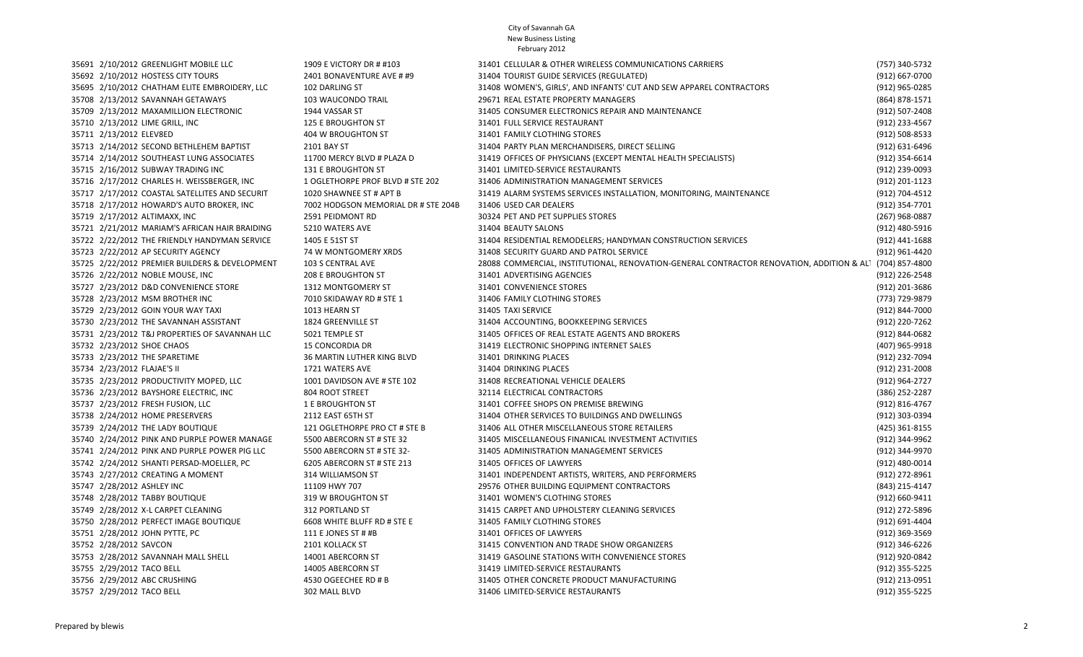## February 2012

| 35691 2/10/2012 GREENLIGHT MOBILE LLC          | 1909 E VICTORY DR # #103            | 31401 CELLULAR & OTHER WIRELESS COMMUNICATIONS CARRIERS                                   | (757) 340-5732 |
|------------------------------------------------|-------------------------------------|-------------------------------------------------------------------------------------------|----------------|
| 35692 2/10/2012 HOSTESS CITY TOURS             | 2401 BONAVENTURE AVE # #9           | 31404 TOURIST GUIDE SERVICES (REGULATED)                                                  | (912) 667-0700 |
| 35695 2/10/2012 CHATHAM ELITE EMBROIDERY, LLC  | 102 DARLING ST                      | 31408 WOMEN'S, GIRLS', AND INFANTS' CUT AND SEW APPAREL CONTRACTORS                       | (912) 965-0285 |
| 35708 2/13/2012 SAVANNAH GETAWAYS              | 103 WAUCONDO TRAIL                  | 29671 REAL ESTATE PROPERTY MANAGERS                                                       | (864) 878-1571 |
| 35709 2/13/2012 MAXAMILLION ELECTRONIC         | 1944 VASSAR ST                      | 31405 CONSUMER ELECTRONICS REPAIR AND MAINTENANCE                                         | (912) 507-2408 |
| 35710 2/13/2012 LIME GRILL, INC                | 125 E BROUGHTON ST                  | 31401 FULL SERVICE RESTAURANT                                                             | (912) 233-4567 |
| 35711 2/13/2012 ELEV8ED                        | 404 W BROUGHTON ST                  | 31401 FAMILY CLOTHING STORES                                                              | (912) 508-8533 |
| 35713 2/14/2012 SECOND BETHLEHEM BAPTIST       | 2101 BAY ST                         | 31404 PARTY PLAN MERCHANDISERS, DIRECT SELLING                                            | (912) 631-6496 |
| 35714 2/14/2012 SOUTHEAST LUNG ASSOCIATES      | 11700 MERCY BLVD # PLAZA D          | 31419 OFFICES OF PHYSICIANS (EXCEPT MENTAL HEALTH SPECIALISTS)                            | (912) 354-6614 |
| 35715 2/16/2012 SUBWAY TRADING INC             | 131 E BROUGHTON ST                  | 31401 LIMITED-SERVICE RESTAURANTS                                                         | (912) 239-0093 |
| 35716 2/17/2012 CHARLES H. WEISSBERGER, INC    | 1 OGLETHORPE PROF BLVD # STE 202    | 31406 ADMINISTRATION MANAGEMENT SERVICES                                                  | (912) 201-1123 |
| 35717 2/17/2012 COASTAL SATELLITES AND SECURIT | 1020 SHAWNEE ST # APT B             | 31419 ALARM SYSTEMS SERVICES INSTALLATION, MONITORING, MAINTENANCE                        | (912) 704-4512 |
| 35718 2/17/2012 HOWARD'S AUTO BROKER, INC      | 7002 HODGSON MEMORIAL DR # STE 204B | 31406 USED CAR DEALERS                                                                    | (912) 354-7701 |
| 35719 2/17/2012 ALTIMAXX, INC                  | 2591 PEIDMONT RD                    | 30324 PET AND PET SUPPLIES STORES                                                         | (267) 968-0887 |
| 35721 2/21/2012 MARIAM'S AFRICAN HAIR BRAIDING | 5210 WATERS AVE                     | 31404 BEAUTY SALONS                                                                       | (912) 480-5916 |
| 35722 2/22/2012 THE FRIENDLY HANDYMAN SERVICE  | 1405 E 51ST ST                      | 31404 RESIDENTIAL REMODELERS; HANDYMAN CONSTRUCTION SERVICES                              | (912) 441-1688 |
| 35723 2/22/2012 AP SECURITY AGENCY             | 74 W MONTGOMERY XRDS                | 31408 SECURITY GUARD AND PATROL SERVICE                                                   | (912) 961-4420 |
| 35725 2/22/2012 PREMIER BUILDERS & DEVELOPMENT | 103 S CENTRAL AVE                   | 28088 COMMERCIAL, INSTITUTIONAL, RENOVATION-GENERAL CONTRACTOR RENOVATION, ADDITION & ALT | (704) 857-4800 |
| 35726 2/22/2012 NOBLE MOUSE, INC               | 208 E BROUGHTON ST                  | 31401 ADVERTISING AGENCIES                                                                | (912) 226-2548 |
| 35727 2/23/2012 D&D CONVENIENCE STORE          | 1312 MONTGOMERY ST                  | 31401 CONVENIENCE STORES                                                                  | (912) 201-3686 |
| 35728 2/23/2012 MSM BROTHER INC                | 7010 SKIDAWAY RD # STE 1            | 31406 FAMILY CLOTHING STORES                                                              | (773) 729-9879 |
| 35729 2/23/2012 GOIN YOUR WAY TAXI             | 1013 HEARN ST                       | 31405 TAXI SERVICE                                                                        | (912) 844-7000 |
| 35730 2/23/2012 THE SAVANNAH ASSISTANT         | 1824 GREENVILLE ST                  | 31404 ACCOUNTING, BOOKKEEPING SERVICES                                                    | (912) 220-7262 |
| 35731 2/23/2012 T&J PROPERTIES OF SAVANNAH LLC | 5021 TEMPLE ST                      | 31405 OFFICES OF REAL ESTATE AGENTS AND BROKERS                                           | (912) 844-0682 |
| 35732 2/23/2012 SHOE CHAOS                     | <b>15 CONCORDIA DR</b>              | 31419 ELECTRONIC SHOPPING INTERNET SALES                                                  | (407) 965-9918 |
| 35733 2/23/2012 THE SPARETIME                  | 36 MARTIN LUTHER KING BLVD          | 31401 DRINKING PLACES                                                                     | (912) 232-7094 |
| 35734 2/23/2012 FLAJAE'S II                    | 1721 WATERS AVE                     | 31404 DRINKING PLACES                                                                     | (912) 231-2008 |
| 35735 2/23/2012 PRODUCTIVITY MOPED, LLC        | 1001 DAVIDSON AVE # STE 102         | 31408 RECREATIONAL VEHICLE DEALERS                                                        | (912) 964-2727 |
| 35736 2/23/2012 BAYSHORE ELECTRIC, INC         | 804 ROOT STREET                     | 32114 ELECTRICAL CONTRACTORS                                                              | (386) 252-2287 |
| 35737 2/23/2012 FRESH FUSION, LLC              | 1 E BROUGHTON ST                    | 31401 COFFEE SHOPS ON PREMISE BREWING                                                     | (912) 816-4767 |
| 35738 2/24/2012 HOME PRESERVERS                | 2112 EAST 65TH ST                   | 31404 OTHER SERVICES TO BUILDINGS AND DWELLINGS                                           | (912) 303-0394 |
| 35739 2/24/2012 THE LADY BOUTIQUE              | 121 OGLETHORPE PRO CT # STE B       | 31406 ALL OTHER MISCELLANEOUS STORE RETAILERS                                             | (425) 361-8155 |
| 35740 2/24/2012 PINK AND PURPLE POWER MANAGE   | 5500 ABERCORN ST # STE 32           | 31405 MISCELLANEOUS FINANICAL INVESTMENT ACTIVITIES                                       | (912) 344-9962 |
| 35741 2/24/2012 PINK AND PURPLE POWER PIG LLC  | 5500 ABERCORN ST # STE 32-          | 31405 ADMINISTRATION MANAGEMENT SERVICES                                                  | (912) 344-9970 |
| 35742 2/24/2012 SHANTI PERSAD-MOELLER, PC      | 6205 ABERCORN ST # STE 213          | 31405 OFFICES OF LAWYERS                                                                  | (912) 480-0014 |
| 35743 2/27/2012 CREATING A MOMENT              | 314 WILLIAMSON ST                   | 31401 INDEPENDENT ARTISTS, WRITERS, AND PERFORMERS                                        | (912) 272-8961 |
| 35747 2/28/2012 ASHLEY INC                     | 11109 HWY 707                       | 29576 OTHER BUILDING EQUIPMENT CONTRACTORS                                                | (843) 215-4147 |
| 35748 2/28/2012 TABBY BOUTIQUE                 | 319 W BROUGHTON ST                  | 31401 WOMEN'S CLOTHING STORES                                                             | (912) 660-9411 |
| 35749 2/28/2012 X-L CARPET CLEANING            | 312 PORTLAND ST                     | 31415 CARPET AND UPHOLSTERY CLEANING SERVICES                                             | (912) 272-5896 |
| 35750 2/28/2012 PERFECT IMAGE BOUTIQUE         | 6608 WHITE BLUFF RD # STE E         | 31405 FAMILY CLOTHING STORES                                                              | (912) 691-4404 |
| 35751 2/28/2012 JOHN PYTTE, PC                 | 111 E JONES ST # #B                 | 31401 OFFICES OF LAWYERS                                                                  | (912) 369-3569 |
| 35752 2/28/2012 SAVCON                         | 2101 KOLLACK ST                     | 31415 CONVENTION AND TRADE SHOW ORGANIZERS                                                | (912) 346-6226 |
| 35753 2/28/2012 SAVANNAH MALL SHELL            | 14001 ABERCORN ST                   | 31419 GASOLINE STATIONS WITH CONVENIENCE STORES                                           | (912) 920-0842 |
| 35755 2/29/2012 TACO BELL                      | 14005 ABERCORN ST                   | 31419 LIMITED-SERVICE RESTAURANTS                                                         | (912) 355-5225 |
| 35756 2/29/2012 ABC CRUSHING                   | 4530 OGEECHEE RD # B                | 31405 OTHER CONCRETE PRODUCT MANUFACTURING                                                | (912) 213-0951 |
| 35757 2/29/2012 TACO BELL                      | 302 MALL BLVD                       | 31406 LIMITED-SERVICE RESTAURANTS                                                         | (912) 355-5225 |
|                                                |                                     |                                                                                           |                |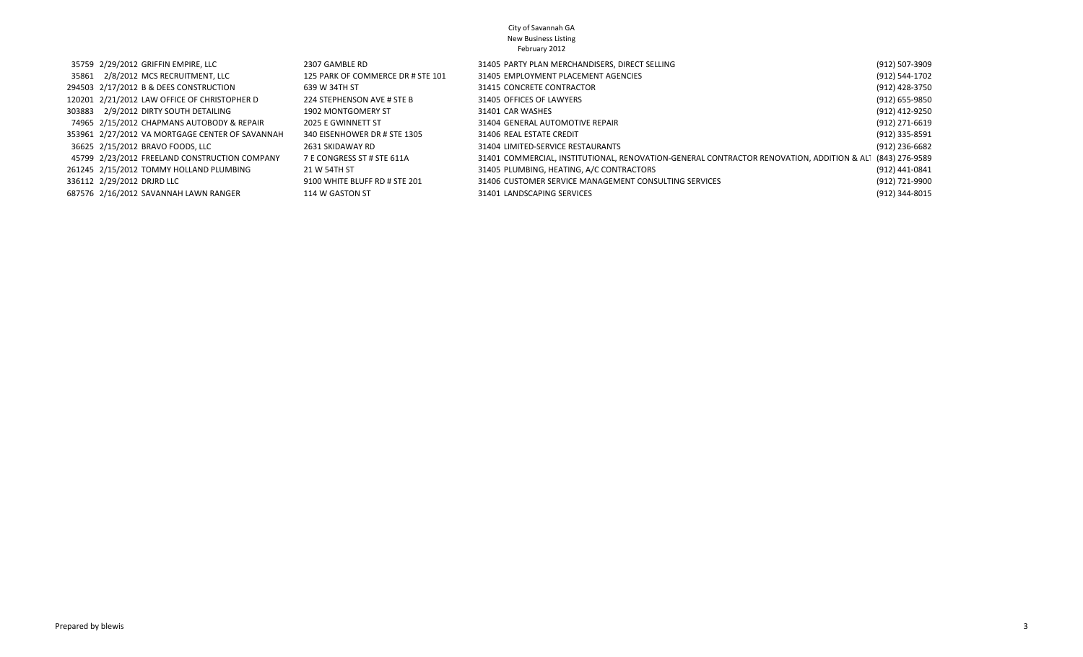# February 2012

|       | 35759 2/29/2012 GRIFFIN EMPIRE, LLC             | 2307 GAMBLE RD                    | 31405 PARTY PLAN MERCHANDISERS, DIRECT SELLING                                                           | (912) 507-3909 |
|-------|-------------------------------------------------|-----------------------------------|----------------------------------------------------------------------------------------------------------|----------------|
| 35861 | 2/8/2012 MCS RECRUITMENT, LLC                   | 125 PARK OF COMMERCE DR # STE 101 | 31405 EMPLOYMENT PLACEMENT AGENCIES                                                                      | (912) 544-1702 |
|       | 294503 2/17/2012 B & DEES CONSTRUCTION          | 639 W 34TH ST                     | 31415 CONCRETE CONTRACTOR                                                                                | (912) 428-3750 |
|       | 120201 2/21/2012 LAW OFFICE OF CHRISTOPHER D    | 224 STEPHENSON AVE # STE B        | 31405 OFFICES OF LAWYERS                                                                                 | (912) 655-9850 |
|       | 303883 2/9/2012 DIRTY SOUTH DETAILING           | 1902 MONTGOMERY ST                | 31401 CAR WASHES                                                                                         | (912) 412-9250 |
|       | 74965 2/15/2012 CHAPMANS AUTOBODY & REPAIR      | 2025 E GWINNETT ST                | 31404 GENERAL AUTOMOTIVE REPAIR                                                                          | (912) 271-6619 |
|       | 353961 2/27/2012 VA MORTGAGE CENTER OF SAVANNAH | 340 EISENHOWER DR # STE 1305      | 31406 REAL ESTATE CREDIT                                                                                 | (912) 335-8591 |
|       | 36625 2/15/2012 BRAVO FOODS, LLC                | 2631 SKIDAWAY RD                  | 31404 LIMITED-SERVICE RESTAURANTS                                                                        | (912) 236-6682 |
|       | 45799 2/23/2012 FREELAND CONSTRUCTION COMPANY   | 7 E CONGRESS ST # STE 611A        | 31401 COMMERCIAL, INSTITUTIONAL, RENOVATION-GENERAL CONTRACTOR RENOVATION, ADDITION & AL1 (843) 276-9589 |                |
|       | 261245 2/15/2012 TOMMY HOLLAND PLUMBING         | 21 W 54TH ST                      | 31405 PLUMBING, HEATING, A/C CONTRACTORS                                                                 | (912) 441-0841 |
|       | 336112 2/29/2012 DRJRD LLC                      | 9100 WHITE BLUFF RD # STE 201     | 31406 CUSTOMER SERVICE MANAGEMENT CONSULTING SERVICES                                                    | (912) 721-9900 |
|       | 687576 2/16/2012 SAVANNAH LAWN RANGER           | 114 W GASTON ST                   | 31401 LANDSCAPING SERVICES                                                                               | (912) 344-8015 |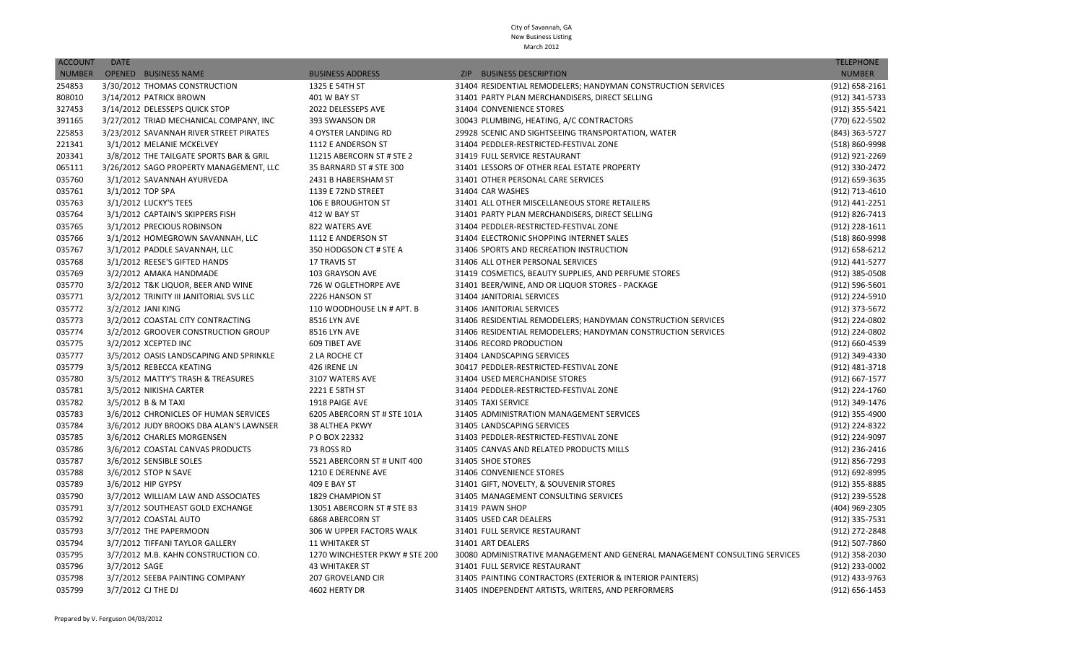| <b>ACCOUNT</b> | <b>DATE</b>      |                                         |                                |                                                                            | <b>TELEPHONE</b>   |
|----------------|------------------|-----------------------------------------|--------------------------------|----------------------------------------------------------------------------|--------------------|
| <b>NUMBER</b>  |                  | OPENED BUSINESS NAME                    | <b>BUSINESS ADDRESS</b>        | <b>ZIP BUSINESS DESCRIPTION</b>                                            | <b>NUMBER</b>      |
| 254853         |                  | 3/30/2012 THOMAS CONSTRUCTION           | 1325 E 54TH ST                 | 31404 RESIDENTIAL REMODELERS; HANDYMAN CONSTRUCTION SERVICES               | $(912) 658 - 2161$ |
| 808010         |                  | 3/14/2012 PATRICK BROWN                 | 401 W BAY ST                   | 31401 PARTY PLAN MERCHANDISERS, DIRECT SELLING                             | (912) 341-5733     |
| 327453         |                  | 3/14/2012 DELESSEPS QUICK STOP          | 2022 DELESSEPS AVE             | 31404 CONVENIENCE STORES                                                   | (912) 355-5421     |
| 391165         |                  | 3/27/2012 TRIAD MECHANICAL COMPANY, INC | 393 SWANSON DR                 | 30043 PLUMBING, HEATING, A/C CONTRACTORS                                   | (770) 622-5502     |
| 225853         |                  | 3/23/2012 SAVANNAH RIVER STREET PIRATES | 4 OYSTER LANDING RD            | 29928 SCENIC AND SIGHTSEEING TRANSPORTATION, WATER                         | (843) 363-5727     |
| 221341         |                  | 3/1/2012 MELANIE MCKELVEY               | 1112 E ANDERSON ST             | 31404 PEDDLER-RESTRICTED-FESTIVAL ZONE                                     | (518) 860-9998     |
| 203341         |                  | 3/8/2012 THE TAILGATE SPORTS BAR & GRIL | 11215 ABERCORN ST # STE 2      | 31419 FULL SERVICE RESTAURANT                                              | (912) 921-2269     |
| 065111         |                  | 3/26/2012 SAGO PROPERTY MANAGEMENT, LLC | 35 BARNARD ST # STE 300        | 31401 LESSORS OF OTHER REAL ESTATE PROPERTY                                | (912) 330-2472     |
| 035760         |                  | 3/1/2012 SAVANNAH AYURVEDA              | 2431 B HABERSHAM ST            | 31401 OTHER PERSONAL CARE SERVICES                                         | (912) 659-3635     |
| 035761         | 3/1/2012 TOP SPA |                                         | 1139 E 72ND STREET             | 31404 CAR WASHES                                                           | (912) 713-4610     |
| 035763         |                  | 3/1/2012 LUCKY'S TEES                   | 106 E BROUGHTON ST             | 31401 ALL OTHER MISCELLANEOUS STORE RETAILERS                              | (912) 441-2251     |
| 035764         |                  | 3/1/2012 CAPTAIN'S SKIPPERS FISH        | 412 W BAY ST                   | 31401 PARTY PLAN MERCHANDISERS, DIRECT SELLING                             | (912) 826-7413     |
| 035765         |                  | 3/1/2012 PRECIOUS ROBINSON              | 822 WATERS AVE                 | 31404 PEDDLER-RESTRICTED-FESTIVAL ZONE                                     | (912) 228-1611     |
| 035766         |                  | 3/1/2012 HOMEGROWN SAVANNAH, LLC        | 1112 E ANDERSON ST             | 31404 ELECTRONIC SHOPPING INTERNET SALES                                   | (518) 860-9998     |
| 035767         |                  | 3/1/2012 PADDLE SAVANNAH, LLC           | 350 HODGSON CT # STE A         | 31406 SPORTS AND RECREATION INSTRUCTION                                    | $(912) 658 - 6212$ |
| 035768         |                  | 3/1/2012 REESE'S GIFTED HANDS           | <b>17 TRAVIS ST</b>            | 31406 ALL OTHER PERSONAL SERVICES                                          | (912) 441-5277     |
| 035769         |                  | 3/2/2012 AMAKA HANDMADE                 | 103 GRAYSON AVE                | 31419 COSMETICS, BEAUTY SUPPLIES, AND PERFUME STORES                       | (912) 385-0508     |
| 035770         |                  | 3/2/2012 T&K LIQUOR, BEER AND WINE      | 726 W OGLETHORPE AVE           | 31401 BEER/WINE, AND OR LIQUOR STORES - PACKAGE                            | (912) 596-5601     |
| 035771         |                  | 3/2/2012 TRINITY III JANITORIAL SVS LLC | 2226 HANSON ST                 | 31404 JANITORIAL SERVICES                                                  | (912) 224-5910     |
| 035772         |                  | 3/2/2012 JANI KING                      | 110 WOODHOUSE LN # APT. B      | 31406 JANITORIAL SERVICES                                                  | (912) 373-5672     |
| 035773         |                  | 3/2/2012 COASTAL CITY CONTRACTING       | 8516 LYN AVE                   | 31406 RESIDENTIAL REMODELERS; HANDYMAN CONSTRUCTION SERVICES               | (912) 224-0802     |
| 035774         |                  | 3/2/2012 GROOVER CONSTRUCTION GROUP     | 8516 LYN AVE                   | 31406 RESIDENTIAL REMODELERS; HANDYMAN CONSTRUCTION SERVICES               | (912) 224-0802     |
| 035775         |                  | 3/2/2012 XCEPTED INC                    | 609 TIBET AVE                  | 31406 RECORD PRODUCTION                                                    | (912) 660-4539     |
| 035777         |                  | 3/5/2012 OASIS LANDSCAPING AND SPRINKLE | 2 LA ROCHE CT                  | 31404 LANDSCAPING SERVICES                                                 | (912) 349-4330     |
| 035779         |                  | 3/5/2012 REBECCA KEATING                | 426 IRENE LN                   | 30417 PEDDLER-RESTRICTED-FESTIVAL ZONE                                     | (912) 481-3718     |
| 035780         |                  | 3/5/2012 MATTY'S TRASH & TREASURES      | 3107 WATERS AVE                | 31404 USED MERCHANDISE STORES                                              | $(912)$ 667-1577   |
| 035781         |                  | 3/5/2012 NIKISHA CARTER                 | 2221 E 58TH ST                 | 31404 PEDDLER-RESTRICTED-FESTIVAL ZONE                                     | (912) 224-1760     |
| 035782         |                  | 3/5/2012 B & M TAXI                     | 1918 PAIGE AVE                 | 31405 TAXI SERVICE                                                         | (912) 349-1476     |
| 035783         |                  | 3/6/2012 CHRONICLES OF HUMAN SERVICES   | 6205 ABERCORN ST # STE 101A    | 31405 ADMINISTRATION MANAGEMENT SERVICES                                   | (912) 355-4900     |
| 035784         |                  | 3/6/2012 JUDY BROOKS DBA ALAN'S LAWNSER | 38 ALTHEA PKWY                 | 31405 LANDSCAPING SERVICES                                                 | (912) 224-8322     |
| 035785         |                  | 3/6/2012 CHARLES MORGENSEN              | P O BOX 22332                  | 31403 PEDDLER-RESTRICTED-FESTIVAL ZONE                                     | (912) 224-9097     |
| 035786         |                  | 3/6/2012 COASTAL CANVAS PRODUCTS        | 73 ROSS RD                     | 31405 CANVAS AND RELATED PRODUCTS MILLS                                    | (912) 236-2416     |
| 035787         |                  | 3/6/2012 SENSIBLE SOLES                 | 5521 ABERCORN ST # UNIT 400    | 31405 SHOE STORES                                                          | (912) 856-7293     |
| 035788         |                  | 3/6/2012 STOP N SAVE                    | 1210 E DERENNE AVE             | 31406 CONVENIENCE STORES                                                   | (912) 692-8995     |
| 035789         |                  | 3/6/2012 HIP GYPSY                      | <b>409 E BAY ST</b>            | 31401 GIFT, NOVELTY, & SOUVENIR STORES                                     | (912) 355-8885     |
| 035790         |                  | 3/7/2012 WILLIAM LAW AND ASSOCIATES     | 1829 CHAMPION ST               | 31405 MANAGEMENT CONSULTING SERVICES                                       | (912) 239-5528     |
| 035791         |                  | 3/7/2012 SOUTHEAST GOLD EXCHANGE        | 13051 ABERCORN ST # STE B3     | 31419 PAWN SHOP                                                            | (404) 969-2305     |
| 035792         |                  | 3/7/2012 COASTAL AUTO                   | <b>6868 ABERCORN ST</b>        | 31405 USED CAR DEALERS                                                     | (912) 335-7531     |
| 035793         |                  | 3/7/2012 THE PAPERMOON                  | 306 W UPPER FACTORS WALK       | 31401 FULL SERVICE RESTAURANT                                              | (912) 272-2848     |
| 035794         |                  | 3/7/2012 TIFFANI TAYLOR GALLERY         | <b>11 WHITAKER ST</b>          | 31401 ART DEALERS                                                          | (912) 507-7860     |
| 035795         |                  | 3/7/2012 M.B. KAHN CONSTRUCTION CO.     | 1270 WINCHESTER PKWY # STE 200 | 30080 ADMINISTRATIVE MANAGEMENT AND GENERAL MANAGEMENT CONSULTING SERVICES | (912) 358-2030     |
| 035796         | 3/7/2012 SAGE    |                                         | <b>43 WHITAKER ST</b>          | 31401 FULL SERVICE RESTAURANT                                              | (912) 233-0002     |
| 035798         |                  | 3/7/2012 SEEBA PAINTING COMPANY         | 207 GROVELAND CIR              | 31405 PAINTING CONTRACTORS (EXTERIOR & INTERIOR PAINTERS)                  | (912) 433-9763     |
| 035799         |                  | 3/7/2012 CJ THE DJ                      | 4602 HERTY DR                  | 31405 INDEPENDENT ARTISTS, WRITERS, AND PERFORMERS                         | $(912) 656 - 1453$ |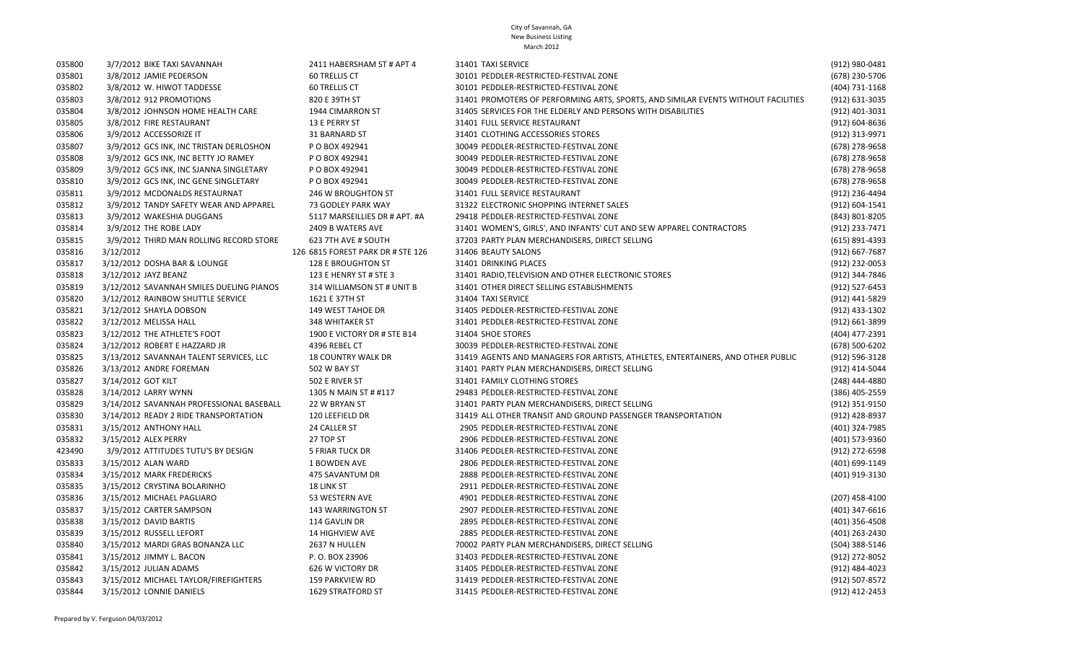| 035800 | 3/7/2012 BIKE TAXI SAVANNAH              | 2411 HABERSHAM ST # APT 4         | 31401 TAXI SERVICE                                                                | (912) 980-0481   |
|--------|------------------------------------------|-----------------------------------|-----------------------------------------------------------------------------------|------------------|
| 035801 | 3/8/2012 JAMIE PEDERSON                  | <b>60 TRELLIS CT</b>              | 30101 PEDDLER-RESTRICTED-FESTIVAL ZONE                                            | (678) 230-5706   |
| 035802 | 3/8/2012 W. HIWOT TADDESSE               | <b>60 TRELLIS CT</b>              | 30101 PEDDLER-RESTRICTED-FESTIVAL ZONE                                            | (404) 731-1168   |
| 035803 | 3/8/2012 912 PROMOTIONS                  | 820 E 39TH ST                     | 31401 PROMOTERS OF PERFORMING ARTS, SPORTS, AND SIMILAR EVENTS WITHOUT FACILITIES | (912) 631-3035   |
| 035804 | 3/8/2012 JOHNSON HOME HEALTH CARE        | 1944 CIMARRON ST                  | 31405 SERVICES FOR THE ELDERLY AND PERSONS WITH DISABILITIES                      | (912) 401-3031   |
| 035805 | 3/8/2012 FIRE RESTAURANT                 | 13 E PERRY ST                     | 31401 FULL SERVICE RESTAURANT                                                     | (912) 604-8636   |
| 035806 | 3/9/2012 ACCESSORIZE IT                  | 31 BARNARD ST                     | 31401 CLOTHING ACCESSORIES STORES                                                 | (912) 313-9971   |
| 035807 | 3/9/2012 GCS INK, INC TRISTAN DERLOSHON  | P O BOX 492941                    | 30049 PEDDLER-RESTRICTED-FESTIVAL ZONE                                            | (678) 278-9658   |
| 035808 | 3/9/2012 GCS INK, INC BETTY JO RAMEY     | P O BOX 492941                    | 30049 PEDDLER-RESTRICTED-FESTIVAL ZONE                                            | (678) 278-9658   |
| 035809 | 3/9/2012 GCS INK, INC SJANNA SINGLETARY  | P O BOX 492941                    | 30049 PEDDLER-RESTRICTED-FESTIVAL ZONE                                            | (678) 278-9658   |
| 035810 | 3/9/2012 GCS INK, INC GENE SINGLETARY    | P O BOX 492941                    | 30049 PEDDLER-RESTRICTED-FESTIVAL ZONE                                            | (678) 278-9658   |
| 035811 | 3/9/2012 MCDONALDS RESTAURNAT            | 246 W BROUGHTON ST                | 31401 FULL SERVICE RESTAURANT                                                     | (912) 236-4494   |
| 035812 | 3/9/2012 TANDY SAFETY WEAR AND APPAREL   | 73 GODLEY PARK WAY                | 31322 ELECTRONIC SHOPPING INTERNET SALES                                          | (912) 604-1541   |
| 035813 | 3/9/2012 WAKESHIA DUGGANS                | 5117 MARSEILLIES DR # APT. #A     | 29418 PEDDLER-RESTRICTED-FESTIVAL ZONE                                            | (843) 801-8205   |
| 035814 | 3/9/2012 THE ROBE LADY                   | 2409 B WATERS AVE                 | 31401 WOMEN'S, GIRLS', AND INFANTS' CUT AND SEW APPAREL CONTRACTORS               | (912) 233-7471   |
| 035815 | 3/9/2012 THIRD MAN ROLLING RECORD STORE  | 623 7TH AVE # SOUTH               | 37203 PARTY PLAN MERCHANDISERS, DIRECT SELLING                                    | (615) 891-4393   |
| 035816 | 3/12/2012                                | 126 6815 FOREST PARK DR # STE 126 | 31406 BEAUTY SALONS                                                               | $(912)$ 667-7687 |
| 035817 | 3/12/2012 DOSHA BAR & LOUNGE             | 128 E BROUGHTON ST                | 31401 DRINKING PLACES                                                             | (912) 232-0053   |
| 035818 | 3/12/2012 JAYZ BEANZ                     | 123 E HENRY ST # STE 3            | 31401 RADIO, TELEVISION AND OTHER ELECTRONIC STORES                               | (912) 344-7846   |
| 035819 | 3/12/2012 SAVANNAH SMILES DUELING PIANOS | 314 WILLIAMSON ST # UNIT B        | 31401 OTHER DIRECT SELLING ESTABLISHMENTS                                         | (912) 527-6453   |
| 035820 | 3/12/2012 RAINBOW SHUTTLE SERVICE        | 1621 E 37TH ST                    | 31404 TAXI SERVICE                                                                | (912) 441-5829   |
| 035821 | 3/12/2012 SHAYLA DOBSON                  | 149 WEST TAHOE DR                 | 31405 PEDDLER-RESTRICTED-FESTIVAL ZONE                                            | (912) 433-1302   |
| 035822 | 3/12/2012 MELISSA HALL                   | <b>348 WHITAKER ST</b>            | 31401 PEDDLER-RESTRICTED-FESTIVAL ZONE                                            | (912) 661-3899   |
| 035823 | 3/12/2012 THE ATHLETE'S FOOT             | 1900 E VICTORY DR # STE B14       | 31404 SHOE STORES                                                                 | (404) 477-2391   |
| 035824 | 3/12/2012 ROBERT E HAZZARD JR            | 4396 REBEL CT                     | 30039 PEDDLER-RESTRICTED-FESTIVAL ZONE                                            | (678) 500-6202   |
| 035825 | 3/13/2012 SAVANNAH TALENT SERVICES, LLC  | <b>18 COUNTRY WALK DR</b>         | 31419 AGENTS AND MANAGERS FOR ARTISTS, ATHLETES, ENTERTAINERS, AND OTHER PUBLIC   | (912) 596-3128   |
| 035826 | 3/13/2012 ANDRE FOREMAN                  | 502 W BAY ST                      | 31401 PARTY PLAN MERCHANDISERS, DIRECT SELLING                                    | (912) 414-5044   |
| 035827 | 3/14/2012 GOT KILT                       | 502 E RIVER ST                    | 31401 FAMILY CLOTHING STORES                                                      | (248) 444-4880   |
| 035828 | 3/14/2012 LARRY WYNN                     | 1305 N MAIN ST # #117             | 29483 PEDDLER-RESTRICTED-FESTIVAL ZONE                                            | (386) 405-2559   |
| 035829 | 3/14/2012 SAVANNAH PROFESSIONAL BASEBALL | 22 W BRYAN ST                     | 31401 PARTY PLAN MERCHANDISERS, DIRECT SELLING                                    | (912) 351-9150   |
| 035830 | 3/14/2012 READY 2 RIDE TRANSPORTATION    | 120 LEEFIELD DR                   | 31419 ALL OTHER TRANSIT AND GROUND PASSENGER TRANSPORTATION                       | (912) 428-8937   |
| 035831 | 3/15/2012 ANTHONY HALL                   | 24 CALLER ST                      | 2905 PEDDLER-RESTRICTED-FESTIVAL ZONE                                             | (401) 324-7985   |
| 035832 | 3/15/2012 ALEX PERRY                     | 27 TOP ST                         | 2906 PEDDLER-RESTRICTED-FESTIVAL ZONE                                             | (401) 573-9360   |
| 423490 | 3/9/2012 ATTITUDES TUTU'S BY DESIGN      | <b>5 FRIAR TUCK DR</b>            | 31406 PEDDLER-RESTRICTED-FESTIVAL ZONE                                            | (912) 272-6598   |
| 035833 | 3/15/2012 ALAN WARD                      | 1 BOWDEN AVE                      | 2806 PEDDLER-RESTRICTED-FESTIVAL ZONE                                             | (401) 699-1149   |
| 035834 | 3/15/2012 MARK FREDERICKS                | 475 SAVANTUM DR                   | 2888 PEDDLER-RESTRICTED-FESTIVAL ZONE                                             | (401) 919-3130   |
| 035835 | 3/15/2012 CRYSTINA BOLARINHO             | 18 LINK ST                        | 2911 PEDDLER-RESTRICTED-FESTIVAL ZONE                                             |                  |
| 035836 | 3/15/2012 MICHAEL PAGLIARO               | 53 WESTERN AVE                    | 4901 PEDDLER-RESTRICTED-FESTIVAL ZONE                                             | (207) 458-4100   |
| 035837 | 3/15/2012 CARTER SAMPSON                 | 143 WARRINGTON ST                 | 2907 PEDDLER-RESTRICTED-FESTIVAL ZONE                                             | (401) 347-6616   |
| 035838 | 3/15/2012 DAVID BARTIS                   | 114 GAVLIN DR                     | 2895 PEDDLER-RESTRICTED-FESTIVAL ZONE                                             | (401) 356-4508   |
| 035839 | 3/15/2012 RUSSELL LEFORT                 | 14 HIGHVIEW AVE                   | 2885 PEDDLER-RESTRICTED-FESTIVAL ZONE                                             | (401) 263-2430   |
| 035840 | 3/15/2012 MARDI GRAS BONANZA LLC         | 2637 N HULLEN                     | 70002 PARTY PLAN MERCHANDISERS, DIRECT SELLING                                    | (504) 388-5146   |
| 035841 | 3/15/2012 JIMMY L. BACON                 | P.O. BOX 23906                    | 31403 PEDDLER-RESTRICTED-FESTIVAL ZONE                                            | (912) 272-8052   |
| 035842 | 3/15/2012 JULIAN ADAMS                   | 626 W VICTORY DR                  | 31405 PEDDLER-RESTRICTED-FESTIVAL ZONE                                            | (912) 484-4023   |
| 035843 | 3/15/2012 MICHAEL TAYLOR/FIREFIGHTERS    | <b>159 PARKVIEW RD</b>            | 31419 PEDDLER-RESTRICTED-FESTIVAL ZONE                                            | (912) 507-8572   |
| 035844 | 3/15/2012 LONNIE DANIELS                 | 1629 STRATFORD ST                 | 31415 PEDDLER-RESTRICTED-FESTIVAL ZONE                                            | (912) 412-2453   |
|        |                                          |                                   |                                                                                   |                  |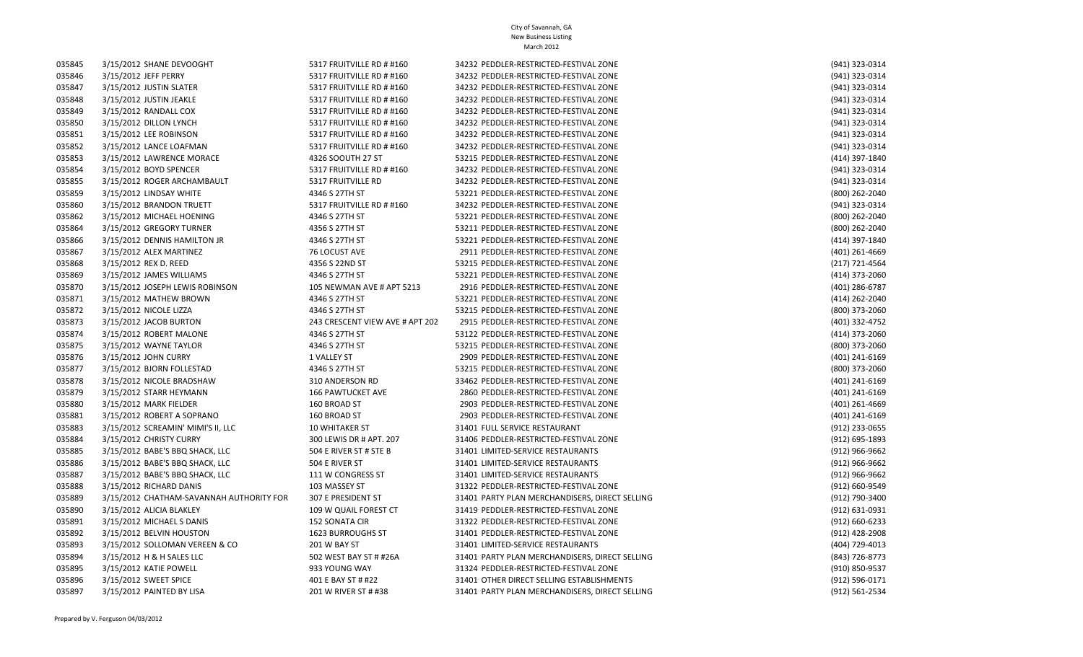| 035845 | 3/15/2012 SHANE DEVOOGHT                 | 5317 FRUITVILLE RD # #160       | 34232 PEDDLER-RESTRICTED-FESTIVAL ZONE         | (941) 323-0314     |
|--------|------------------------------------------|---------------------------------|------------------------------------------------|--------------------|
| 035846 | 3/15/2012 JEFF PERRY                     | 5317 FRUITVILLE RD # #160       | 34232 PEDDLER-RESTRICTED-FESTIVAL ZONE         | (941) 323-0314     |
| 035847 | 3/15/2012 JUSTIN SLATER                  | 5317 FRUITVILLE RD # #160       | 34232 PEDDLER-RESTRICTED-FESTIVAL ZONE         | (941) 323-0314     |
| 035848 | 3/15/2012 JUSTIN JEAKLE                  | 5317 FRUITVILLE RD # #160       | 34232 PEDDLER-RESTRICTED-FESTIVAL ZONE         | (941) 323-0314     |
| 035849 | 3/15/2012 RANDALL COX                    | 5317 FRUITVILLE RD # #160       | 34232 PEDDLER-RESTRICTED-FESTIVAL ZONE         | (941) 323-0314     |
| 035850 | 3/15/2012 DILLON LYNCH                   | 5317 FRUITVILLE RD # #160       | 34232 PEDDLER-RESTRICTED-FESTIVAL ZONE         | (941) 323-0314     |
| 035851 | 3/15/2012 LEE ROBINSON                   | 5317 FRUITVILLE RD # #160       | 34232 PEDDLER-RESTRICTED-FESTIVAL ZONE         | (941) 323-0314     |
| 035852 | 3/15/2012 LANCE LOAFMAN                  | 5317 FRUITVILLE RD # #160       | 34232 PEDDLER-RESTRICTED-FESTIVAL ZONE         | (941) 323-0314     |
| 035853 | 3/15/2012 LAWRENCE MORACE                | 4326 SOOUTH 27 ST               | 53215 PEDDLER-RESTRICTED-FESTIVAL ZONE         | (414) 397-1840     |
| 035854 | 3/15/2012 BOYD SPENCER                   | 5317 FRUITVILLE RD # #160       | 34232 PEDDLER-RESTRICTED-FESTIVAL ZONE         | (941) 323-0314     |
| 035855 | 3/15/2012 ROGER ARCHAMBAULT              | 5317 FRUITVILLE RD              | 34232 PEDDLER-RESTRICTED-FESTIVAL ZONE         | (941) 323-0314     |
| 035859 | 3/15/2012 LINDSAY WHITE                  | 4346 S 27TH ST                  | 53221 PEDDLER-RESTRICTED-FESTIVAL ZONE         | (800) 262-2040     |
| 035860 | 3/15/2012 BRANDON TRUETT                 | 5317 FRUITVILLE RD # #160       | 34232 PEDDLER-RESTRICTED-FESTIVAL ZONE         | (941) 323-0314     |
| 035862 | 3/15/2012 MICHAEL HOENING                | 4346 S 27TH ST                  | 53221 PEDDLER-RESTRICTED-FESTIVAL ZONE         | (800) 262-2040     |
| 035864 | 3/15/2012 GREGORY TURNER                 | 4356 S 27TH ST                  | 53211 PEDDLER-RESTRICTED-FESTIVAL ZONE         | (800) 262-2040     |
| 035866 | 3/15/2012 DENNIS HAMILTON JR             | 4346 S 27TH ST                  | 53221 PEDDLER-RESTRICTED-FESTIVAL ZONE         | (414) 397-1840     |
| 035867 | 3/15/2012 ALEX MARTINEZ                  | 76 LOCUST AVE                   | 2911 PEDDLER-RESTRICTED-FESTIVAL ZONE          | (401) 261-4669     |
| 035868 | 3/15/2012 REX D. REED                    | 4356 S 22ND ST                  | 53215 PEDDLER-RESTRICTED-FESTIVAL ZONE         | $(217) 721 - 4564$ |
| 035869 | 3/15/2012 JAMES WILLIAMS                 | 4346 S 27TH ST                  | 53221 PEDDLER-RESTRICTED-FESTIVAL ZONE         | (414) 373-2060     |
| 035870 | 3/15/2012 JOSEPH LEWIS ROBINSON          | 105 NEWMAN AVE # APT 5213       | 2916 PEDDLER-RESTRICTED-FESTIVAL ZONE          | (401) 286-6787     |
| 035871 | 3/15/2012 MATHEW BROWN                   | 4346 S 27TH ST                  | 53221 PEDDLER-RESTRICTED-FESTIVAL ZONE         | (414) 262-2040     |
| 035872 | 3/15/2012 NICOLE LIZZA                   | 4346 S 27TH ST                  | 53215 PEDDLER-RESTRICTED-FESTIVAL ZONE         | (800) 373-2060     |
| 035873 | 3/15/2012 JACOB BURTON                   | 243 CRESCENT VIEW AVE # APT 202 | 2915 PEDDLER-RESTRICTED-FESTIVAL ZONE          | (401) 332-4752     |
| 035874 | 3/15/2012 ROBERT MALONE                  | 4346 S 27TH ST                  | 53122 PEDDLER-RESTRICTED-FESTIVAL ZONE         | (414) 373-2060     |
| 035875 | 3/15/2012 WAYNE TAYLOR                   | 4346 S 27TH ST                  | 53215 PEDDLER-RESTRICTED-FESTIVAL ZONE         | (800) 373-2060     |
| 035876 | 3/15/2012 JOHN CURRY                     | 1 VALLEY ST                     | 2909 PEDDLER-RESTRICTED-FESTIVAL ZONE          | (401) 241-6169     |
| 035877 | 3/15/2012 BJORN FOLLESTAD                | 4346 S 27TH ST                  | 53215 PEDDLER-RESTRICTED-FESTIVAL ZONE         | (800) 373-2060     |
| 035878 | 3/15/2012 NICOLE BRADSHAW                | 310 ANDERSON RD                 | 33462 PEDDLER-RESTRICTED-FESTIVAL ZONE         | (401) 241-6169     |
| 035879 | 3/15/2012 STARR HEYMANN                  | <b>166 PAWTUCKET AVE</b>        | 2860 PEDDLER-RESTRICTED-FESTIVAL ZONE          | (401) 241-6169     |
| 035880 | 3/15/2012 MARK FIELDER                   | 160 BROAD ST                    | 2903 PEDDLER-RESTRICTED-FESTIVAL ZONE          | (401) 261-4669     |
| 035881 | 3/15/2012 ROBERT A SOPRANO               | 160 BROAD ST                    | 2903 PEDDLER-RESTRICTED-FESTIVAL ZONE          | (401) 241-6169     |
| 035883 | 3/15/2012 SCREAMIN' MIMI'S II, LLC       | <b>10 WHITAKER ST</b>           | 31401 FULL SERVICE RESTAURANT                  | (912) 233-0655     |
| 035884 | 3/15/2012 CHRISTY CURRY                  | 300 LEWIS DR # APT. 207         | 31406 PEDDLER-RESTRICTED-FESTIVAL ZONE         | (912) 695-1893     |
| 035885 | 3/15/2012 BABE'S BBQ SHACK, LLC          | 504 E RIVER ST # STE B          | 31401 LIMITED-SERVICE RESTAURANTS              | (912) 966-9662     |
| 035886 | 3/15/2012 BABE'S BBQ SHACK, LLC          | 504 E RIVER ST                  | 31401 LIMITED-SERVICE RESTAURANTS              | (912) 966-9662     |
| 035887 | 3/15/2012 BABE'S BBQ SHACK, LLC          | 111 W CONGRESS ST               | 31401 LIMITED-SERVICE RESTAURANTS              | (912) 966-9662     |
| 035888 | 3/15/2012 RICHARD DANIS                  | 103 MASSEY ST                   | 31322 PEDDLER-RESTRICTED-FESTIVAL ZONE         | (912) 660-9549     |
| 035889 | 3/15/2012 CHATHAM-SAVANNAH AUTHORITY FOR | 307 E PRESIDENT ST              | 31401 PARTY PLAN MERCHANDISERS, DIRECT SELLING | (912) 790-3400     |
| 035890 | 3/15/2012 ALICIA BLAKLEY                 | 109 W QUAIL FOREST CT           | 31419 PEDDLER-RESTRICTED-FESTIVAL ZONE         | (912) 631-0931     |
| 035891 | 3/15/2012 MICHAEL S DANIS                | 152 SONATA CIR                  | 31322 PEDDLER-RESTRICTED-FESTIVAL ZONE         | (912) 660-6233     |
| 035892 | 3/15/2012 BELVIN HOUSTON                 | 1623 BURROUGHS ST               | 31401 PEDDLER-RESTRICTED-FESTIVAL ZONE         | (912) 428-2908     |
| 035893 | 3/15/2012 SOLLOMAN VEREEN & CO           | 201 W BAY ST                    | 31401 LIMITED-SERVICE RESTAURANTS              | (404) 729-4013     |
| 035894 | 3/15/2012 H & H SALES LLC                | 502 WEST BAY ST # #26A          | 31401 PARTY PLAN MERCHANDISERS, DIRECT SELLING | (843) 726-8773     |
| 035895 | 3/15/2012 KATIE POWELL                   | 933 YOUNG WAY                   | 31324 PEDDLER-RESTRICTED-FESTIVAL ZONE         | (910) 850-9537     |
| 035896 | 3/15/2012 SWEET SPICE                    | 401 E BAY ST # #22              | 31401 OTHER DIRECT SELLING ESTABLISHMENTS      | (912) 596-0171     |
| 035897 | 3/15/2012 PAINTED BY LISA                | 201 W RIVER ST # #38            | 31401 PARTY PLAN MERCHANDISERS, DIRECT SELLING | (912) 561-2534     |
|        |                                          |                                 |                                                |                    |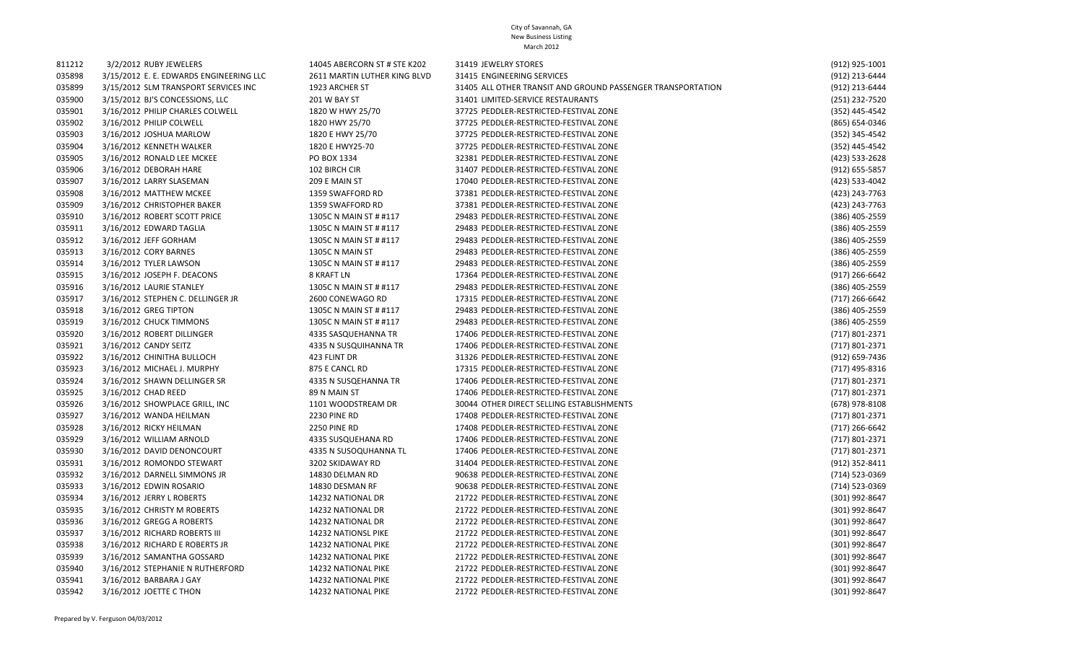| 811212 | 3/2/2012 RUBY JEWELERS                  | 14045 ABERCORN ST # STE K202 | 31419 JEWELRY STORES                                        | (912) 925-1001   |
|--------|-----------------------------------------|------------------------------|-------------------------------------------------------------|------------------|
| 035898 | 3/15/2012 E. E. EDWARDS ENGINEERING LLC | 2611 MARTIN LUTHER KING BLVD | 31415 ENGINEERING SERVICES                                  | (912) 213-6444   |
| 035899 | 3/15/2012 SLM TRANSPORT SERVICES INC    | 1923 ARCHER ST               | 31405 ALL OTHER TRANSIT AND GROUND PASSENGER TRANSPORTATION | (912) 213-6444   |
| 035900 | 3/15/2012 BJ'S CONCESSIONS, LLC         | 201 W BAY ST                 | 31401 LIMITED-SERVICE RESTAURANTS                           | (251) 232-7520   |
| 035901 | 3/16/2012 PHILIP CHARLES COLWELL        | 1820 W HWY 25/70             | 37725 PEDDLER-RESTRICTED-FESTIVAL ZONE                      | (352) 445-4542   |
| 035902 | 3/16/2012 PHILIP COLWELL                | 1820 HWY 25/70               | 37725 PEDDLER-RESTRICTED-FESTIVAL ZONE                      | (865) 654-0346   |
| 035903 | 3/16/2012 JOSHUA MARLOW                 | 1820 E HWY 25/70             | 37725 PEDDLER-RESTRICTED-FESTIVAL ZONE                      | (352) 345-4542   |
| 035904 | 3/16/2012 KENNETH WALKER                | 1820 E HWY25-70              | 37725 PEDDLER-RESTRICTED-FESTIVAL ZONE                      | (352) 445-4542   |
| 035905 | 3/16/2012 RONALD LEE MCKEE              | PO BOX 1334                  | 32381 PEDDLER-RESTRICTED-FESTIVAL ZONE                      | (423) 533-2628   |
| 035906 | 3/16/2012 DEBORAH HARE                  | 102 BIRCH CIR                | 31407 PEDDLER-RESTRICTED-FESTIVAL ZONE                      | $(912)$ 655-5857 |
| 035907 | 3/16/2012 LARRY SLASEMAN                | 209 E MAIN ST                | 17040 PEDDLER-RESTRICTED-FESTIVAL ZONE                      | (423) 533-4042   |
| 035908 | 3/16/2012 MATTHEW MCKEE                 | 1359 SWAFFORD RD             | 37381 PEDDLER-RESTRICTED-FESTIVAL ZONE                      | (423) 243-7763   |
| 035909 | 3/16/2012 CHRISTOPHER BAKER             | 1359 SWAFFORD RD             | 37381 PEDDLER-RESTRICTED-FESTIVAL ZONE                      | (423) 243-7763   |
| 035910 | 3/16/2012 ROBERT SCOTT PRICE            | 1305C N MAIN ST # #117       | 29483 PEDDLER-RESTRICTED-FESTIVAL ZONE                      | (386) 405-2559   |
| 035911 | 3/16/2012 EDWARD TAGLIA                 | 1305C N MAIN ST # #117       | 29483 PEDDLER-RESTRICTED-FESTIVAL ZONE                      | (386) 405-2559   |
| 035912 | 3/16/2012 JEFF GORHAM                   | 1305C N MAIN ST # #117       | 29483 PEDDLER-RESTRICTED-FESTIVAL ZONE                      | (386) 405-2559   |
| 035913 | 3/16/2012 CORY BARNES                   | 1305C N MAIN ST              | 29483 PEDDLER-RESTRICTED-FESTIVAL ZONE                      | (386) 405-2559   |
| 035914 | 3/16/2012 TYLER LAWSON                  | 1305C N MAIN ST # #117       | 29483 PEDDLER-RESTRICTED-FESTIVAL ZONE                      | (386) 405-2559   |
| 035915 | 3/16/2012 JOSEPH F. DEACONS             | 8 KRAFT LN                   | 17364 PEDDLER-RESTRICTED-FESTIVAL ZONE                      | $(917)$ 266-6642 |
| 035916 | 3/16/2012 LAURIE STANLEY                | 1305C N MAIN ST # #117       | 29483 PEDDLER-RESTRICTED-FESTIVAL ZONE                      | (386) 405-2559   |
| 035917 | 3/16/2012 STEPHEN C. DELLINGER JR       | 2600 CONEWAGO RD             | 17315 PEDDLER-RESTRICTED-FESTIVAL ZONE                      | (717) 266-6642   |
| 035918 | 3/16/2012 GREG TIPTON                   | 1305C N MAIN ST # #117       | 29483 PEDDLER-RESTRICTED-FESTIVAL ZONE                      | (386) 405-2559   |
| 035919 | 3/16/2012 CHUCK TIMMONS                 | 1305C N MAIN ST # #117       | 29483 PEDDLER-RESTRICTED-FESTIVAL ZONE                      | (386) 405-2559   |
| 035920 | 3/16/2012 ROBERT DILLINGER              | 4335 SASQUEHANNA TR          | 17406 PEDDLER-RESTRICTED-FESTIVAL ZONE                      | (717) 801-2371   |
| 035921 | 3/16/2012 CANDY SEITZ                   | 4335 N SUSQUIHANNA TR        | 17406 PEDDLER-RESTRICTED-FESTIVAL ZONE                      | (717) 801-2371   |
| 035922 | 3/16/2012 CHINITHA BULLOCH              | 423 FLINT DR                 | 31326 PEDDLER-RESTRICTED-FESTIVAL ZONE                      | (912) 659-7436   |
| 035923 | 3/16/2012 MICHAEL J. MURPHY             | 875 E CANCL RD               | 17315 PEDDLER-RESTRICTED-FESTIVAL ZONE                      | (717) 495-8316   |
| 035924 | 3/16/2012 SHAWN DELLINGER SR            | 4335 N SUSQEHANNA TR         | 17406 PEDDLER-RESTRICTED-FESTIVAL ZONE                      | (717) 801-2371   |
| 035925 | 3/16/2012 CHAD REED                     | 89 N MAIN ST                 | 17406 PEDDLER-RESTRICTED-FESTIVAL ZONE                      | (717) 801-2371   |
| 035926 | 3/16/2012 SHOWPLACE GRILL, INC          | 1101 WOODSTREAM DR           | 30044 OTHER DIRECT SELLING ESTABLISHMENTS                   | (678) 978-8108   |
| 035927 | 3/16/2012 WANDA HEILMAN                 | <b>2230 PINE RD</b>          | 17408 PEDDLER-RESTRICTED-FESTIVAL ZONE                      | (717) 801-2371   |
| 035928 | 3/16/2012 RICKY HEILMAN                 | <b>2250 PINE RD</b>          | 17408 PEDDLER-RESTRICTED-FESTIVAL ZONE                      | (717) 266-6642   |
| 035929 | 3/16/2012 WILLIAM ARNOLD                | 4335 SUSQUEHANA RD           | 17406 PEDDLER-RESTRICTED-FESTIVAL ZONE                      | (717) 801-2371   |
| 035930 | 3/16/2012 DAVID DENONCOURT              | 4335 N SUSOQUHANNA TL        | 17406 PEDDLER-RESTRICTED-FESTIVAL ZONE                      | (717) 801-2371   |
| 035931 | 3/16/2012 ROMONDO STEWART               | 3202 SKIDAWAY RD             | 31404 PEDDLER-RESTRICTED-FESTIVAL ZONE                      | (912) 352-8411   |
| 035932 | 3/16/2012 DARNELL SIMMONS JR            | 14830 DELMAN RD              | 90638 PEDDLER-RESTRICTED-FESTIVAL ZONE                      | (714) 523-0369   |
| 035933 | 3/16/2012 EDWIN ROSARIO                 | 14830 DESMAN RF              | 90638 PEDDLER-RESTRICTED-FESTIVAL ZONE                      | (714) 523-0369   |
| 035934 | 3/16/2012 JERRY L ROBERTS               | 14232 NATIONAL DR            | 21722 PEDDLER-RESTRICTED-FESTIVAL ZONE                      | (301) 992-8647   |
| 035935 | 3/16/2012 CHRISTY M ROBERTS             | 14232 NATIONAL DR            | 21722 PEDDLER-RESTRICTED-FESTIVAL ZONE                      | (301) 992-8647   |
| 035936 | 3/16/2012 GREGG A ROBERTS               | 14232 NATIONAL DR            | 21722 PEDDLER-RESTRICTED-FESTIVAL ZONE                      | (301) 992-8647   |
| 035937 | 3/16/2012 RICHARD ROBERTS III           | 14232 NATIONSL PIKE          | 21722 PEDDLER-RESTRICTED-FESTIVAL ZONE                      | (301) 992-8647   |
| 035938 | 3/16/2012 RICHARD E ROBERTS JR          | 14232 NATIONAL PIKE          | 21722 PEDDLER-RESTRICTED-FESTIVAL ZONE                      | (301) 992-8647   |
| 035939 | 3/16/2012 SAMANTHA GOSSARD              | 14232 NATIONAL PIKE          | 21722 PEDDLER-RESTRICTED-FESTIVAL ZONE                      | (301) 992-8647   |
| 035940 | 3/16/2012 STEPHANIE N RUTHERFORD        | 14232 NATIONAL PIKE          | 21722 PEDDLER-RESTRICTED-FESTIVAL ZONE                      | (301) 992-8647   |
| 035941 | 3/16/2012 BARBARA J GAY                 | 14232 NATIONAL PIKE          | 21722 PEDDLER-RESTRICTED-FESTIVAL ZONE                      | (301) 992-8647   |
| 035942 | 3/16/2012 JOETTE C THON                 | 14232 NATIONAL PIKE          | 21722 PEDDLER-RESTRICTED-FESTIVAL ZONE                      | (301) 992-8647   |
|        |                                         |                              |                                                             |                  |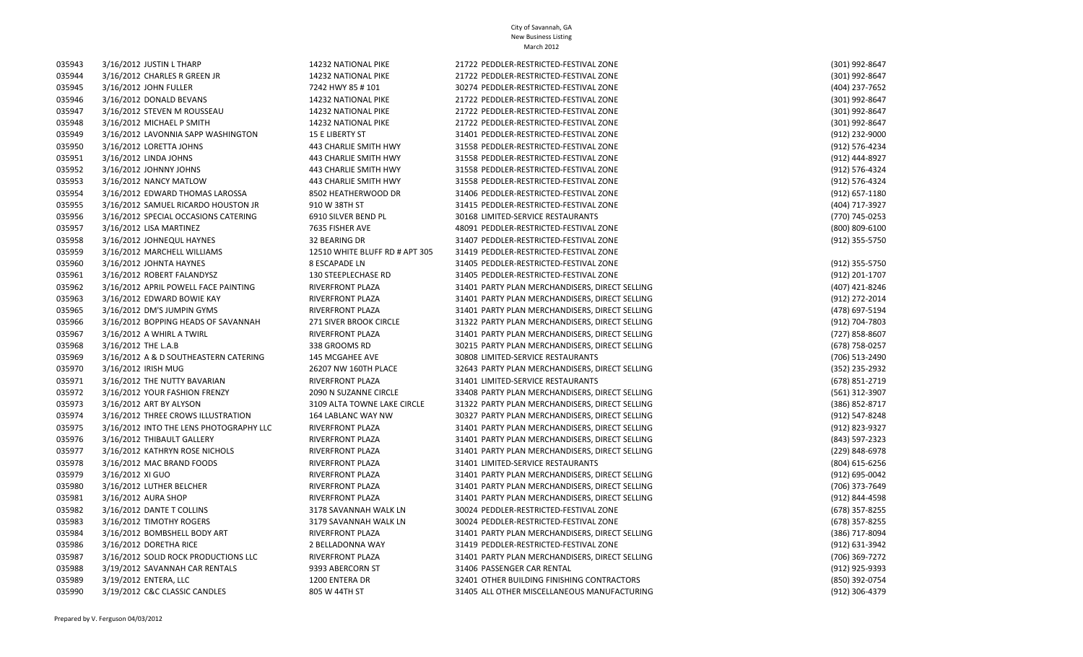| 035943 | 3/16/2012 JUSTIN L THARP                | 14232 NATIONAL PIKE            | 21722 PEDDLER-RESTRICTED-FESTIVAL ZONE         | (301) 992-8647     |
|--------|-----------------------------------------|--------------------------------|------------------------------------------------|--------------------|
| 035944 | 3/16/2012 CHARLES R GREEN JR            | 14232 NATIONAL PIKE            | 21722 PEDDLER-RESTRICTED-FESTIVAL ZONE         | (301) 992-8647     |
| 035945 | 3/16/2012 JOHN FULLER                   | 7242 HWY 85 #101               | 30274 PEDDLER-RESTRICTED-FESTIVAL ZONE         | (404) 237-7652     |
| 035946 | 3/16/2012 DONALD BEVANS                 | 14232 NATIONAL PIKE            | 21722 PEDDLER-RESTRICTED-FESTIVAL ZONE         | (301) 992-8647     |
| 035947 | 3/16/2012 STEVEN M ROUSSEAU             | 14232 NATIONAL PIKE            | 21722 PEDDLER-RESTRICTED-FESTIVAL ZONE         | (301) 992-8647     |
| 035948 | 3/16/2012 MICHAEL P SMITH               | 14232 NATIONAL PIKE            | 21722 PEDDLER-RESTRICTED-FESTIVAL ZONE         | (301) 992-8647     |
| 035949 | 3/16/2012 LAVONNIA SAPP WASHINGTON      | 15 E LIBERTY ST                | 31401 PEDDLER-RESTRICTED-FESTIVAL ZONE         | (912) 232-9000     |
| 035950 | 3/16/2012 LORETTA JOHNS                 | 443 CHARLIE SMITH HWY          | 31558 PEDDLER-RESTRICTED-FESTIVAL ZONE         | (912) 576-4234     |
| 035951 | 3/16/2012 LINDA JOHNS                   | 443 CHARLIE SMITH HWY          | 31558 PEDDLER-RESTRICTED-FESTIVAL ZONE         | (912) 444-8927     |
| 035952 | 3/16/2012 JOHNNY JOHNS                  | 443 CHARLIE SMITH HWY          | 31558 PEDDLER-RESTRICTED-FESTIVAL ZONE         | (912) 576-4324     |
| 035953 | 3/16/2012 NANCY MATLOW                  | 443 CHARLIE SMITH HWY          | 31558 PEDDLER-RESTRICTED-FESTIVAL ZONE         | (912) 576-4324     |
| 035954 | 3/16/2012 EDWARD THOMAS LAROSSA         | 8502 HEATHERWOOD DR            | 31406 PEDDLER-RESTRICTED-FESTIVAL ZONE         | $(912) 657 - 1180$ |
| 035955 | 3/16/2012 SAMUEL RICARDO HOUSTON JR     | 910 W 38TH ST                  | 31415 PEDDLER-RESTRICTED-FESTIVAL ZONE         | (404) 717-3927     |
| 035956 | 3/16/2012 SPECIAL OCCASIONS CATERING    | 6910 SILVER BEND PL            | 30168 LIMITED-SERVICE RESTAURANTS              | (770) 745-0253     |
| 035957 | 3/16/2012 LISA MARTINEZ                 | 7635 FISHER AVE                | 48091 PEDDLER-RESTRICTED-FESTIVAL ZONE         | (800) 809-6100     |
| 035958 | 3/16/2012 JOHNEQUL HAYNES               | <b>32 BEARING DR</b>           | 31407 PEDDLER-RESTRICTED-FESTIVAL ZONE         | (912) 355-5750     |
| 035959 | 3/16/2012 MARCHELL WILLIAMS             | 12510 WHITE BLUFF RD # APT 305 | 31419 PEDDLER-RESTRICTED-FESTIVAL ZONE         |                    |
| 035960 | 3/16/2012 JOHNTA HAYNES                 | 8 ESCAPADE LN                  | 31405 PEDDLER-RESTRICTED-FESTIVAL ZONE         | (912) 355-5750     |
| 035961 | 3/16/2012 ROBERT FALANDYSZ              | 130 STEEPLECHASE RD            | 31405 PEDDLER-RESTRICTED-FESTIVAL ZONE         | (912) 201-1707     |
| 035962 | 3/16/2012 APRIL POWELL FACE PAINTING    | RIVERFRONT PLAZA               | 31401 PARTY PLAN MERCHANDISERS, DIRECT SELLING | (407) 421-8246     |
| 035963 | 3/16/2012 EDWARD BOWIE KAY              | RIVERFRONT PLAZA               | 31401 PARTY PLAN MERCHANDISERS, DIRECT SELLING | (912) 272-2014     |
| 035965 | 3/16/2012 DM'S JUMPIN GYMS              | RIVERFRONT PLAZA               | 31401 PARTY PLAN MERCHANDISERS, DIRECT SELLING | (478) 697-5194     |
| 035966 | 3/16/2012 BOPPING HEADS OF SAVANNAH     | 271 SIVER BROOK CIRCLE         | 31322 PARTY PLAN MERCHANDISERS, DIRECT SELLING | (912) 704-7803     |
| 035967 | 3/16/2012 A WHIRL A TWIRL               | RIVERFRONT PLAZA               | 31401 PARTY PLAN MERCHANDISERS, DIRECT SELLING | (727) 858-8607     |
| 035968 | 3/16/2012 THE L.A.B                     | 338 GROOMS RD                  | 30215 PARTY PLAN MERCHANDISERS, DIRECT SELLING | (678) 758-0257     |
| 035969 | 3/16/2012 A & D SOUTHEASTERN CATERING   | 145 MCGAHEE AVE                | 30808 LIMITED-SERVICE RESTAURANTS              | (706) 513-2490     |
| 035970 | 3/16/2012 IRISH MUG                     | 26207 NW 160TH PLACE           | 32643 PARTY PLAN MERCHANDISERS, DIRECT SELLING | (352) 235-2932     |
| 035971 | 3/16/2012 THE NUTTY BAVARIAN            | RIVERFRONT PLAZA               | 31401 LIMITED-SERVICE RESTAURANTS              | (678) 851-2719     |
| 035972 | 3/16/2012 YOUR FASHION FRENZY           | 2090 N SUZANNE CIRCLE          | 33408 PARTY PLAN MERCHANDISERS, DIRECT SELLING | (561) 312-3907     |
| 035973 | 3/16/2012 ART BY ALYSON                 | 3109 ALTA TOWNE LAKE CIRCLE    | 31322 PARTY PLAN MERCHANDISERS, DIRECT SELLING | (386) 852-8717     |
| 035974 | 3/16/2012 THREE CROWS ILLUSTRATION      | 164 LABLANC WAY NW             | 30327 PARTY PLAN MERCHANDISERS, DIRECT SELLING | (912) 547-8248     |
| 035975 | 3/16/2012 INTO THE LENS PHOTOGRAPHY LLC | RIVERFRONT PLAZA               | 31401 PARTY PLAN MERCHANDISERS, DIRECT SELLING | (912) 823-9327     |
| 035976 | 3/16/2012 THIBAULT GALLERY              | RIVERFRONT PLAZA               | 31401 PARTY PLAN MERCHANDISERS, DIRECT SELLING | (843) 597-2323     |
| 035977 | 3/16/2012 KATHRYN ROSE NICHOLS          | RIVERFRONT PLAZA               | 31401 PARTY PLAN MERCHANDISERS, DIRECT SELLING | (229) 848-6978     |
| 035978 | 3/16/2012 MAC BRAND FOODS               | RIVERFRONT PLAZA               | 31401 LIMITED-SERVICE RESTAURANTS              | (804) 615-6256     |
| 035979 | 3/16/2012 XI GUO                        | RIVERFRONT PLAZA               | 31401 PARTY PLAN MERCHANDISERS, DIRECT SELLING | (912) 695-0042     |
| 035980 | 3/16/2012 LUTHER BELCHER                | RIVERFRONT PLAZA               | 31401 PARTY PLAN MERCHANDISERS, DIRECT SELLING | (706) 373-7649     |
| 035981 | 3/16/2012 AURA SHOP                     | RIVERFRONT PLAZA               | 31401 PARTY PLAN MERCHANDISERS, DIRECT SELLING | (912) 844-4598     |
| 035982 | 3/16/2012 DANTE T COLLINS               | 3178 SAVANNAH WALK LN          | 30024 PEDDLER-RESTRICTED-FESTIVAL ZONE         | (678) 357-8255     |
| 035983 | 3/16/2012 TIMOTHY ROGERS                | 3179 SAVANNAH WALK LN          | 30024 PEDDLER-RESTRICTED-FESTIVAL ZONE         | (678) 357-8255     |
| 035984 | 3/16/2012 BOMBSHELL BODY ART            | RIVERFRONT PLAZA               | 31401 PARTY PLAN MERCHANDISERS, DIRECT SELLING | (386) 717-8094     |
| 035986 | 3/16/2012 DORETHA RICE                  | 2 BELLADONNA WAY               | 31419 PEDDLER-RESTRICTED-FESTIVAL ZONE         | (912) 631-3942     |
| 035987 | 3/16/2012 SOLID ROCK PRODUCTIONS LLC    | RIVERFRONT PLAZA               | 31401 PARTY PLAN MERCHANDISERS, DIRECT SELLING | (706) 369-7272     |
| 035988 | 3/19/2012 SAVANNAH CAR RENTALS          | 9393 ABERCORN ST               | 31406 PASSENGER CAR RENTAL                     | (912) 925-9393     |
| 035989 | 3/19/2012 ENTERA, LLC                   | 1200 ENTERA DR                 | 32401 OTHER BUILDING FINISHING CONTRACTORS     | (850) 392-0754     |
| 035990 | 3/19/2012 C&C CLASSIC CANDLES           | 805 W 44TH ST                  | 31405 ALL OTHER MISCELLANEOUS MANUFACTURING    | (912) 306-4379     |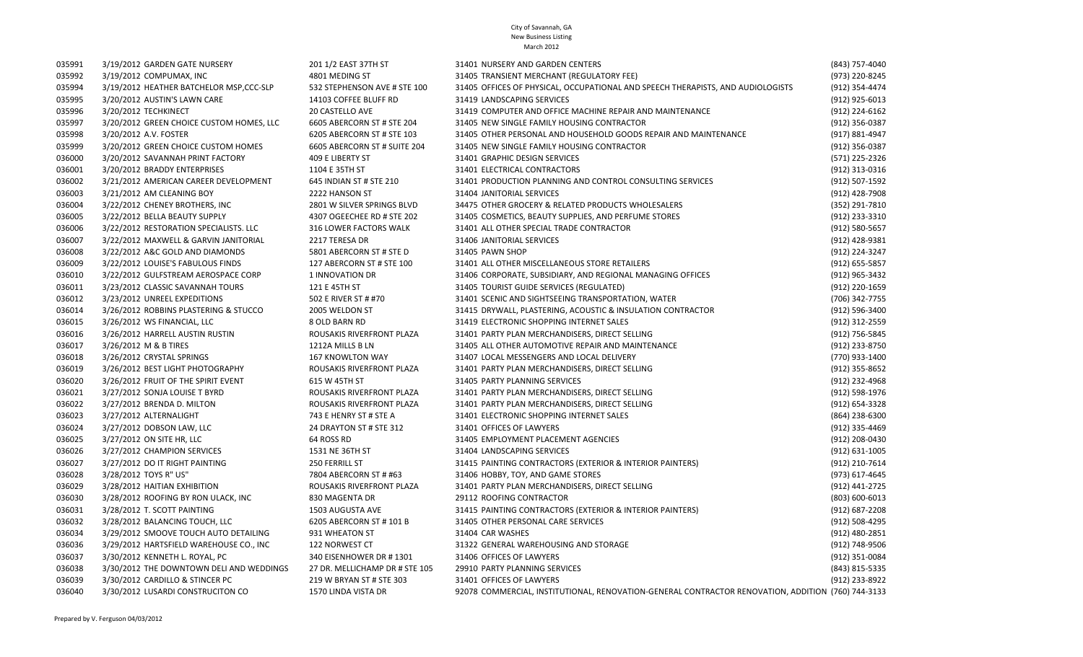| 035991 | 3/19/2012 GARDEN GATE NURSERY            | 201 1/2 EAST 37TH ST           | 31401 NURSERY AND GARDEN CENTERS                                                                   | (843) 757-4040     |
|--------|------------------------------------------|--------------------------------|----------------------------------------------------------------------------------------------------|--------------------|
| 035992 | 3/19/2012 COMPUMAX, INC                  | 4801 MEDING ST                 | 31405 TRANSIENT MERCHANT (REGULATORY FEE)                                                          | (973) 220-8245     |
| 035994 | 3/19/2012 HEATHER BATCHELOR MSP, CCC-SLP | 532 STEPHENSON AVE # STE 100   | 31405 OFFICES OF PHYSICAL, OCCUPATIONAL AND SPEECH THERAPISTS, AND AUDIOLOGISTS                    | (912) 354-4474     |
| 035995 | 3/20/2012 AUSTIN'S LAWN CARE             | 14103 COFFEE BLUFF RD          | 31419 LANDSCAPING SERVICES                                                                         | (912) 925-6013     |
| 035996 | 3/20/2012 TECHKINECT                     | <b>20 CASTELLO AVE</b>         | 31419 COMPUTER AND OFFICE MACHINE REPAIR AND MAINTENANCE                                           | (912) 224-6162     |
| 035997 | 3/20/2012 GREEN CHOICE CUSTOM HOMES, LLC | 6605 ABERCORN ST # STE 204     | 31405 NEW SINGLE FAMILY HOUSING CONTRACTOR                                                         | $(912)$ 356-0387   |
| 035998 | 3/20/2012 A.V. FOSTER                    | 6205 ABERCORN ST # STE 103     | 31405 OTHER PERSONAL AND HOUSEHOLD GOODS REPAIR AND MAINTENANCE                                    | (917) 881-4947     |
| 035999 | 3/20/2012 GREEN CHOICE CUSTOM HOMES      | 6605 ABERCORN ST # SUITE 204   | 31405 NEW SINGLE FAMILY HOUSING CONTRACTOR                                                         | (912) 356-0387     |
| 036000 | 3/20/2012 SAVANNAH PRINT FACTORY         | 409 E LIBERTY ST               | 31401 GRAPHIC DESIGN SERVICES                                                                      | (571) 225-2326     |
| 036001 | 3/20/2012 BRADDY ENTERPRISES             | 1104 E 35TH ST                 | 31401 ELECTRICAL CONTRACTORS                                                                       | (912) 313-0316     |
| 036002 | 3/21/2012 AMERICAN CAREER DEVELOPMENT    | 645 INDIAN ST # STE 210        | 31401 PRODUCTION PLANNING AND CONTROL CONSULTING SERVICES                                          | (912) 507-1592     |
| 036003 | 3/21/2012 AM CLEANING BOY                | 2222 HANSON ST                 | 31404 JANITORIAL SERVICES                                                                          | (912) 428-7908     |
| 036004 | 3/22/2012 CHENEY BROTHERS, INC           | 2801 W SILVER SPRINGS BLVD     | 34475 OTHER GROCERY & RELATED PRODUCTS WHOLESALERS                                                 | (352) 291-7810     |
| 036005 | 3/22/2012 BELLA BEAUTY SUPPLY            | 4307 OGEECHEE RD # STE 202     | 31405 COSMETICS, BEAUTY SUPPLIES, AND PERFUME STORES                                               | (912) 233-3310     |
| 036006 | 3/22/2012 RESTORATION SPECIALISTS. LLC   | 316 LOWER FACTORS WALK         | 31401 ALL OTHER SPECIAL TRADE CONTRACTOR                                                           | (912) 580-5657     |
| 036007 | 3/22/2012 MAXWELL & GARVIN JANITORIAL    | 2217 TERESA DR                 | 31406 JANITORIAL SERVICES                                                                          | (912) 428-9381     |
| 036008 | 3/22/2012 A&C GOLD AND DIAMONDS          | 5801 ABERCORN ST # STE D       | 31405 PAWN SHOP                                                                                    | (912) 224-3247     |
| 036009 | 3/22/2012 LOUISE'S FABULOUS FINDS        | 127 ABERCORN ST # STE 100      | 31401 ALL OTHER MISCELLANEOUS STORE RETAILERS                                                      | (912) 655-5857     |
| 036010 | 3/22/2012 GULFSTREAM AEROSPACE CORP      | 1 INNOVATION DR                | 31406 CORPORATE, SUBSIDIARY, AND REGIONAL MANAGING OFFICES                                         | (912) 965-3432     |
| 036011 | 3/23/2012 CLASSIC SAVANNAH TOURS         | 121 E 45TH ST                  | 31405 TOURIST GUIDE SERVICES (REGULATED)                                                           | (912) 220-1659     |
| 036012 | 3/23/2012 UNREEL EXPEDITIONS             | 502 E RIVER ST # #70           | 31401 SCENIC AND SIGHTSEEING TRANSPORTATION, WATER                                                 | (706) 342-7755     |
| 036014 | 3/26/2012 ROBBINS PLASTERING & STUCCO    | 2005 WELDON ST                 | 31415 DRYWALL, PLASTERING, ACOUSTIC & INSULATION CONTRACTOR                                        | (912) 596-3400     |
| 036015 | 3/26/2012 WS FINANCIAL, LLC              | 8 OLD BARN RD                  | 31419 ELECTRONIC SHOPPING INTERNET SALES                                                           | (912) 312-2559     |
| 036016 | 3/26/2012 HARRELL AUSTIN RUSTIN          | ROUSAKIS RIVERFRONT PLAZA      | 31401 PARTY PLAN MERCHANDISERS, DIRECT SELLING                                                     | (912) 756-5845     |
| 036017 | 3/26/2012 M & B TIRES                    | 1212A MILLS B LN               | 31405 ALL OTHER AUTOMOTIVE REPAIR AND MAINTENANCE                                                  | (912) 233-8750     |
| 036018 | 3/26/2012 CRYSTAL SPRINGS                | <b>167 KNOWLTON WAY</b>        | 31407 LOCAL MESSENGERS AND LOCAL DELIVERY                                                          | (770) 933-1400     |
| 036019 | 3/26/2012 BEST LIGHT PHOTOGRAPHY         | ROUSAKIS RIVERFRONT PLAZA      | 31401 PARTY PLAN MERCHANDISERS, DIRECT SELLING                                                     | (912) 355-8652     |
| 036020 | 3/26/2012 FRUIT OF THE SPIRIT EVENT      | 615 W 45TH ST                  | 31405 PARTY PLANNING SERVICES                                                                      | (912) 232-4968     |
| 036021 | 3/27/2012 SONJA LOUISE T BYRD            | ROUSAKIS RIVERFRONT PLAZA      | 31401 PARTY PLAN MERCHANDISERS, DIRECT SELLING                                                     | (912) 598-1976     |
| 036022 | 3/27/2012 BRENDA D. MILTON               | ROUSAKIS RIVERFRONT PLAZA      | 31401 PARTY PLAN MERCHANDISERS, DIRECT SELLING                                                     | (912) 654-3328     |
| 036023 | 3/27/2012 ALTERNALIGHT                   | 743 E HENRY ST # STE A         | 31401 ELECTRONIC SHOPPING INTERNET SALES                                                           | (864) 238-6300     |
| 036024 | 3/27/2012 DOBSON LAW, LLC                | 24 DRAYTON ST # STE 312        | 31401 OFFICES OF LAWYERS                                                                           | (912) 335-4469     |
| 036025 | 3/27/2012 ON SITE HR, LLC                | 64 ROSS RD                     | 31405 EMPLOYMENT PLACEMENT AGENCIES                                                                | (912) 208-0430     |
| 036026 | 3/27/2012 CHAMPION SERVICES              | 1531 NE 36TH ST                | 31404 LANDSCAPING SERVICES                                                                         | $(912) 631 - 1005$ |
| 036027 | 3/27/2012 DO IT RIGHT PAINTING           | 250 FERRILL ST                 | 31415 PAINTING CONTRACTORS (EXTERIOR & INTERIOR PAINTERS)                                          | (912) 210-7614     |
| 036028 | 3/28/2012 TOYS R" US"                    | 7804 ABERCORN ST # #63         | 31406 HOBBY, TOY, AND GAME STORES                                                                  | (973) 617-4645     |
| 036029 | 3/28/2012 HAITIAN EXHIBITION             | ROUSAKIS RIVERFRONT PLAZA      | 31401 PARTY PLAN MERCHANDISERS, DIRECT SELLING                                                     | (912) 441-2725     |
| 036030 | 3/28/2012 ROOFING BY RON ULACK, INC      | 830 MAGENTA DR                 | 29112 ROOFING CONTRACTOR                                                                           | (803) 600-6013     |
| 036031 | 3/28/2012 T. SCOTT PAINTING              | 1503 AUGUSTA AVE               | 31415 PAINTING CONTRACTORS (EXTERIOR & INTERIOR PAINTERS)                                          | $(912) 687 - 2208$ |
| 036032 | 3/28/2012 BALANCING TOUCH, LLC           | 6205 ABERCORN ST # 101 B       | 31405 OTHER PERSONAL CARE SERVICES                                                                 | (912) 508-4295     |
| 036034 | 3/29/2012 SMOOVE TOUCH AUTO DETAILING    | 931 WHEATON ST                 | 31404 CAR WASHES                                                                                   | (912) 480-2851     |
| 036036 | 3/29/2012 HARTSFIELD WAREHOUSE CO., INC  | 122 NORWEST CT                 | 31322 GENERAL WAREHOUSING AND STORAGE                                                              | (912) 748-9506     |
| 036037 | 3/30/2012 KENNETH L. ROYAL, PC           | 340 EISENHOWER DR #1301        | 31406 OFFICES OF LAWYERS                                                                           | (912) 351-0084     |
| 036038 | 3/30/2012 THE DOWNTOWN DELI AND WEDDINGS | 27 DR. MELLICHAMP DR # STE 105 | 29910 PARTY PLANNING SERVICES                                                                      | (843) 815-5335     |
| 036039 | 3/30/2012 CARDILLO & STINCER PC          | 219 W BRYAN ST # STE 303       | 31401 OFFICES OF LAWYERS                                                                           | (912) 233-8922     |
| 036040 | 3/30/2012 LUSARDI CONSTRUCITON CO        | 1570 LINDA VISTA DR            | 92078 COMMERCIAL, INSTITUTIONAL, RENOVATION-GENERAL CONTRACTOR RENOVATION, ADDITION (760) 744-3133 |                    |
|        |                                          |                                |                                                                                                    |                    |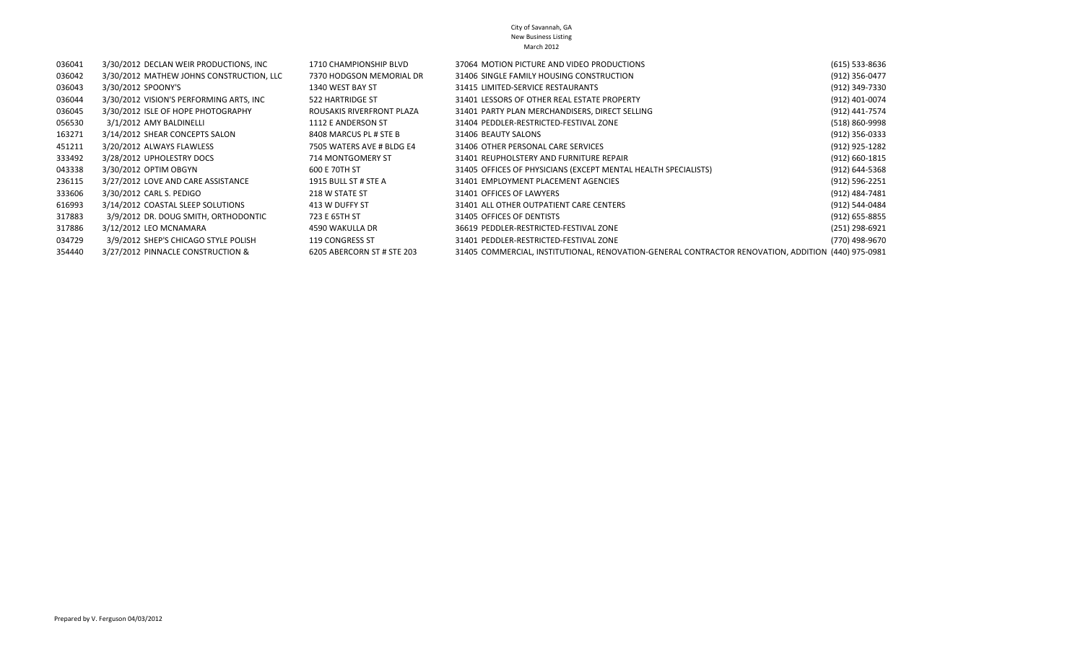| 036041 | 3/30/2012 DECLAN WEIR PRODUCTIONS, INC   | 1710 CHAMPIONSHIP BLVD     | 37064 MOTION PICTURE AND VIDEO PRODUCTIONS                                                         | (615) 533-8636   |
|--------|------------------------------------------|----------------------------|----------------------------------------------------------------------------------------------------|------------------|
| 036042 | 3/30/2012 MATHEW JOHNS CONSTRUCTION, LLC | 7370 HODGSON MEMORIAL DR   | 31406 SINGLE FAMILY HOUSING CONSTRUCTION                                                           | (912) 356-0477   |
| 036043 | 3/30/2012 SPOONY'S                       | 1340 WEST BAY ST           | 31415 LIMITED-SERVICE RESTAURANTS                                                                  | (912) 349-7330   |
| 036044 | 3/30/2012 VISION'S PERFORMING ARTS, INC  | <b>522 HARTRIDGE ST</b>    | 31401 LESSORS OF OTHER REAL ESTATE PROPERTY                                                        | (912) 401-0074   |
| 036045 | 3/30/2012 ISLE OF HOPE PHOTOGRAPHY       | ROUSAKIS RIVERFRONT PLAZA  | 31401 PARTY PLAN MERCHANDISERS, DIRECT SELLING                                                     | (912) 441-7574   |
| 056530 | 3/1/2012 AMY BALDINELLI                  | 1112 E ANDERSON ST         | 31404 PEDDLER-RESTRICTED-FESTIVAL ZONE                                                             | (518) 860-9998   |
| 163271 | 3/14/2012 SHEAR CONCEPTS SALON           | 8408 MARCUS PL # STE B     | 31406 BEAUTY SALONS                                                                                | $(912)$ 356-0333 |
| 451211 | 3/20/2012 ALWAYS FLAWLESS                | 7505 WATERS AVE # BLDG E4  | 31406 OTHER PERSONAL CARE SERVICES                                                                 | (912) 925-1282   |
| 333492 | 3/28/2012 UPHOLESTRY DOCS                | 714 MONTGOMERY ST          | 31401 REUPHOLSTERY AND FURNITURE REPAIR                                                            | (912) 660-1815   |
| 043338 | 3/30/2012 OPTIM OBGYN                    | 600 E 70TH ST              | 31405 OFFICES OF PHYSICIANS (EXCEPT MENTAL HEALTH SPECIALISTS)                                     | (912) 644-5368   |
| 236115 | 3/27/2012 LOVE AND CARE ASSISTANCE       | 1915 BULL ST # STE A       | 31401 EMPLOYMENT PLACEMENT AGENCIES                                                                | (912) 596-2251   |
| 333606 | 3/30/2012 CARL S. PEDIGO                 | 218 W STATE ST             | 31401 OFFICES OF LAWYERS                                                                           | (912) 484-7481   |
| 616993 | 3/14/2012 COASTAL SLEEP SOLUTIONS        | 413 W DUFFY ST             | 31401 ALL OTHER OUTPATIENT CARE CENTERS                                                            | (912) 544-0484   |
| 317883 | 3/9/2012 DR. DOUG SMITH, ORTHODONTIC     | 723 E 65TH ST              | 31405 OFFICES OF DENTISTS                                                                          | (912) 655-8855   |
| 317886 | 3/12/2012 LEO MCNAMARA                   | 4590 WAKULLA DR            | 36619 PEDDLER-RESTRICTED-FESTIVAL ZONE                                                             | (251) 298-6921   |
| 034729 | 3/9/2012 SHEP'S CHICAGO STYLE POLISH     | 119 CONGRESS ST            | 31401 PEDDLER-RESTRICTED-FESTIVAL ZONE                                                             | (770) 498-9670   |
| 354440 | 3/27/2012 PINNACLE CONSTRUCTION &        | 6205 ABERCORN ST # STE 203 | 31405 COMMERCIAL, INSTITUTIONAL, RENOVATION-GENERAL CONTRACTOR RENOVATION, ADDITION (440) 975-0981 |                  |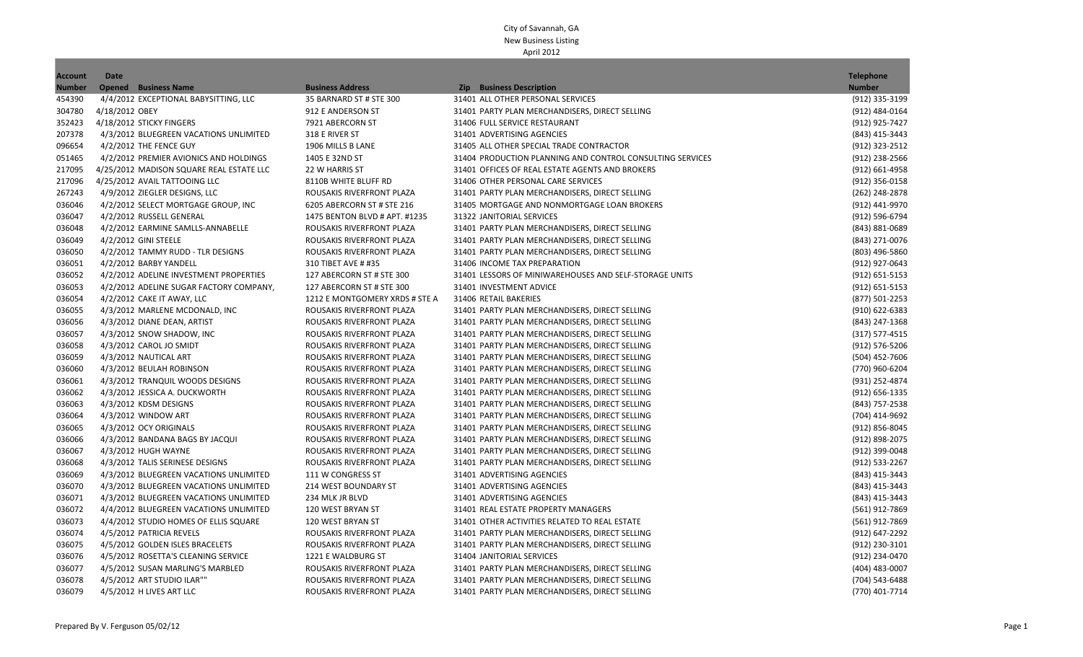| <b>Account</b> | <b>Date</b>                              |                                |                                                           | <b>Telephone</b>   |
|----------------|------------------------------------------|--------------------------------|-----------------------------------------------------------|--------------------|
| <b>Number</b>  | <b>Opened</b> Business Name              | <b>Business Address</b>        | <b>Zip</b> Business Description                           | <b>Number</b>      |
| 454390         | 4/4/2012 EXCEPTIONAL BABYSITTING, LLC    | 35 BARNARD ST # STE 300        | 31401 ALL OTHER PERSONAL SERVICES                         | (912) 335-3199     |
| 304780         | 4/18/2012 OBEY                           | 912 E ANDERSON ST              | 31401 PARTY PLAN MERCHANDISERS, DIRECT SELLING            | (912) 484-0164     |
| 352423         | 4/18/2012 STICKY FINGERS                 | 7921 ABERCORN ST               | 31406 FULL SERVICE RESTAURANT                             | (912) 925-7427     |
| 207378         | 4/3/2012 BLUEGREEN VACATIONS UNLIMITED   | 318 E RIVER ST                 | 31401 ADVERTISING AGENCIES                                | (843) 415-3443     |
| 096654         | 4/2/2012 THE FENCE GUY                   | 1906 MILLS B LANE              | 31405 ALL OTHER SPECIAL TRADE CONTRACTOR                  | (912) 323-2512     |
| 051465         | 4/2/2012 PREMIER AVIONICS AND HOLDINGS   | 1405 E 32ND ST                 | 31404 PRODUCTION PLANNING AND CONTROL CONSULTING SERVICES | (912) 238-2566     |
| 217095         | 4/25/2012 MADISON SQUARE REAL ESTATE LLC | 22 W HARRIS ST                 | 31401 OFFICES OF REAL ESTATE AGENTS AND BROKERS           | $(912) 661 - 4958$ |
| 217096         | 4/25/2012 AVAIL TATTOOING LLC            | 8110B WHITE BLUFF RD           | 31406 OTHER PERSONAL CARE SERVICES                        | $(912)$ 356-0158   |
| 267243         | 4/9/2012 ZIEGLER DESIGNS, LLC            | ROUSAKIS RIVERFRONT PLAZA      | 31401 PARTY PLAN MERCHANDISERS, DIRECT SELLING            | (262) 248-2878     |
| 036046         | 4/2/2012 SELECT MORTGAGE GROUP, INC      | 6205 ABERCORN ST # STE 216     | 31405 MORTGAGE AND NONMORTGAGE LOAN BROKERS               | (912) 441-9970     |
| 036047         | 4/2/2012 RUSSELL GENERAL                 | 1475 BENTON BLVD # APT. #1235  | 31322 JANITORIAL SERVICES                                 | (912) 596-6794     |
| 036048         | 4/2/2012 EARMINE SAMLLS-ANNABELLE        | ROUSAKIS RIVERFRONT PLAZA      | 31401 PARTY PLAN MERCHANDISERS, DIRECT SELLING            | (843) 881-0689     |
| 036049         | 4/2/2012 GINI STEELE                     | ROUSAKIS RIVERFRONT PLAZA      | 31401 PARTY PLAN MERCHANDISERS, DIRECT SELLING            | (843) 271-0076     |
| 036050         | 4/2/2012 TAMMY RUDD - TLR DESIGNS        | ROUSAKIS RIVERFRONT PLAZA      | 31401 PARTY PLAN MERCHANDISERS, DIRECT SELLING            | (803) 496-5860     |
| 036051         | 4/2/2012 BARBY YANDELL                   | 310 TIBET AVE # #35            | 31406 INCOME TAX PREPARATION                              | (912) 927-0643     |
| 036052         | 4/2/2012 ADELINE INVESTMENT PROPERTIES   | 127 ABERCORN ST # STE 300      | 31401 LESSORS OF MINIWAREHOUSES AND SELF-STORAGE UNITS    | $(912) 651 - 5153$ |
| 036053         | 4/2/2012 ADELINE SUGAR FACTORY COMPANY,  | 127 ABERCORN ST # STE 300      | 31401 INVESTMENT ADVICE                                   | $(912) 651 - 5153$ |
| 036054         | 4/2/2012 CAKE IT AWAY, LLC               | 1212 E MONTGOMERY XRDS # STE A | 31406 RETAIL BAKERIES                                     | (877) 501-2253     |
| 036055         | 4/3/2012 MARLENE MCDONALD, INC           | ROUSAKIS RIVERFRONT PLAZA      | 31401 PARTY PLAN MERCHANDISERS, DIRECT SELLING            | $(910)$ 622-6383   |
| 036056         | 4/3/2012 DIANE DEAN, ARTIST              | ROUSAKIS RIVERFRONT PLAZA      | 31401 PARTY PLAN MERCHANDISERS, DIRECT SELLING            | (843) 247-1368     |
| 036057         | 4/3/2012 SNOW SHADOW, INC                | ROUSAKIS RIVERFRONT PLAZA      | 31401 PARTY PLAN MERCHANDISERS, DIRECT SELLING            | $(317) 577 - 4515$ |
| 036058         | 4/3/2012 CAROL JO SMIDT                  | ROUSAKIS RIVERFRONT PLAZA      | 31401 PARTY PLAN MERCHANDISERS, DIRECT SELLING            | (912) 576-5206     |
| 036059         | 4/3/2012 NAUTICAL ART                    | ROUSAKIS RIVERFRONT PLAZA      | 31401 PARTY PLAN MERCHANDISERS, DIRECT SELLING            | (504) 452-7606     |
| 036060         | 4/3/2012 BEULAH ROBINSON                 | ROUSAKIS RIVERFRONT PLAZA      | 31401 PARTY PLAN MERCHANDISERS, DIRECT SELLING            | (770) 960-6204     |
| 036061         | 4/3/2012 TRANQUIL WOODS DESIGNS          | ROUSAKIS RIVERFRONT PLAZA      | 31401 PARTY PLAN MERCHANDISERS, DIRECT SELLING            | (931) 252-4874     |
| 036062         | 4/3/2012 JESSICA A. DUCKWORTH            | ROUSAKIS RIVERFRONT PLAZA      | 31401 PARTY PLAN MERCHANDISERS, DIRECT SELLING            | (912) 656-1335     |
| 036063         | 4/3/2012 KDSM DESIGNS                    | ROUSAKIS RIVERFRONT PLAZA      | 31401 PARTY PLAN MERCHANDISERS, DIRECT SELLING            | (843) 757-2538     |
| 036064         | 4/3/2012 WINDOW ART                      | ROUSAKIS RIVERFRONT PLAZA      | 31401 PARTY PLAN MERCHANDISERS, DIRECT SELLING            | (704) 414-9692     |
| 036065         | 4/3/2012 OCY ORIGINALS                   | ROUSAKIS RIVERFRONT PLAZA      | 31401 PARTY PLAN MERCHANDISERS, DIRECT SELLING            | (912) 856-8045     |
| 036066         | 4/3/2012 BANDANA BAGS BY JACQUI          | ROUSAKIS RIVERFRONT PLAZA      | 31401 PARTY PLAN MERCHANDISERS, DIRECT SELLING            | (912) 898-2075     |
| 036067         | 4/3/2012 HUGH WAYNE                      | ROUSAKIS RIVERFRONT PLAZA      | 31401 PARTY PLAN MERCHANDISERS, DIRECT SELLING            | (912) 399-0048     |
| 036068         | 4/3/2012 TALIS SERINESE DESIGNS          | ROUSAKIS RIVERFRONT PLAZA      | 31401 PARTY PLAN MERCHANDISERS, DIRECT SELLING            | $(912) 533 - 2267$ |
| 036069         | 4/3/2012 BLUEGREEN VACATIONS UNLIMITED   | 111 W CONGRESS ST              | 31401 ADVERTISING AGENCIES                                | (843) 415-3443     |
| 036070         | 4/3/2012 BLUEGREEN VACATIONS UNLIMITED   | 214 WEST BOUNDARY ST           | 31401 ADVERTISING AGENCIES                                | (843) 415-3443     |
| 036071         | 4/3/2012 BLUEGREEN VACATIONS UNLIMITED   | 234 MLK JR BLVD                | 31401 ADVERTISING AGENCIES                                | (843) 415-3443     |
| 036072         | 4/4/2012 BLUEGREEN VACATIONS UNLIMITED   | 120 WEST BRYAN ST              | 31401 REAL ESTATE PROPERTY MANAGERS                       | (561) 912-7869     |
| 036073         | 4/4/2012 STUDIO HOMES OF ELLIS SQUARE    | 120 WEST BRYAN ST              | 31401 OTHER ACTIVITIES RELATED TO REAL ESTATE             | (561) 912-7869     |
| 036074         | 4/5/2012 PATRICIA REVELS                 | ROUSAKIS RIVERFRONT PLAZA      | 31401 PARTY PLAN MERCHANDISERS, DIRECT SELLING            | (912) 647-2292     |
| 036075         | 4/5/2012 GOLDEN ISLES BRACELETS          | ROUSAKIS RIVERFRONT PLAZA      | 31401 PARTY PLAN MERCHANDISERS, DIRECT SELLING            | (912) 230-3101     |
| 036076         | 4/5/2012 ROSETTA'S CLEANING SERVICE      | 1221 E WALDBURG ST             | 31404 JANITORIAL SERVICES                                 | (912) 234-0470     |
| 036077         | 4/5/2012 SUSAN MARLING'S MARBLED         | ROUSAKIS RIVERFRONT PLAZA      | 31401 PARTY PLAN MERCHANDISERS, DIRECT SELLING            | (404) 483-0007     |
| 036078         | 4/5/2012 ART STUDIO ILAR""               | ROUSAKIS RIVERFRONT PLAZA      | 31401 PARTY PLAN MERCHANDISERS, DIRECT SELLING            | (704) 543-6488     |
|                |                                          |                                |                                                           |                    |
| 036079         | 4/5/2012 H LIVES ART LLC                 | ROUSAKIS RIVERFRONT PLAZA      | 31401 PARTY PLAN MERCHANDISERS, DIRECT SELLING            | (770) 401-7714     |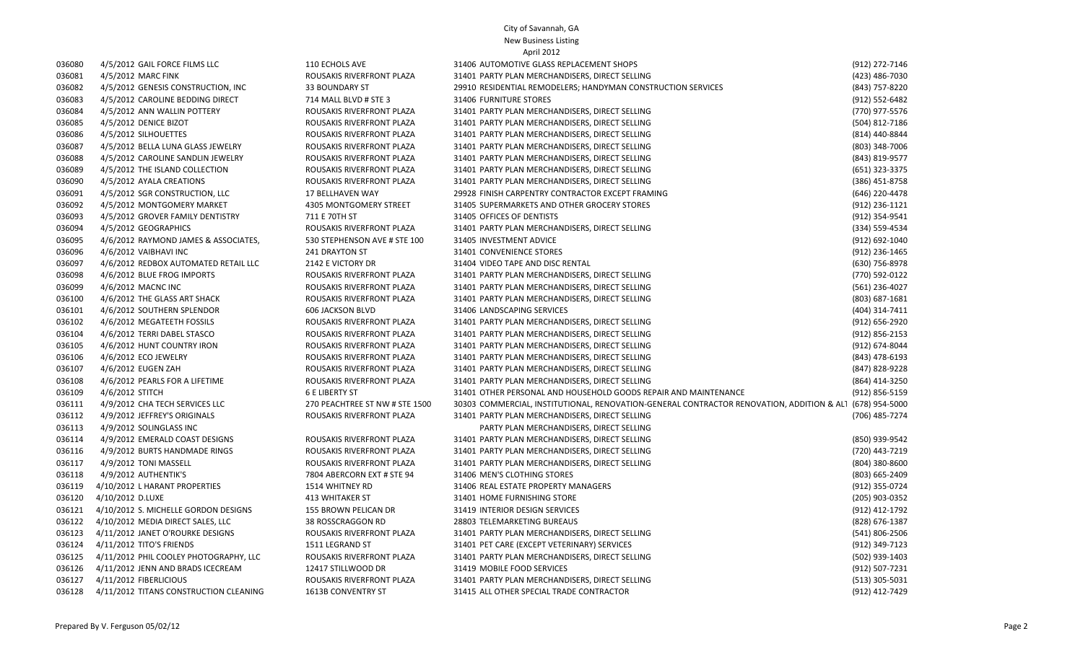April 2012

| 036080 | 4/5/2012 GAIL FORCE FILMS LLC          | 110 ECHOLS AVE                 | 31406 AUTOMOTIVE GLASS REPLACEMENT SHOPS                                                                 | (912) 272-7146     |
|--------|----------------------------------------|--------------------------------|----------------------------------------------------------------------------------------------------------|--------------------|
| 036081 | 4/5/2012 MARC FINK                     | ROUSAKIS RIVERFRONT PLAZA      | 31401 PARTY PLAN MERCHANDISERS, DIRECT SELLING                                                           | (423) 486-7030     |
| 036082 | 4/5/2012 GENESIS CONSTRUCTION, INC     | <b>33 BOUNDARY ST</b>          | 29910 RESIDENTIAL REMODELERS; HANDYMAN CONSTRUCTION SERVICES                                             | (843) 757-8220     |
| 036083 | 4/5/2012 CAROLINE BEDDING DIRECT       | 714 MALL BLVD # STE 3          | 31406 FURNITURE STORES                                                                                   | (912) 552-6482     |
| 036084 | 4/5/2012 ANN WALLIN POTTERY            | ROUSAKIS RIVERFRONT PLAZA      | 31401 PARTY PLAN MERCHANDISERS, DIRECT SELLING                                                           | (770) 977-5576     |
| 036085 | 4/5/2012 DENICE BIZOT                  | ROUSAKIS RIVERFRONT PLAZA      | 31401 PARTY PLAN MERCHANDISERS, DIRECT SELLING                                                           | (504) 812-7186     |
| 036086 | 4/5/2012 SILHOUETTES                   | ROUSAKIS RIVERFRONT PLAZA      | 31401 PARTY PLAN MERCHANDISERS, DIRECT SELLING                                                           | (814) 440-8844     |
| 036087 | 4/5/2012 BELLA LUNA GLASS JEWELRY      | ROUSAKIS RIVERFRONT PLAZA      | 31401 PARTY PLAN MERCHANDISERS, DIRECT SELLING                                                           | (803) 348-7006     |
| 036088 | 4/5/2012 CAROLINE SANDLIN JEWELRY      | ROUSAKIS RIVERFRONT PLAZA      | 31401 PARTY PLAN MERCHANDISERS, DIRECT SELLING                                                           | (843) 819-9577     |
| 036089 | 4/5/2012 THE ISLAND COLLECTION         | ROUSAKIS RIVERFRONT PLAZA      | 31401 PARTY PLAN MERCHANDISERS, DIRECT SELLING                                                           | (651) 323-3375     |
| 036090 | 4/5/2012 AYALA CREATIONS               | ROUSAKIS RIVERFRONT PLAZA      | 31401 PARTY PLAN MERCHANDISERS, DIRECT SELLING                                                           | (386) 451-8758     |
| 036091 | 4/5/2012 SGR CONSTRUCTION, LLC         | 17 BELLHAVEN WAY               | 29928 FINISH CARPENTRY CONTRACTOR EXCEPT FRAMING                                                         | (646) 220-4478     |
| 036092 | 4/5/2012 MONTGOMERY MARKET             | 4305 MONTGOMERY STREET         | 31405 SUPERMARKETS AND OTHER GROCERY STORES                                                              | (912) 236-1121     |
| 036093 | 4/5/2012 GROVER FAMILY DENTISTRY       | 711 E 70TH ST                  | 31405 OFFICES OF DENTISTS                                                                                | (912) 354-9541     |
| 036094 | 4/5/2012 GEOGRAPHICS                   | ROUSAKIS RIVERFRONT PLAZA      | 31401 PARTY PLAN MERCHANDISERS, DIRECT SELLING                                                           | (334) 559-4534     |
| 036095 | 4/6/2012 RAYMOND JAMES & ASSOCIATES,   | 530 STEPHENSON AVE # STE 100   | 31405 INVESTMENT ADVICE                                                                                  | (912) 692-1040     |
| 036096 | 4/6/2012 VAIBHAVI INC                  | 241 DRAYTON ST                 | 31401 CONVENIENCE STORES                                                                                 | (912) 236-1465     |
| 036097 | 4/6/2012 REDBOX AUTOMATED RETAIL LLC   | 2142 E VICTORY DR              | 31404 VIDEO TAPE AND DISC RENTAL                                                                         | (630) 756-8978     |
| 036098 | 4/6/2012 BLUE FROG IMPORTS             | ROUSAKIS RIVERFRONT PLAZA      | 31401 PARTY PLAN MERCHANDISERS, DIRECT SELLING                                                           | (770) 592-0122     |
| 036099 | 4/6/2012 MACNC INC                     | ROUSAKIS RIVERFRONT PLAZA      | 31401 PARTY PLAN MERCHANDISERS, DIRECT SELLING                                                           | (561) 236-4027     |
| 036100 | 4/6/2012 THE GLASS ART SHACK           | ROUSAKIS RIVERFRONT PLAZA      | 31401 PARTY PLAN MERCHANDISERS, DIRECT SELLING                                                           | $(803) 687 - 1681$ |
| 036101 | 4/6/2012 SOUTHERN SPLENDOR             | <b>606 JACKSON BLVD</b>        | 31406 LANDSCAPING SERVICES                                                                               | (404) 314-7411     |
| 036102 | 4/6/2012 MEGATEETH FOSSILS             | ROUSAKIS RIVERFRONT PLAZA      | 31401 PARTY PLAN MERCHANDISERS, DIRECT SELLING                                                           | (912) 656-2920     |
| 036104 | 4/6/2012 TERRI DABEL STASCO            | ROUSAKIS RIVERFRONT PLAZA      | 31401 PARTY PLAN MERCHANDISERS, DIRECT SELLING                                                           | (912) 856-2153     |
| 036105 | 4/6/2012 HUNT COUNTRY IRON             | ROUSAKIS RIVERFRONT PLAZA      | 31401 PARTY PLAN MERCHANDISERS, DIRECT SELLING                                                           | (912) 674-8044     |
| 036106 | 4/6/2012 ECO JEWELRY                   | ROUSAKIS RIVERFRONT PLAZA      | 31401 PARTY PLAN MERCHANDISERS, DIRECT SELLING                                                           | (843) 478-6193     |
| 036107 | 4/6/2012 EUGEN ZAH                     | ROUSAKIS RIVERFRONT PLAZA      | 31401 PARTY PLAN MERCHANDISERS, DIRECT SELLING                                                           | (847) 828-9228     |
| 036108 | 4/6/2012 PEARLS FOR A LIFETIME         | ROUSAKIS RIVERFRONT PLAZA      | 31401 PARTY PLAN MERCHANDISERS, DIRECT SELLING                                                           | (864) 414-3250     |
| 036109 | 4/6/2012 STITCH                        | <b>6 E LIBERTY ST</b>          | 31401 OTHER PERSONAL AND HOUSEHOLD GOODS REPAIR AND MAINTENANCE                                          | (912) 856-5159     |
| 036111 | 4/9/2012 CHA TECH SERVICES LLC         | 270 PEACHTREE ST NW # STE 1500 | 30303 COMMERCIAL, INSTITUTIONAL, RENOVATION-GENERAL CONTRACTOR RENOVATION, ADDITION & ALT (678) 954-5000 |                    |
| 036112 | 4/9/2012 JEFFREY'S ORIGINALS           | ROUSAKIS RIVERFRONT PLAZA      | 31401 PARTY PLAN MERCHANDISERS, DIRECT SELLING                                                           | (706) 485-7274     |
| 036113 | 4/9/2012 SOLINGLASS INC                |                                | PARTY PLAN MERCHANDISERS, DIRECT SELLING                                                                 |                    |
| 036114 | 4/9/2012 EMERALD COAST DESIGNS         | ROUSAKIS RIVERFRONT PLAZA      | 31401 PARTY PLAN MERCHANDISERS, DIRECT SELLING                                                           | (850) 939-9542     |
| 036116 | 4/9/2012 BURTS HANDMADE RINGS          | ROUSAKIS RIVERFRONT PLAZA      | 31401 PARTY PLAN MERCHANDISERS, DIRECT SELLING                                                           | (720) 443-7219     |
| 036117 | 4/9/2012 TONI MASSELL                  | ROUSAKIS RIVERFRONT PLAZA      | 31401 PARTY PLAN MERCHANDISERS, DIRECT SELLING                                                           | (804) 380-8600     |
| 036118 | 4/9/2012 AUTHENTIK'S                   | 7804 ABERCORN EXT # STE 94     | 31406 MEN'S CLOTHING STORES                                                                              | (803) 665-2409     |
| 036119 | 4/10/2012 L HARANT PROPERTIES          | 1514 WHITNEY RD                | 31406 REAL ESTATE PROPERTY MANAGERS                                                                      | (912) 355-0724     |
| 036120 | 4/10/2012 D.LUXE                       | 413 WHITAKER ST                | 31401 HOME FURNISHING STORE                                                                              | (205) 903-0352     |
| 036121 | 4/10/2012 S. MICHELLE GORDON DESIGNS   | 155 BROWN PELICAN DR           | 31419 INTERIOR DESIGN SERVICES                                                                           | (912) 412-1792     |
| 036122 | 4/10/2012 MEDIA DIRECT SALES, LLC      | 38 ROSSCRAGGON RD              | 28803 TELEMARKETING BUREAUS                                                                              | (828) 676-1387     |
| 036123 | 4/11/2012 JANET O'ROURKE DESIGNS       | ROUSAKIS RIVERFRONT PLAZA      | 31401 PARTY PLAN MERCHANDISERS, DIRECT SELLING                                                           | (541) 806-2506     |
| 036124 | 4/11/2012 TITO'S FRIENDS               | 1511 LEGRAND ST                | 31401 PET CARE (EXCEPT VETERINARY) SERVICES                                                              | (912) 349-7123     |
| 036125 | 4/11/2012 PHIL COOLEY PHOTOGRAPHY, LLC | ROUSAKIS RIVERFRONT PLAZA      | 31401 PARTY PLAN MERCHANDISERS, DIRECT SELLING                                                           | (502) 939-1403     |
| 036126 | 4/11/2012 JENN AND BRADS ICECREAM      | 12417 STILLWOOD DR             | 31419 MOBILE FOOD SERVICES                                                                               | (912) 507-7231     |
| 036127 | 4/11/2012 FIBERLICIOUS                 | ROUSAKIS RIVERFRONT PLAZA      | 31401 PARTY PLAN MERCHANDISERS, DIRECT SELLING                                                           | (513) 305-5031     |
|        |                                        |                                |                                                                                                          |                    |
| 036128 | 4/11/2012 TITANS CONSTRUCTION CLEANING | 1613B CONVENTRY ST             | 31415 ALL OTHER SPECIAL TRADE CONTRACTOR                                                                 | (912) 412-7429     |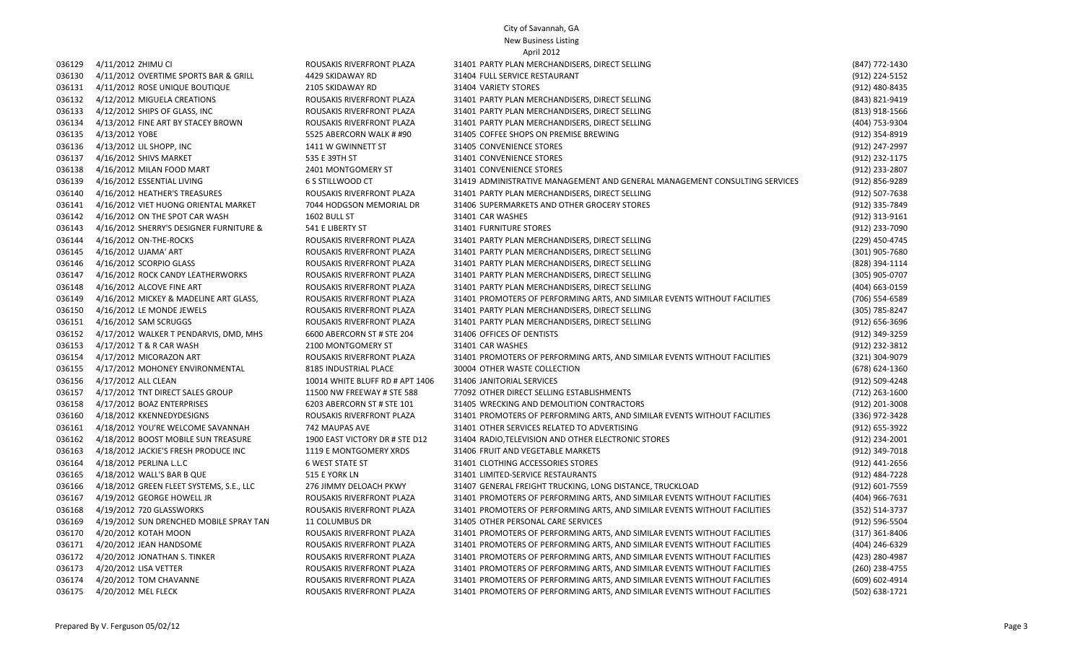# City of Savannah, GA

### New Business Listing April 2012

| 036129           | 4/11/2012 ZHIMU CI                       | ROUSAKIS RIVERFRONT PLAZA       | 31401 PARTY PLAN MERCHANDISERS, DIRECT SELLING                             | (847) 772-1430   |
|------------------|------------------------------------------|---------------------------------|----------------------------------------------------------------------------|------------------|
| 036130           | 4/11/2012 OVERTIME SPORTS BAR & GRILL    | 4429 SKIDAWAY RD                | 31404 FULL SERVICE RESTAURANT                                              | (912) 224-5152   |
| 036131           | 4/11/2012 ROSE UNIQUE BOUTIQUE           | 2105 SKIDAWAY RD                | 31404 VARIETY STORES                                                       | (912) 480-8435   |
| 036132           | 4/12/2012 MIGUELA CREATIONS              | ROUSAKIS RIVERFRONT PLAZA       | 31401 PARTY PLAN MERCHANDISERS, DIRECT SELLING                             | (843) 821-9419   |
| 036133           | 4/12/2012 SHIPS OF GLASS, INC            | ROUSAKIS RIVERFRONT PLAZA       | 31401 PARTY PLAN MERCHANDISERS, DIRECT SELLING                             | (813) 918-1566   |
| 036134           | 4/13/2012 FINE ART BY STACEY BROWN       | ROUSAKIS RIVERFRONT PLAZA       | 31401 PARTY PLAN MERCHANDISERS, DIRECT SELLING                             | (404) 753-9304   |
| 036135           | 4/13/2012 YOBE                           | 5525 ABERCORN WALK # #90        | 31405 COFFEE SHOPS ON PREMISE BREWING                                      | (912) 354-8919   |
| 036136           | 4/13/2012 LIL SHOPP, INC                 | 1411 W GWINNETT ST              | 31405 CONVENIENCE STORES                                                   | (912) 247-2997   |
| 036137           | 4/16/2012 SHIVS MARKET                   | 535 E 39TH ST                   | 31401 CONVENIENCE STORES                                                   | (912) 232-1175   |
| 036138           | 4/16/2012 MILAN FOOD MART                | 2401 MONTGOMERY ST              | 31401 CONVENIENCE STORES                                                   | (912) 233-2807   |
| 036139           | 4/16/2012 ESSENTIAL LIVING               | 6 S STILLWOOD CT                | 31419 ADMINISTRATIVE MANAGEMENT AND GENERAL MANAGEMENT CONSULTING SERVICES | (912) 856-9289   |
| 036140           | 4/16/2012 HEATHER'S TREASURES            | ROUSAKIS RIVERFRONT PLAZA       | 31401 PARTY PLAN MERCHANDISERS, DIRECT SELLING                             | (912) 507-7638   |
| 036141           | 4/16/2012 VIET HUONG ORIENTAL MARKET     | 7044 HODGSON MEMORIAL DR        | 31406 SUPERMARKETS AND OTHER GROCERY STORES                                | (912) 335-7849   |
| 036142           | 4/16/2012 ON THE SPOT CAR WASH           | 1602 BULL ST                    | 31401 CAR WASHES                                                           | (912) 313-9161   |
| 036143           | 4/16/2012 SHERRY'S DESIGNER FURNITURE &  | 541 E LIBERTY ST                | 31401 FURNITURE STORES                                                     | (912) 233-7090   |
| 036144           | 4/16/2012 ON-THE-ROCKS                   | ROUSAKIS RIVERFRONT PLAZA       | 31401 PARTY PLAN MERCHANDISERS, DIRECT SELLING                             | (229) 450-4745   |
| 036145           | 4/16/2012 UJAMA' ART                     | ROUSAKIS RIVERFRONT PLAZA       | 31401 PARTY PLAN MERCHANDISERS, DIRECT SELLING                             | (301) 905-7680   |
| 036146           | 4/16/2012 SCORPIO GLASS                  | ROUSAKIS RIVERFRONT PLAZA       | 31401 PARTY PLAN MERCHANDISERS, DIRECT SELLING                             | (828) 394-1114   |
| 036147           | 4/16/2012 ROCK CANDY LEATHERWORKS        | ROUSAKIS RIVERFRONT PLAZA       | 31401 PARTY PLAN MERCHANDISERS, DIRECT SELLING                             | (305) 905-0707   |
| 036148           | 4/16/2012 ALCOVE FINE ART                | ROUSAKIS RIVERFRONT PLAZA       | 31401 PARTY PLAN MERCHANDISERS, DIRECT SELLING                             | (404) 663-0159   |
| 036149           | 4/16/2012 MICKEY & MADELINE ART GLASS,   | ROUSAKIS RIVERFRONT PLAZA       | 31401 PROMOTERS OF PERFORMING ARTS, AND SIMILAR EVENTS WITHOUT FACILITIES  | (706) 554-6589   |
| 036150           | 4/16/2012 LE MONDE JEWELS                | ROUSAKIS RIVERFRONT PLAZA       | 31401 PARTY PLAN MERCHANDISERS, DIRECT SELLING                             | (305) 785-8247   |
| 036151           | 4/16/2012 SAM SCRUGGS                    | ROUSAKIS RIVERFRONT PLAZA       | 31401 PARTY PLAN MERCHANDISERS, DIRECT SELLING                             | (912) 656-3696   |
| 036152           | 4/17/2012 WALKER T PENDARVIS, DMD, MHS   | 6600 ABERCORN ST # STE 204      | 31406 OFFICES OF DENTISTS                                                  | (912) 349-3259   |
| 036153           | 4/17/2012 T & R CAR WASH                 | 2100 MONTGOMERY ST              | 31401 CAR WASHES                                                           | (912) 232-3812   |
| 036154           | 4/17/2012 MICORAZON ART                  | ROUSAKIS RIVERFRONT PLAZA       | 31401 PROMOTERS OF PERFORMING ARTS, AND SIMILAR EVENTS WITHOUT FACILITIES  | (321) 304-9079   |
| 036155           | 4/17/2012 MOHONEY ENVIRONMENTAL          | 8185 INDUSTRIAL PLACE           | 30004 OTHER WASTE COLLECTION                                               | (678) 624-1360   |
| 036156           | 4/17/2012 ALL CLEAN                      | 10014 WHITE BLUFF RD # APT 1406 | 31406 JANITORIAL SERVICES                                                  | (912) 509-4248   |
| 036157           | 4/17/2012 TNT DIRECT SALES GROUP         | 11500 NW FREEWAY # STE 588      | 77092 OTHER DIRECT SELLING ESTABLISHMENTS                                  | (712) 263-1600   |
| 036158           | 4/17/2012 BOAZ ENTERPRISES               | 6203 ABERCORN ST # STE 101      | 31405 WRECKING AND DEMOLITION CONTRACTORS                                  | $(912)$ 201-3008 |
|                  | 4/18/2012 KKENNEDYDESIGNS                | ROUSAKIS RIVERFRONT PLAZA       | 31401 PROMOTERS OF PERFORMING ARTS, AND SIMILAR EVENTS WITHOUT FACILITIES  | (336) 972-3428   |
| 036160<br>036161 |                                          |                                 |                                                                            | (912) 655-3922   |
|                  | 4/18/2012 YOU'RE WELCOME SAVANNAH        | 742 MAUPAS AVE                  | 31401 OTHER SERVICES RELATED TO ADVERTISING                                |                  |
| 036162           | 4/18/2012 BOOST MOBILE SUN TREASURE      | 1900 EAST VICTORY DR # STE D12  | 31404 RADIO, TELEVISION AND OTHER ELECTRONIC STORES                        | (912) 234-2001   |
| 036163           | 4/18/2012 JACKIE'S FRESH PRODUCE INC     | 1119 E MONTGOMERY XRDS          | 31406 FRUIT AND VEGETABLE MARKETS                                          | (912) 349-7018   |
| 036164           | 4/18/2012 PERLINA L.L.C                  | <b>6 WEST STATE ST</b>          | 31401 CLOTHING ACCESSORIES STORES                                          | (912) 441-2656   |
| 036165           | 4/18/2012 WALL'S BAR B QUE               | 515 E YORK LN                   | 31401 LIMITED-SERVICE RESTAURANTS                                          | (912) 484-7228   |
| 036166           | 4/18/2012 GREEN FLEET SYSTEMS, S.E., LLC | 276 JIMMY DELOACH PKWY          | 31407 GENERAL FREIGHT TRUCKING, LONG DISTANCE, TRUCKLOAD                   | (912) 601-7559   |
| 036167           | 4/19/2012 GEORGE HOWELL JR               | ROUSAKIS RIVERFRONT PLAZA       | 31401 PROMOTERS OF PERFORMING ARTS, AND SIMILAR EVENTS WITHOUT FACILITIES  | (404) 966-7631   |
| 036168           | 4/19/2012 720 GLASSWORKS                 | ROUSAKIS RIVERFRONT PLAZA       | 31401 PROMOTERS OF PERFORMING ARTS, AND SIMILAR EVENTS WITHOUT FACILITIES  | (352) 514-3737   |
| 036169           | 4/19/2012 SUN DRENCHED MOBILE SPRAY TAN  | 11 COLUMBUS DR                  | 31405 OTHER PERSONAL CARE SERVICES                                         | (912) 596-5504   |
| 036170           | 4/20/2012 KOTAH MOON                     | ROUSAKIS RIVERFRONT PLAZA       | 31401 PROMOTERS OF PERFORMING ARTS, AND SIMILAR EVENTS WITHOUT FACILITIES  | $(317)$ 361-8406 |
| 036171           | 4/20/2012 JEAN HANDSOME                  | ROUSAKIS RIVERFRONT PLAZA       | 31401 PROMOTERS OF PERFORMING ARTS, AND SIMILAR EVENTS WITHOUT FACILITIES  | (404) 246-6329   |
| 036172           | 4/20/2012 JONATHAN S. TINKER             | ROUSAKIS RIVERFRONT PLAZA       | 31401 PROMOTERS OF PERFORMING ARTS, AND SIMILAR EVENTS WITHOUT FACILITIES  | (423) 280-4987   |
| 036173           | 4/20/2012 LISA VETTER                    | ROUSAKIS RIVERFRONT PLAZA       | 31401 PROMOTERS OF PERFORMING ARTS, AND SIMILAR EVENTS WITHOUT FACILITIES  | (260) 238-4755   |
| 036174           | 4/20/2012 TOM CHAVANNE                   | ROUSAKIS RIVERFRONT PLAZA       | 31401 PROMOTERS OF PERFORMING ARTS, AND SIMILAR EVENTS WITHOUT FACILITIES  | (609) 602-4914   |
| 036175           | 4/20/2012 MEL FLECK                      | ROUSAKIS RIVERFRONT PLAZA       | 31401 PROMOTERS OF PERFORMING ARTS, AND SIMILAR EVENTS WITHOUT FACILITIES  | (502) 638-1721   |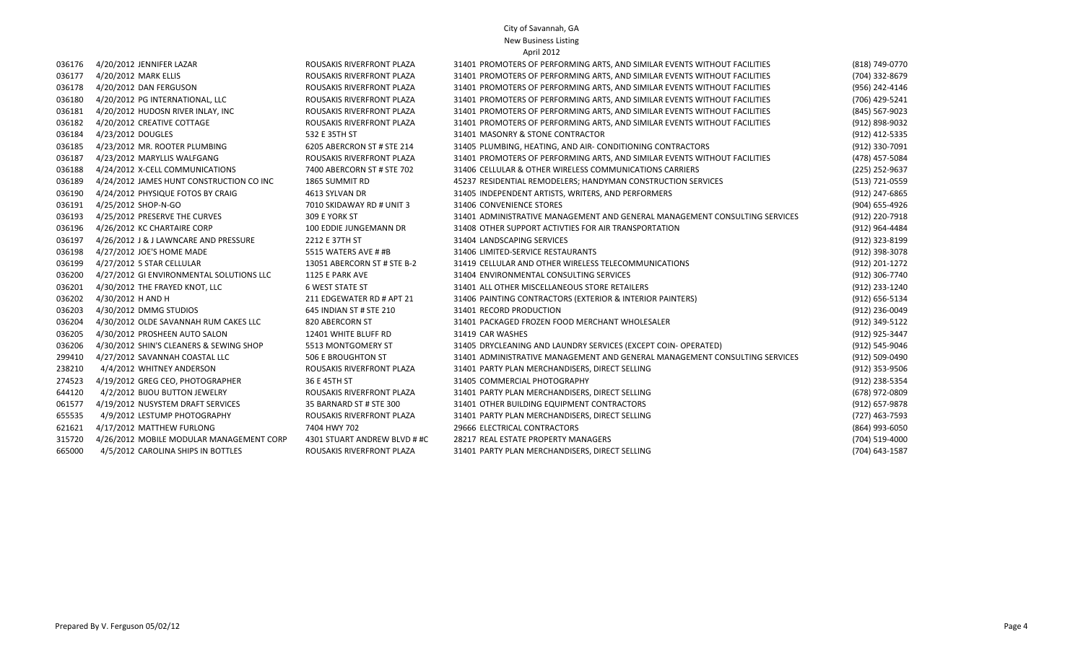April 2012

| 036176 | 4/20/2012 JENNIFER LAZAR                 | ROUSAKIS RIVERFRONT PLAZA    | 31401 PROMOTERS OF PERFORMING ARTS, AND SIMILAR EVENTS WITHOUT FACILITIES  | (818) 749-0770 |
|--------|------------------------------------------|------------------------------|----------------------------------------------------------------------------|----------------|
| 036177 | 4/20/2012 MARK ELLIS                     | ROUSAKIS RIVERFRONT PLAZA    | 31401 PROMOTERS OF PERFORMING ARTS, AND SIMILAR EVENTS WITHOUT FACILITIES  | (704) 332-8679 |
| 036178 | 4/20/2012 DAN FERGUSON                   | ROUSAKIS RIVERFRONT PLAZA    | 31401 PROMOTERS OF PERFORMING ARTS, AND SIMILAR EVENTS WITHOUT FACILITIES  | (956) 242-4146 |
| 036180 | 4/20/2012 PG INTERNATIONAL, LLC          | ROUSAKIS RIVERFRONT PLAZA    | 31401 PROMOTERS OF PERFORMING ARTS, AND SIMILAR EVENTS WITHOUT FACILITIES  | (706) 429-5241 |
| 036181 | 4/20/2012 HUDOSN RIVER INLAY, INC        | ROUSAKIS RIVERFRONT PLAZA    | 31401 PROMOTERS OF PERFORMING ARTS, AND SIMILAR EVENTS WITHOUT FACILITIES  | (845) 567-9023 |
| 036182 | 4/20/2012 CREATIVE COTTAGE               | ROUSAKIS RIVERFRONT PLAZA    | 31401 PROMOTERS OF PERFORMING ARTS, AND SIMILAR EVENTS WITHOUT FACILITIES  | (912) 898-9032 |
| 036184 | 4/23/2012 DOUGLES                        | 532 E 35TH ST                | 31401 MASONRY & STONE CONTRACTOR                                           | (912) 412-5335 |
| 036185 | 4/23/2012 MR. ROOTER PLUMBING            | 6205 ABERCRON ST # STE 214   | 31405 PLUMBING, HEATING, AND AIR- CONDITIONING CONTRACTORS                 | (912) 330-7091 |
| 036187 | 4/23/2012 MARYLLIS WALFGANG              | ROUSAKIS RIVERFRONT PLAZA    | 31401 PROMOTERS OF PERFORMING ARTS, AND SIMILAR EVENTS WITHOUT FACILITIES  | (478) 457-5084 |
| 036188 | 4/24/2012 X-CELL COMMUNICATIONS          | 7400 ABERCORN ST # STE 702   | 31406 CELLULAR & OTHER WIRELESS COMMUNICATIONS CARRIERS                    | (225) 252-9637 |
| 036189 | 4/24/2012 JAMES HUNT CONSTRUCTION CO INC | 1865 SUMMIT RD               | 45237 RESIDENTIAL REMODELERS; HANDYMAN CONSTRUCTION SERVICES               | (513) 721-0559 |
| 036190 | 4/24/2012 PHYSIQUE FOTOS BY CRAIG        | 4613 SYLVAN DR               | 31405 INDEPENDENT ARTISTS, WRITERS, AND PERFORMERS                         | (912) 247-6865 |
| 036191 | 4/25/2012 SHOP-N-GO                      | 7010 SKIDAWAY RD # UNIT 3    | 31406 CONVENIENCE STORES                                                   | (904) 655-4926 |
| 036193 | 4/25/2012 PRESERVE THE CURVES            | 309 E YORK ST                | 31401 ADMINISTRATIVE MANAGEMENT AND GENERAL MANAGEMENT CONSULTING SERVICES | (912) 220-7918 |
| 036196 | 4/26/2012 KC CHARTAIRE CORP              | 100 EDDIE JUNGEMANN DR       | 31408 OTHER SUPPORT ACTIVTIES FOR AIR TRANSPORTATION                       | (912) 964-4484 |
| 036197 | 4/26/2012 J & J LAWNCARE AND PRESSURE    | 2212 E 37TH ST               | 31404 LANDSCAPING SERVICES                                                 | (912) 323-8199 |
| 036198 | 4/27/2012 JOE'S HOME MADE                | 5515 WATERS AVE # #B         | 31406 LIMITED-SERVICE RESTAURANTS                                          | (912) 398-3078 |
| 036199 | 4/27/2012 5 STAR CELLULAR                | 13051 ABERCORN ST # STE B-2  | 31419 CELLULAR AND OTHER WIRELESS TELECOMMUNICATIONS                       | (912) 201-1272 |
| 036200 | 4/27/2012 GI ENVIRONMENTAL SOLUTIONS LLC | 1125 E PARK AVE              | 31404 ENVIRONMENTAL CONSULTING SERVICES                                    | (912) 306-7740 |
| 036201 | 4/30/2012 THE FRAYED KNOT, LLC           | <b>6 WEST STATE ST</b>       | 31401 ALL OTHER MISCELLANEOUS STORE RETAILERS                              | (912) 233-1240 |
| 036202 | 4/30/2012 H AND H                        | 211 EDGEWATER RD # APT 21    | 31406 PAINTING CONTRACTORS (EXTERIOR & INTERIOR PAINTERS)                  | (912) 656-5134 |
| 036203 | 4/30/2012 DMMG STUDIOS                   | 645 INDIAN ST # STE 210      | 31401 RECORD PRODUCTION                                                    | (912) 236-0049 |
| 036204 | 4/30/2012 OLDE SAVANNAH RUM CAKES LLC    | 820 ABERCORN ST              | 31401 PACKAGED FROZEN FOOD MERCHANT WHOLESALER                             | (912) 349-5122 |
| 036205 | 4/30/2012 PROSHEEN AUTO SALON            | 12401 WHITE BLUFF RD         | 31419 CAR WASHES                                                           | (912) 925-3447 |
| 036206 | 4/30/2012 SHIN'S CLEANERS & SEWING SHOP  | 5513 MONTGOMERY ST           | 31405 DRYCLEANING AND LAUNDRY SERVICES (EXCEPT COIN- OPERATED)             | (912) 545-9046 |
| 299410 | 4/27/2012 SAVANNAH COASTAL LLC           | <b>506 E BROUGHTON ST</b>    | 31401 ADMINISTRATIVE MANAGEMENT AND GENERAL MANAGEMENT CONSULTING SERVICES | (912) 509-0490 |
| 238210 | 4/4/2012 WHITNEY ANDERSON                | ROUSAKIS RIVERFRONT PLAZA    | 31401 PARTY PLAN MERCHANDISERS, DIRECT SELLING                             | (912) 353-9506 |
| 274523 | 4/19/2012 GREG CEO, PHOTOGRAPHER         | 36 E 45TH ST                 | 31405 COMMERCIAL PHOTOGRAPHY                                               | (912) 238-5354 |
| 644120 | 4/2/2012 BIJOU BUTTON JEWELRY            | ROUSAKIS RIVERFRONT PLAZA    | 31401 PARTY PLAN MERCHANDISERS, DIRECT SELLING                             | (678) 972-0809 |
| 061577 | 4/19/2012 NUSYSTEM DRAFT SERVICES        | 35 BARNARD ST # STE 300      | 31401 OTHER BUILDING EQUIPMENT CONTRACTORS                                 | (912) 657-9878 |
| 655535 | 4/9/2012 LESTUMP PHOTOGRAPHY             | ROUSAKIS RIVERFRONT PLAZA    | 31401 PARTY PLAN MERCHANDISERS, DIRECT SELLING                             | (727) 463-7593 |
| 621621 | 4/17/2012 MATTHEW FURLONG                | 7404 HWY 702                 | 29666 ELECTRICAL CONTRACTORS                                               | (864) 993-6050 |
| 315720 | 4/26/2012 MOBILE MODULAR MANAGEMENT CORP | 4301 STUART ANDREW BLVD # #C | 28217 REAL ESTATE PROPERTY MANAGERS                                        | (704) 519-4000 |
| 665000 | 4/5/2012 CAROLINA SHIPS IN BOTTLES       | ROUSAKIS RIVERFRONT PLAZA    | 31401 PARTY PLAN MERCHANDISERS, DIRECT SELLING                             | (704) 643-1587 |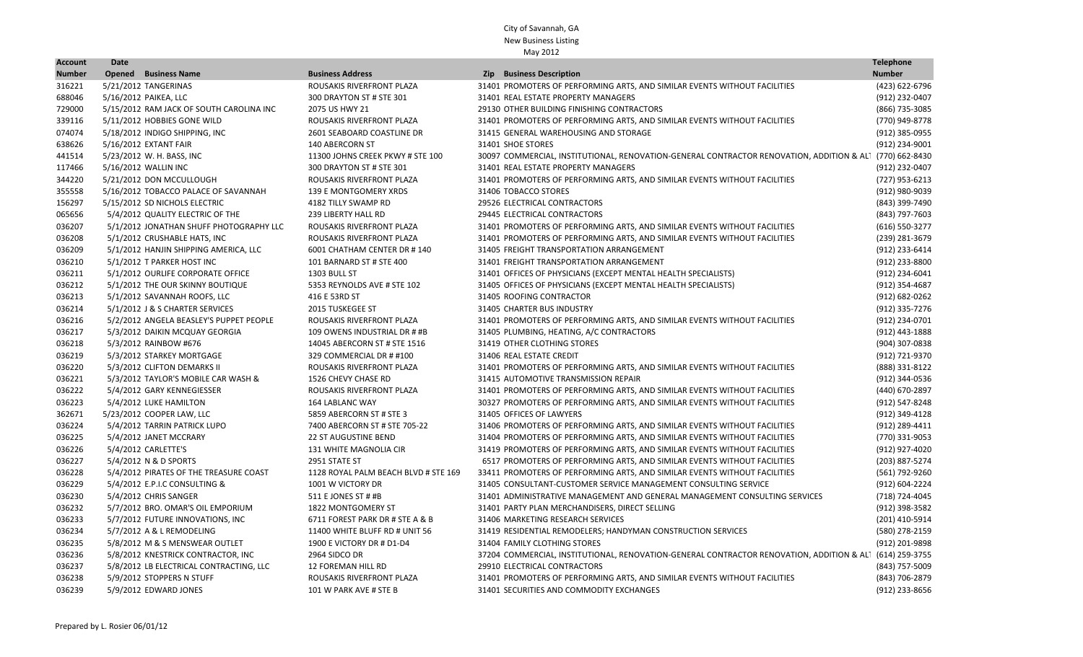| <b>Account</b> | Date |                                          |                                      |                                                                                           | <b>Telephone</b> |
|----------------|------|------------------------------------------|--------------------------------------|-------------------------------------------------------------------------------------------|------------------|
| <b>Number</b>  |      | <b>Opened</b> Business Name              | <b>Business Address</b>              | Zip Business Description                                                                  | <b>Number</b>    |
| 316221         |      | 5/21/2012 TANGERINAS                     | ROUSAKIS RIVERFRONT PLAZA            | 31401 PROMOTERS OF PERFORMING ARTS, AND SIMILAR EVENTS WITHOUT FACILITIES                 | (423) 622-6796   |
| 688046         |      | 5/16/2012 PAIKEA, LLC                    | 300 DRAYTON ST # STE 301             | 31401 REAL ESTATE PROPERTY MANAGERS                                                       | (912) 232-0407   |
| 729000         |      | 5/15/2012 RAM JACK OF SOUTH CAROLINA INC | 2075 US HWY 21                       | 29130 OTHER BUILDING FINISHING CONTRACTORS                                                | (866) 735-3085   |
| 339116         |      | 5/11/2012 HOBBIES GONE WILD              | ROUSAKIS RIVERFRONT PLAZA            | 31401 PROMOTERS OF PERFORMING ARTS, AND SIMILAR EVENTS WITHOUT FACILITIES                 | (770) 949-8778   |
| 074074         |      | 5/18/2012 INDIGO SHIPPING, INC           | 2601 SEABOARD COASTLINE DR           | 31415 GENERAL WAREHOUSING AND STORAGE                                                     | (912) 385-0955   |
| 638626         |      | 5/16/2012 EXTANT FAIR                    | 140 ABERCORN ST                      | 31401 SHOE STORES                                                                         | (912) 234-9001   |
| 441514         |      | 5/23/2012 W. H. BASS, INC                | 11300 JOHNS CREEK PKWY # STE 100     | 30097 COMMERCIAL, INSTITUTIONAL, RENOVATION-GENERAL CONTRACTOR RENOVATION, ADDITION & ALT | (770) 662-8430   |
| 117466         |      | 5/16/2012 WALLIN INC                     | 300 DRAYTON ST # STE 301             | 31401 REAL ESTATE PROPERTY MANAGERS                                                       | (912) 232-0407   |
| 344220         |      | 5/21/2012 DON MCCULLOUGH                 | ROUSAKIS RIVERFRONT PLAZA            | 31401 PROMOTERS OF PERFORMING ARTS, AND SIMILAR EVENTS WITHOUT FACILITIES                 | (727) 953-6213   |
| 355558         |      | 5/16/2012 TOBACCO PALACE OF SAVANNAH     | <b>139 E MONTGOMERY XRDS</b>         | 31406 TOBACCO STORES                                                                      | (912) 980-9039   |
| 156297         |      | 5/15/2012 SD NICHOLS ELECTRIC            | 4182 TILLY SWAMP RD                  | 29526 ELECTRICAL CONTRACTORS                                                              | (843) 399-7490   |
| 065656         |      | 5/4/2012 QUALITY ELECTRIC OF THE         | 239 LIBERTY HALL RD                  | 29445 ELECTRICAL CONTRACTORS                                                              | (843) 797-7603   |
| 036207         |      | 5/1/2012 JONATHAN SHUFF PHOTOGRAPHY LLC  | ROUSAKIS RIVERFRONT PLAZA            | 31401 PROMOTERS OF PERFORMING ARTS, AND SIMILAR EVENTS WITHOUT FACILITIES                 | (616) 550-3277   |
| 036208         |      | 5/1/2012 CRUSHABLE HATS, INC             | ROUSAKIS RIVERFRONT PLAZA            | 31401 PROMOTERS OF PERFORMING ARTS, AND SIMILAR EVENTS WITHOUT FACILITIES                 | (239) 281-3679   |
| 036209         |      | 5/1/2012 HANJIN SHIPPING AMERICA, LLC    | 6001 CHATHAM CENTER DR #140          | 31405 FREIGHT TRANSPORTATION ARRANGEMENT                                                  | (912) 233-6414   |
| 036210         |      | 5/1/2012 T PARKER HOST INC               | 101 BARNARD ST # STE 400             | 31401 FREIGHT TRANSPORTATION ARRANGEMENT                                                  | (912) 233-8800   |
| 036211         |      | 5/1/2012 OURLIFE CORPORATE OFFICE        | 1303 BULL ST                         | 31401 OFFICES OF PHYSICIANS (EXCEPT MENTAL HEALTH SPECIALISTS)                            | (912) 234-6041   |
| 036212         |      | 5/1/2012 THE OUR SKINNY BOUTIQUE         | 5353 REYNOLDS AVE # STE 102          | 31405 OFFICES OF PHYSICIANS (EXCEPT MENTAL HEALTH SPECIALISTS)                            | (912) 354-4687   |
| 036213         |      | 5/1/2012 SAVANNAH ROOFS, LLC             | 416 E 53RD ST                        | 31405 ROOFING CONTRACTOR                                                                  | (912) 682-0262   |
| 036214         |      | 5/1/2012 J & S CHARTER SERVICES          | 2015 TUSKEGEE ST                     | 31405 CHARTER BUS INDUSTRY                                                                | (912) 335-7276   |
| 036216         |      | 5/2/2012 ANGELA BEASLEY'S PUPPET PEOPLE  | ROUSAKIS RIVERFRONT PLAZA            | 31401 PROMOTERS OF PERFORMING ARTS, AND SIMILAR EVENTS WITHOUT FACILITIES                 | (912) 234-0701   |
| 036217         |      | 5/3/2012 DAIKIN MCQUAY GEORGIA           | 109 OWENS INDUSTRIAL DR # #B         | 31405 PLUMBING, HEATING, A/C CONTRACTORS                                                  | (912) 443-1888   |
| 036218         |      | 5/3/2012 RAINBOW #676                    | 14045 ABERCORN ST # STE 1516         | 31419 OTHER CLOTHING STORES                                                               | (904) 307-0838   |
| 036219         |      | 5/3/2012 STARKEY MORTGAGE                | 329 COMMERCIAL DR # #100             | 31406 REAL ESTATE CREDIT                                                                  | (912) 721-9370   |
| 036220         |      | 5/3/2012 CLIFTON DEMARKS II              | ROUSAKIS RIVERFRONT PLAZA            | 31401 PROMOTERS OF PERFORMING ARTS, AND SIMILAR EVENTS WITHOUT FACILITIES                 | (888) 331-8122   |
| 036221         |      | 5/3/2012 TAYLOR'S MOBILE CAR WASH &      | <b>1526 CHEVY CHASE RD</b>           | 31415 AUTOMOTIVE TRANSMISSION REPAIR                                                      | (912) 344-0536   |
| 036222         |      | 5/4/2012 GARY KENNEGIESSER               | ROUSAKIS RIVERFRONT PLAZA            | 31401 PROMOTERS OF PERFORMING ARTS, AND SIMILAR EVENTS WITHOUT FACILITIES                 | (440) 670-2897   |
| 036223         |      | 5/4/2012 LUKE HAMILTON                   | 164 LABLANC WAY                      | 30327 PROMOTERS OF PERFORMING ARTS, AND SIMILAR EVENTS WITHOUT FACILITIES                 | (912) 547-8248   |
| 362671         |      | 5/23/2012 COOPER LAW, LLC                | 5859 ABERCORN ST # STE 3             | 31405 OFFICES OF LAWYERS                                                                  | (912) 349-4128   |
| 036224         |      | 5/4/2012 TARRIN PATRICK LUPO             | 7400 ABERCORN ST # STE 705-22        | 31406 PROMOTERS OF PERFORMING ARTS, AND SIMILAR EVENTS WITHOUT FACILITIES                 | (912) 289-4411   |
| 036225         |      | 5/4/2012 JANET MCCRARY                   | <b>22 ST AUGUSTINE BEND</b>          | 31404 PROMOTERS OF PERFORMING ARTS, AND SIMILAR EVENTS WITHOUT FACILITIES                 | (770) 331-9053   |
| 036226         |      | 5/4/2012 CARLETTE'S                      | 131 WHITE MAGNOLIA CIR               | 31419 PROMOTERS OF PERFORMING ARTS, AND SIMILAR EVENTS WITHOUT FACILITIES                 | (912) 927-4020   |
| 036227         |      | 5/4/2012 N & D SPORTS                    | 2951 STATE ST                        | 6517 PROMOTERS OF PERFORMING ARTS, AND SIMILAR EVENTS WITHOUT FACILITIES                  | (203) 887-5274   |
| 036228         |      | 5/4/2012 PIRATES OF THE TREASURE COAST   | 1128 ROYAL PALM BEACH BLVD # STE 169 | 33411 PROMOTERS OF PERFORMING ARTS, AND SIMILAR EVENTS WITHOUT FACILITIES                 | (561) 792-9260   |
| 036229         |      | 5/4/2012 E.P.I.C CONSULTING &            | 1001 W VICTORY DR                    | 31405 CONSULTANT-CUSTOMER SERVICE MANAGEMENT CONSULTING SERVICE                           | (912) 604-2224   |
| 036230         |      | 5/4/2012 CHRIS SANGER                    | 511 E JONES ST # #B                  | 31401 ADMINISTRATIVE MANAGEMENT AND GENERAL MANAGEMENT CONSULTING SERVICES                | (718) 724-4045   |
| 036232         |      | 5/7/2012 BRO. OMAR'S OIL EMPORIUM        | 1822 MONTGOMERY ST                   | 31401 PARTY PLAN MERCHANDISERS, DIRECT SELLING                                            | (912) 398-3582   |
| 036233         |      | 5/7/2012 FUTURE INNOVATIONS, INC         | 6711 FOREST PARK DR # STE A & B      | 31406 MARKETING RESEARCH SERVICES                                                         | (201) 410-5914   |
| 036234         |      | 5/7/2012 A & L REMODELING                | 11400 WHITE BLUFF RD # UNIT 56       | 31419 RESIDENTIAL REMODELERS; HANDYMAN CONSTRUCTION SERVICES                              | (580) 278-2159   |
| 036235         |      | 5/8/2012 M & S MENSWEAR OUTLET           | 1900 E VICTORY DR # D1-D4            | 31404 FAMILY CLOTHING STORES                                                              | (912) 201-9898   |
| 036236         |      | 5/8/2012 KNESTRICK CONTRACTOR, INC       | 2964 SIDCO DR                        | 37204 COMMERCIAL, INSTITUTIONAL, RENOVATION-GENERAL CONTRACTOR RENOVATION, ADDITION & ALT | (614) 259-3755   |
| 036237         |      | 5/8/2012 LB ELECTRICAL CONTRACTING, LLC  | 12 FOREMAN HILL RD                   | 29910 ELECTRICAL CONTRACTORS                                                              | (843) 757-5009   |
| 036238         |      | 5/9/2012 STOPPERS N STUFF                | ROUSAKIS RIVERFRONT PLAZA            | 31401 PROMOTERS OF PERFORMING ARTS, AND SIMILAR EVENTS WITHOUT FACILITIES                 | (843) 706-2879   |
| 036239         |      | 5/9/2012 EDWARD JONES                    | 101 W PARK AVE # STE B               | 31401 SECURITIES AND COMMODITY EXCHANGES                                                  | (912) 233-8656   |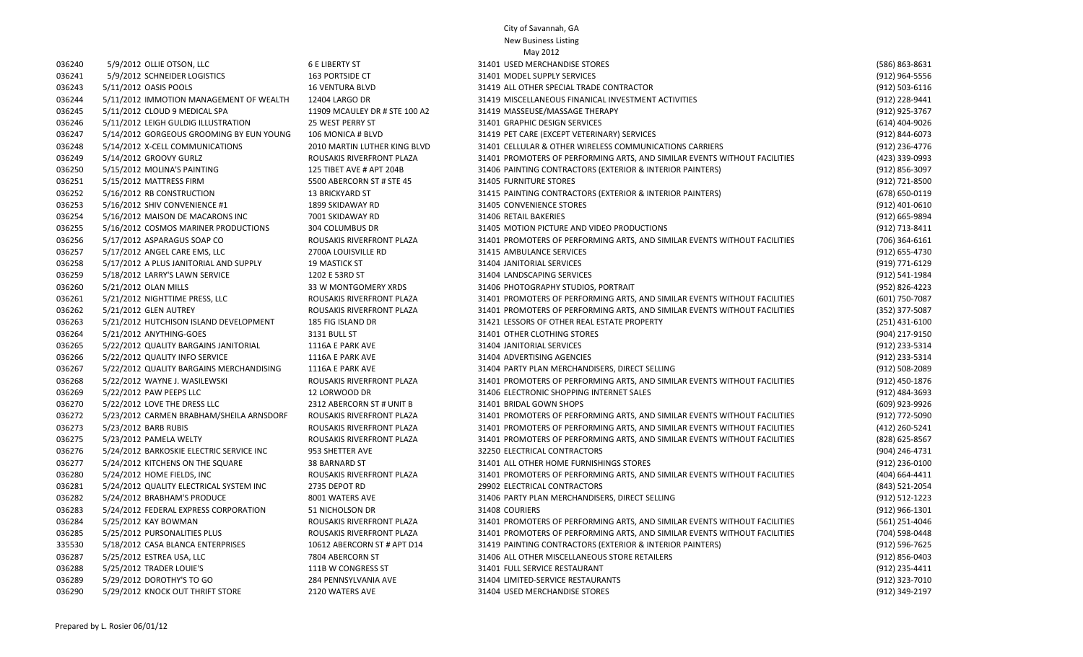# City of Savannah, GA

### New Business Listing May 2012

| 036240 | 5/9/2012 OLLIE OTSON, LLC                | <b>6 E LIBERTY ST</b>         | 31401 USED MERCHANDISE STORES                                             | (586) 863-8631   |
|--------|------------------------------------------|-------------------------------|---------------------------------------------------------------------------|------------------|
| 036241 | 5/9/2012 SCHNEIDER LOGISTICS             | 163 PORTSIDE CT               | 31401 MODEL SUPPLY SERVICES                                               | (912) 964-5556   |
| 036243 | 5/11/2012 OASIS POOLS                    | <b>16 VENTURA BLVD</b>        | 31419 ALL OTHER SPECIAL TRADE CONTRACTOR                                  | (912) 503-6116   |
| 036244 | 5/11/2012 IMMOTION MANAGEMENT OF WEALTH  | 12404 LARGO DR                | 31419 MISCELLANEOUS FINANICAL INVESTMENT ACTIVITIES                       | (912) 228-9441   |
| 036245 | 5/11/2012 CLOUD 9 MEDICAL SPA            | 11909 MCAULEY DR # STE 100 A2 | 31419 MASSEUSE/MASSAGE THERAPY                                            | (912) 925-3767   |
| 036246 | 5/11/2012 LEIGH GULDIG ILLUSTRATION      | 25 WEST PERRY ST              | 31401 GRAPHIC DESIGN SERVICES                                             | $(614)$ 404-9026 |
| 036247 | 5/14/2012 GORGEOUS GROOMING BY EUN YOUNG | 106 MONICA # BLVD             | 31419 PET CARE (EXCEPT VETERINARY) SERVICES                               | (912) 844-6073   |
| 036248 | 5/14/2012 X-CELL COMMUNICATIONS          | 2010 MARTIN LUTHER KING BLVD  | 31401 CELLULAR & OTHER WIRELESS COMMUNICATIONS CARRIERS                   | (912) 236-4776   |
| 036249 | 5/14/2012 GROOVY GURLZ                   | ROUSAKIS RIVERFRONT PLAZA     | 31401 PROMOTERS OF PERFORMING ARTS, AND SIMILAR EVENTS WITHOUT FACILITIES | (423) 339-0993   |
| 036250 | 5/15/2012 MOLINA'S PAINTING              | 125 TIBET AVE # APT 204B      | 31406 PAINTING CONTRACTORS (EXTERIOR & INTERIOR PAINTERS)                 | (912) 856-3097   |
| 036251 | 5/15/2012 MATTRESS FIRM                  | 5500 ABERCORN ST # STE 45     | 31405 FURNITURE STORES                                                    | (912) 721-8500   |
| 036252 | 5/16/2012 RB CONSTRUCTION                | <b>13 BRICKYARD ST</b>        | 31415 PAINTING CONTRACTORS (EXTERIOR & INTERIOR PAINTERS)                 | (678) 650-0119   |
| 036253 | 5/16/2012 SHIV CONVENIENCE #1            | 1899 SKIDAWAY RD              | 31405 CONVENIENCE STORES                                                  | (912) 401-0610   |
| 036254 | 5/16/2012 MAISON DE MACARONS INC         | 7001 SKIDAWAY RD              | 31406 RETAIL BAKERIES                                                     | (912) 665-9894   |
| 036255 | 5/16/2012 COSMOS MARINER PRODUCTIONS     | 304 COLUMBUS DR               | 31405 MOTION PICTURE AND VIDEO PRODUCTIONS                                | (912) 713-8411   |
| 036256 | 5/17/2012 ASPARAGUS SOAP CO              | ROUSAKIS RIVERFRONT PLAZA     | 31401 PROMOTERS OF PERFORMING ARTS, AND SIMILAR EVENTS WITHOUT FACILITIES | (706) 364-6161   |
| 036257 | 5/17/2012 ANGEL CARE EMS, LLC            | 2700A LOUISVILLE RD           | 31415 AMBULANCE SERVICES                                                  | (912) 655-4730   |
| 036258 | 5/17/2012 A PLUS JANITORIAL AND SUPPLY   | <b>19 MASTICK ST</b>          | 31404 JANITORIAL SERVICES                                                 | (919) 771-6129   |
| 036259 | 5/18/2012 LARRY'S LAWN SERVICE           | 1202 E 53RD ST                | 31404 LANDSCAPING SERVICES                                                | (912) 541-1984   |
| 036260 | 5/21/2012 OLAN MILLS                     | 33 W MONTGOMERY XRDS          | 31406 PHOTOGRAPHY STUDIOS, PORTRAIT                                       | (952) 826-4223   |
| 036261 | 5/21/2012 NIGHTTIME PRESS, LLC           | ROUSAKIS RIVERFRONT PLAZA     | 31401 PROMOTERS OF PERFORMING ARTS, AND SIMILAR EVENTS WITHOUT FACILITIES | (601) 750-7087   |
| 036262 | 5/21/2012 GLEN AUTREY                    | ROUSAKIS RIVERFRONT PLAZA     | 31401 PROMOTERS OF PERFORMING ARTS, AND SIMILAR EVENTS WITHOUT FACILITIES | (352) 377-5087   |
| 036263 | 5/21/2012 HUTCHISON ISLAND DEVELOPMENT   | 185 FIG ISLAND DR             | 31421 LESSORS OF OTHER REAL ESTATE PROPERTY                               | $(251)$ 431-6100 |
| 036264 | 5/21/2012 ANYTHING-GOES                  | 3131 BULL ST                  | 31401 OTHER CLOTHING STORES                                               | (904) 217-9150   |
| 036265 | 5/22/2012 QUALITY BARGAINS JANITORIAL    | 1116A E PARK AVE              | 31404 JANITORIAL SERVICES                                                 | (912) 233-5314   |
| 036266 | 5/22/2012 QUALITY INFO SERVICE           | 1116A E PARK AVE              | 31404 ADVERTISING AGENCIES                                                | (912) 233-5314   |
| 036267 | 5/22/2012 QUALITY BARGAINS MERCHANDISING | 1116A E PARK AVE              | 31404 PARTY PLAN MERCHANDISERS, DIRECT SELLING                            | (912) 508-2089   |
| 036268 | 5/22/2012 WAYNE J. WASILEWSKI            | ROUSAKIS RIVERFRONT PLAZA     | 31401 PROMOTERS OF PERFORMING ARTS, AND SIMILAR EVENTS WITHOUT FACILITIES | (912) 450-1876   |
| 036269 | 5/22/2012 PAW PEEPS LLC                  | 12 LORWOOD DR                 | 31406 ELECTRONIC SHOPPING INTERNET SALES                                  | (912) 484-3693   |
| 036270 | 5/22/2012 LOVE THE DRESS LLC             | 2312 ABERCORN ST # UNIT B     | 31401 BRIDAL GOWN SHOPS                                                   | (609) 923-9926   |
| 036272 | 5/23/2012 CARMEN BRABHAM/SHEILA ARNSDORF | ROUSAKIS RIVERFRONT PLAZA     | 31401 PROMOTERS OF PERFORMING ARTS, AND SIMILAR EVENTS WITHOUT FACILITIES | (912) 772-5090   |
| 036273 | 5/23/2012 BARB RUBIS                     | ROUSAKIS RIVERFRONT PLAZA     | 31401 PROMOTERS OF PERFORMING ARTS, AND SIMILAR EVENTS WITHOUT FACILITIES | (412) 260-5241   |
| 036275 | 5/23/2012 PAMELA WELTY                   | ROUSAKIS RIVERFRONT PLAZA     | 31401 PROMOTERS OF PERFORMING ARTS, AND SIMILAR EVENTS WITHOUT FACILITIES | (828) 625-8567   |
| 036276 | 5/24/2012 BARKOSKIE ELECTRIC SERVICE INC | 953 SHETTER AVE               | 32250 ELECTRICAL CONTRACTORS                                              | (904) 246-4731   |
| 036277 | 5/24/2012 KITCHENS ON THE SQUARE         | 38 BARNARD ST                 | 31401 ALL OTHER HOME FURNISHINGS STORES                                   | (912) 236-0100   |
| 036280 | 5/24/2012 HOME FIELDS, INC               | ROUSAKIS RIVERFRONT PLAZA     | 31401 PROMOTERS OF PERFORMING ARTS, AND SIMILAR EVENTS WITHOUT FACILITIES | (404) 664-4411   |
| 036281 | 5/24/2012 QUALITY ELECTRICAL SYSTEM INC  | 2735 DEPOT RD                 | 29902 ELECTRICAL CONTRACTORS                                              | (843) 521-2054   |
| 036282 | 5/24/2012 BRABHAM'S PRODUCE              | 8001 WATERS AVE               | 31406 PARTY PLAN MERCHANDISERS, DIRECT SELLING                            | (912) 512-1223   |
| 036283 | 5/24/2012 FEDERAL EXPRESS CORPORATION    | 51 NICHOLSON DR               | 31408 COURIERS                                                            | (912) 966-1301   |
| 036284 | 5/25/2012 KAY BOWMAN                     | ROUSAKIS RIVERFRONT PLAZA     | 31401 PROMOTERS OF PERFORMING ARTS, AND SIMILAR EVENTS WITHOUT FACILITIES | (561) 251-4046   |
| 036285 | 5/25/2012 PURSONALITIES PLUS             | ROUSAKIS RIVERFRONT PLAZA     | 31401 PROMOTERS OF PERFORMING ARTS, AND SIMILAR EVENTS WITHOUT FACILITIES | (704) 598-0448   |
| 335530 | 5/18/2012 CASA BLANCA ENTERPRISES        | 10612 ABERCORN ST # APT D14   | 31419 PAINTING CONTRACTORS (EXTERIOR & INTERIOR PAINTERS)                 | (912) 596-7625   |
| 036287 | 5/25/2012 ESTREA USA, LLC                | 7804 ABERCORN ST              | 31406 ALL OTHER MISCELLANEOUS STORE RETAILERS                             | (912) 856-0403   |
| 036288 | 5/25/2012 TRADER LOUIE'S                 | 111B W CONGRESS ST            | 31401 FULL SERVICE RESTAURANT                                             | (912) 235-4411   |
| 036289 | 5/29/2012 DOROTHY'S TO GO                | 284 PENNSYLVANIA AVE          | 31404 LIMITED-SERVICE RESTAURANTS                                         | (912) 323-7010   |
| 036290 | 5/29/2012 KNOCK OUT THRIFT STORE         | 2120 WATERS AVE               | 31404 USED MERCHANDISE STORES                                             | (912) 349-2197   |
|        |                                          |                               |                                                                           |                  |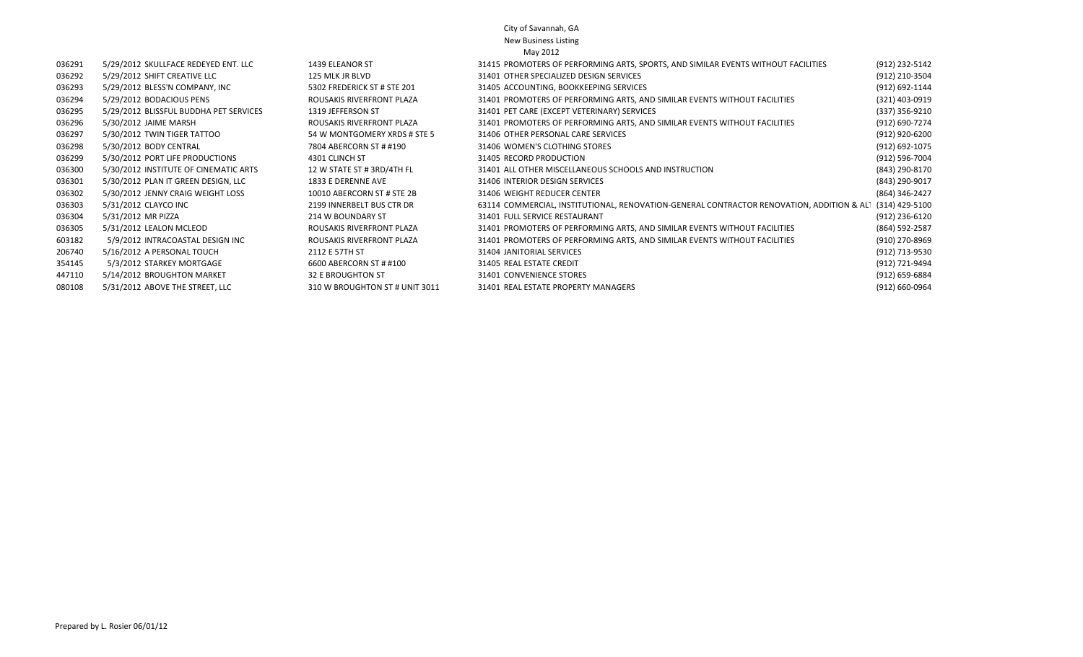# City of Savannah, GA

## New Business Listing May 2012

| 036291 | 5/29/2012 SKULLFACE REDEYED ENT. LLC   | 1439 ELEANOR ST                | 31415 PROMOTERS OF PERFORMING ARTS, SPORTS, AND SIMILAR EVENTS WITHOUT FACILITIES         | (912) 232-5142 |
|--------|----------------------------------------|--------------------------------|-------------------------------------------------------------------------------------------|----------------|
| 036292 | 5/29/2012 SHIFT CREATIVE LLC           | 125 MLK JR BLVD                | 31401 OTHER SPECIALIZED DESIGN SERVICES                                                   | (912) 210-3504 |
| 036293 | 5/29/2012 BLESS'N COMPANY, INC         | 5302 FREDERICK ST # STE 201    | 31405 ACCOUNTING, BOOKKEEPING SERVICES                                                    | (912) 692-1144 |
| 036294 | 5/29/2012 BODACIOUS PENS               | ROUSAKIS RIVERFRONT PLAZA      | 31401 PROMOTERS OF PERFORMING ARTS, AND SIMILAR EVENTS WITHOUT FACILITIES                 | (321) 403-0919 |
| 036295 | 5/29/2012 BLISSFUL BUDDHA PET SERVICES | 1319 JEFFERSON ST              | 31401 PET CARE (EXCEPT VETERINARY) SERVICES                                               | (337) 356-9210 |
| 036296 | 5/30/2012 JAIME MARSH                  | ROUSAKIS RIVERFRONT PLAZA      | 31401 PROMOTERS OF PERFORMING ARTS, AND SIMILAR EVENTS WITHOUT FACILITIES                 | (912) 690-7274 |
| 036297 | 5/30/2012 TWIN TIGER TATTOO            | 54 W MONTGOMERY XRDS # STE 5   | 31406 OTHER PERSONAL CARE SERVICES                                                        | (912) 920-6200 |
| 036298 | 5/30/2012 BODY CENTRAL                 | 7804 ABERCORN ST # #190        | 31406 WOMEN'S CLOTHING STORES                                                             | (912) 692-1075 |
| 036299 | 5/30/2012 PORT LIFE PRODUCTIONS        | 4301 CLINCH ST                 | 31405 RECORD PRODUCTION                                                                   | (912) 596-7004 |
| 036300 | 5/30/2012 INSTITUTE OF CINEMATIC ARTS  | 12 W STATE ST # 3RD/4TH FL     | 31401 ALL OTHER MISCELLANEOUS SCHOOLS AND INSTRUCTION                                     | (843) 290-8170 |
| 036301 | 5/30/2012 PLAN IT GREEN DESIGN, LLC    | 1833 E DERENNE AVE             | 31406 INTERIOR DESIGN SERVICES                                                            | (843) 290-9017 |
| 036302 | 5/30/2012 JENNY CRAIG WEIGHT LOSS      | 10010 ABERCORN ST # STE 2B     | 31406 WEIGHT REDUCER CENTER                                                               | (864) 346-2427 |
| 036303 | 5/31/2012 CLAYCO INC                   | 2199 INNERBELT BUS CTR DR      | 63114 COMMERCIAL, INSTITUTIONAL, RENOVATION-GENERAL CONTRACTOR RENOVATION, ADDITION & ALT | (314) 429-5100 |
| 036304 | 5/31/2012 MR PIZZA                     | 214 W BOUNDARY ST              | 31401 FULL SERVICE RESTAURANT                                                             | (912) 236-6120 |
| 036305 | 5/31/2012 LEALON MCLEOD                | ROUSAKIS RIVERFRONT PLAZA      | 31401 PROMOTERS OF PERFORMING ARTS, AND SIMILAR EVENTS WITHOUT FACILITIES                 | (864) 592-2587 |
| 603182 | 5/9/2012 INTRACOASTAL DESIGN INC       | ROUSAKIS RIVERFRONT PLAZA      | 31401 PROMOTERS OF PERFORMING ARTS, AND SIMILAR EVENTS WITHOUT FACILITIES                 | (910) 270-8969 |
| 206740 | 5/16/2012 A PERSONAL TOUCH             | 2112 E 57TH ST                 | 31404 JANITORIAL SERVICES                                                                 | (912) 713-9530 |
| 354145 | 5/3/2012 STARKEY MORTGAGE              | 6600 ABERCORN ST # #100        | 31405 REAL ESTATE CREDIT                                                                  | (912) 721-9494 |
| 447110 | 5/14/2012 BROUGHTON MARKET             | 32 E BROUGHTON ST              | 31401 CONVENIENCE STORES                                                                  | (912) 659-6884 |
| 080108 | 5/31/2012 ABOVE THE STREET, LLC        | 310 W BROUGHTON ST # UNIT 3011 | 31401 REAL ESTATE PROPERTY MANAGERS                                                       | (912) 660-0964 |
|        |                                        |                                |                                                                                           |                |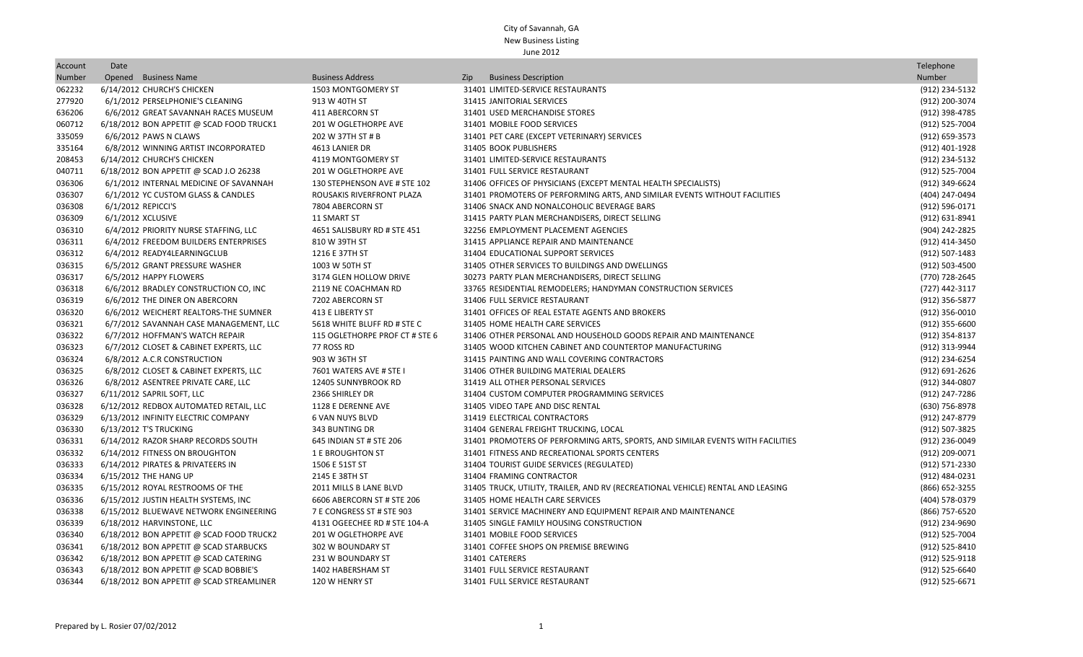# City of Savannah, GA New Business Listing June 2012

| Account | Date                                     |                                |                                                                                 | Telephone        |
|---------|------------------------------------------|--------------------------------|---------------------------------------------------------------------------------|------------------|
| Number  | Opened Business Name                     | <b>Business Address</b>        | <b>Business Description</b><br>Zip                                              | Number           |
| 062232  | 6/14/2012 CHURCH'S CHICKEN               | 1503 MONTGOMERY ST             | 31401 LIMITED-SERVICE RESTAURANTS                                               | (912) 234-5132   |
| 277920  | 6/1/2012 PERSELPHONIE'S CLEANING         | 913 W 40TH ST                  | 31415 JANITORIAL SERVICES                                                       | (912) 200-3074   |
| 636206  | 6/6/2012 GREAT SAVANNAH RACES MUSEUM     | 411 ABERCORN ST                | 31401 USED MERCHANDISE STORES                                                   | (912) 398-4785   |
| 060712  | 6/18/2012 BON APPETIT @ SCAD FOOD TRUCK1 | 201 W OGLETHORPE AVE           | 31401 MOBILE FOOD SERVICES                                                      | (912) 525-7004   |
| 335059  | 6/6/2012 PAWS N CLAWS                    | 202 W 37TH ST # B              | 31401 PET CARE (EXCEPT VETERINARY) SERVICES                                     | (912) 659-3573   |
| 335164  | 6/8/2012 WINNING ARTIST INCORPORATED     | 4613 LANIER DR                 | 31405 BOOK PUBLISHERS                                                           | (912) 401-1928   |
| 208453  | 6/14/2012 CHURCH'S CHICKEN               | 4119 MONTGOMERY ST             | 31401 LIMITED-SERVICE RESTAURANTS                                               | (912) 234-5132   |
| 040711  | 6/18/2012 BON APPETIT @ SCAD J.O 26238   | 201 W OGLETHORPE AVE           | 31401 FULL SERVICE RESTAURANT                                                   | (912) 525-7004   |
| 036306  | 6/1/2012 INTERNAL MEDICINE OF SAVANNAH   | 130 STEPHENSON AVE # STE 102   | 31406 OFFICES OF PHYSICIANS (EXCEPT MENTAL HEALTH SPECIALISTS)                  | (912) 349-6624   |
| 036307  | 6/1/2012 YC CUSTOM GLASS & CANDLES       | ROUSAKIS RIVERFRONT PLAZA      | 31401 PROMOTERS OF PERFORMING ARTS, AND SIMILAR EVENTS WITHOUT FACILITIES       | (404) 247-0494   |
| 036308  | 6/1/2012 REPICCI'S                       | 7804 ABERCORN ST               | 31406 SNACK AND NONALCOHOLIC BEVERAGE BARS                                      | (912) 596-0171   |
| 036309  | 6/1/2012 XCLUSIVE                        | 11 SMART ST                    | 31415 PARTY PLAN MERCHANDISERS, DIRECT SELLING                                  | (912) 631-8941   |
| 036310  | 6/4/2012 PRIORITY NURSE STAFFING, LLC    | 4651 SALISBURY RD # STE 451    | 32256 EMPLOYMENT PLACEMENT AGENCIES                                             | (904) 242-2825   |
| 036311  | 6/4/2012 FREEDOM BUILDERS ENTERPRISES    | 810 W 39TH ST                  | 31415 APPLIANCE REPAIR AND MAINTENANCE                                          | (912) 414-3450   |
| 036312  | 6/4/2012 READY4LEARNINGCLUB              | 1216 E 37TH ST                 | 31404 EDUCATIONAL SUPPORT SERVICES                                              | (912) 507-1483   |
| 036315  | 6/5/2012 GRANT PRESSURE WASHER           | 1003 W 50TH ST                 | 31405 OTHER SERVICES TO BUILDINGS AND DWELLINGS                                 | (912) 503-4500   |
| 036317  | 6/5/2012 HAPPY FLOWERS                   | 3174 GLEN HOLLOW DRIVE         | 30273 PARTY PLAN MERCHANDISERS, DIRECT SELLING                                  | (770) 728-2645   |
| 036318  | 6/6/2012 BRADLEY CONSTRUCTION CO, INC    | 2119 NE COACHMAN RD            | 33765 RESIDENTIAL REMODELERS; HANDYMAN CONSTRUCTION SERVICES                    | (727) 442-3117   |
| 036319  | 6/6/2012 THE DINER ON ABERCORN           | 7202 ABERCORN ST               | 31406 FULL SERVICE RESTAURANT                                                   | (912) 356-5877   |
| 036320  | 6/6/2012 WEICHERT REALTORS-THE SUMNER    | 413 E LIBERTY ST               | 31401 OFFICES OF REAL ESTATE AGENTS AND BROKERS                                 | (912) 356-0010   |
| 036321  | 6/7/2012 SAVANNAH CASE MANAGEMENT, LLC   | 5618 WHITE BLUFF RD # STE C    | 31405 HOME HEALTH CARE SERVICES                                                 | $(912)$ 355-6600 |
| 036322  | 6/7/2012 HOFFMAN'S WATCH REPAIR          | 115 OGLETHORPE PROF CT # STE 6 | 31406 OTHER PERSONAL AND HOUSEHOLD GOODS REPAIR AND MAINTENANCE                 | (912) 354-8137   |
| 036323  | 6/7/2012 CLOSET & CABINET EXPERTS, LLC   | 77 ROSS RD                     | 31405 WOOD KITCHEN CABINET AND COUNTERTOP MANUFACTURING                         | (912) 313-9944   |
| 036324  | 6/8/2012 A.C.R CONSTRUCTION              | 903 W 36TH ST                  | 31415 PAINTING AND WALL COVERING CONTRACTORS                                    | (912) 234-6254   |
| 036325  | 6/8/2012 CLOSET & CABINET EXPERTS, LLC   | 7601 WATERS AVE # STE I        | 31406 OTHER BUILDING MATERIAL DEALERS                                           | (912) 691-2626   |
| 036326  | 6/8/2012 ASENTREE PRIVATE CARE, LLC      | 12405 SUNNYBROOK RD            | 31419 ALL OTHER PERSONAL SERVICES                                               | (912) 344-0807   |
| 036327  | 6/11/2012 SAPRIL SOFT, LLC               | 2366 SHIRLEY DR                | 31404 CUSTOM COMPUTER PROGRAMMING SERVICES                                      | (912) 247-7286   |
| 036328  | 6/12/2012 REDBOX AUTOMATED RETAIL, LLC   | 1128 E DERENNE AVE             | 31405 VIDEO TAPE AND DISC RENTAL                                                | (630) 756-8978   |
| 036329  | 6/13/2012 INFINITY ELECTRIC COMPANY      | <b>6 VAN NUYS BLVD</b>         | 31419 ELECTRICAL CONTRACTORS                                                    | (912) 247-8779   |
| 036330  | 6/13/2012 T'S TRUCKING                   | 343 BUNTING DR                 | 31404 GENERAL FREIGHT TRUCKING, LOCAL                                           | (912) 507-3825   |
| 036331  | 6/14/2012 RAZOR SHARP RECORDS SOUTH      | 645 INDIAN ST # STE 206        | 31401 PROMOTERS OF PERFORMING ARTS, SPORTS, AND SIMILAR EVENTS WITH FACILITIES  | (912) 236-0049   |
| 036332  | 6/14/2012 FITNESS ON BROUGHTON           | <b>1 E BROUGHTON ST</b>        | 31401 FITNESS AND RECREATIONAL SPORTS CENTERS                                   | (912) 209-0071   |
| 036333  | 6/14/2012 PIRATES & PRIVATEERS IN        | 1506 E 51ST ST                 | 31404 TOURIST GUIDE SERVICES (REGULATED)                                        | (912) 571-2330   |
| 036334  | 6/15/2012 THE HANG UP                    | 2145 E 38TH ST                 | 31404 FRAMING CONTRACTOR                                                        | (912) 484-0231   |
| 036335  | 6/15/2012 ROYAL RESTROOMS OF THE         | 2011 MILLS B LANE BLVD         | 31405 TRUCK, UTILITY, TRAILER, AND RV (RECREATIONAL VEHICLE) RENTAL AND LEASING | (866) 652-3255   |
| 036336  | 6/15/2012 JUSTIN HEALTH SYSTEMS, INC     | 6606 ABERCORN ST # STE 206     | 31405 HOME HEALTH CARE SERVICES                                                 | (404) 578-0379   |
| 036338  | 6/15/2012 BLUEWAVE NETWORK ENGINEERING   | 7 E CONGRESS ST # STE 903      | 31401 SERVICE MACHINERY AND EQUIPMENT REPAIR AND MAINTENANCE                    | (866) 757-6520   |
| 036339  | 6/18/2012 HARVINSTONE, LLC               | 4131 OGEECHEE RD # STE 104-A   | 31405 SINGLE FAMILY HOUSING CONSTRUCTION                                        | (912) 234-9690   |
| 036340  | 6/18/2012 BON APPETIT @ SCAD FOOD TRUCK2 | 201 W OGLETHORPE AVE           | 31401 MOBILE FOOD SERVICES                                                      | (912) 525-7004   |
| 036341  | 6/18/2012 BON APPETIT @ SCAD STARBUCKS   | 302 W BOUNDARY ST              | 31401 COFFEE SHOPS ON PREMISE BREWING                                           | (912) 525-8410   |
| 036342  | 6/18/2012 BON APPETIT @ SCAD CATERING    | 231 W BOUNDARY ST              | 31401 CATERERS                                                                  | (912) 525-9118   |
| 036343  | 6/18/2012 BON APPETIT @ SCAD BOBBIE'S    | 1402 HABERSHAM ST              | 31401 FULL SERVICE RESTAURANT                                                   | (912) 525-6640   |
| 036344  | 6/18/2012 BON APPETIT @ SCAD STREAMLINER | 120 W HENRY ST                 | 31401 FULL SERVICE RESTAURANT                                                   | (912) 525-6671   |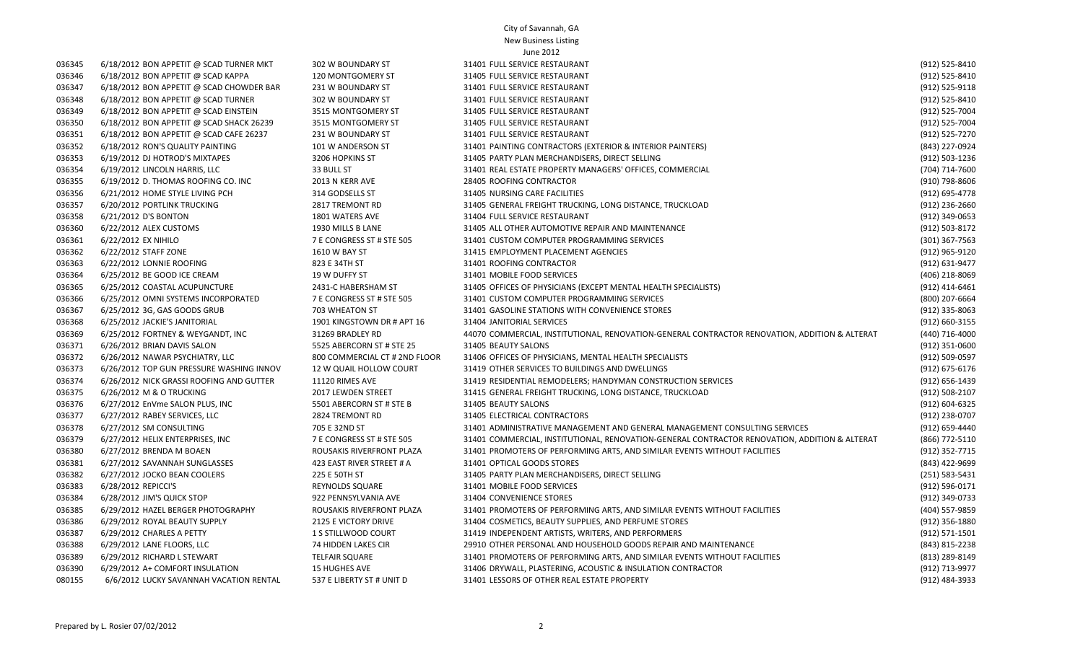|        |                                          |                               | New Business Listing                                                                          |                  |
|--------|------------------------------------------|-------------------------------|-----------------------------------------------------------------------------------------------|------------------|
|        |                                          |                               | June 2012                                                                                     |                  |
| 036345 | 6/18/2012 BON APPETIT @ SCAD TURNER MKT  | 302 W BOUNDARY ST             | 31401 FULL SERVICE RESTAURANT                                                                 | (912) 525-8410   |
| 036346 | 6/18/2012 BON APPETIT @ SCAD KAPPA       | 120 MONTGOMERY ST             | 31405 FULL SERVICE RESTAURANT                                                                 | (912) 525-8410   |
| 036347 | 6/18/2012 BON APPETIT @ SCAD CHOWDER BAR | 231 W BOUNDARY ST             | 31401 FULL SERVICE RESTAURANT                                                                 | (912) 525-9118   |
| 036348 | 6/18/2012 BON APPETIT @ SCAD TURNER      | 302 W BOUNDARY ST             | 31401 FULL SERVICE RESTAURANT                                                                 | (912) 525-8410   |
| 036349 | 6/18/2012 BON APPETIT @ SCAD EINSTEIN    | 3515 MONTGOMERY ST            | 31405 FULL SERVICE RESTAURANT                                                                 | (912) 525-7004   |
| 036350 | 6/18/2012 BON APPETIT @ SCAD SHACK 26239 | 3515 MONTGOMERY ST            | 31405 FULL SERVICE RESTAURANT                                                                 | (912) 525-7004   |
| 036351 | 6/18/2012 BON APPETIT @ SCAD CAFE 26237  | 231 W BOUNDARY ST             | 31401 FULL SERVICE RESTAURANT                                                                 | (912) 525-7270   |
| 036352 | 6/18/2012 RON'S QUALITY PAINTING         | 101 W ANDERSON ST             | 31401 PAINTING CONTRACTORS (EXTERIOR & INTERIOR PAINTERS)                                     | (843) 227-0924   |
| 036353 | 6/19/2012 DJ HOTROD'S MIXTAPES           | 3206 HOPKINS ST               | 31405 PARTY PLAN MERCHANDISERS, DIRECT SELLING                                                | (912) 503-1236   |
| 036354 | 6/19/2012 LINCOLN HARRIS, LLC            | 33 BULL ST                    | 31401 REAL ESTATE PROPERTY MANAGERS' OFFICES, COMMERCIAL                                      | (704) 714-7600   |
| 036355 | 6/19/2012 D. THOMAS ROOFING CO. INC      | 2013 N KERR AVE               | 28405 ROOFING CONTRACTOR                                                                      | $(910)$ 798-8606 |
| 036356 | 6/21/2012 HOME STYLE LIVING PCH          | 314 GODSELLS ST               | 31405 NURSING CARE FACILITIES                                                                 | (912) 695-4778   |
| 036357 | 6/20/2012 PORTLINK TRUCKING              | 2817 TREMONT RD               | 31405 GENERAL FREIGHT TRUCKING, LONG DISTANCE, TRUCKLOAD                                      | (912) 236-2660   |
| 036358 | 6/21/2012 D'S BONTON                     | 1801 WATERS AVE               | 31404 FULL SERVICE RESTAURANT                                                                 | (912) 349-0653   |
| 036360 | 6/22/2012 ALEX CUSTOMS                   | 1930 MILLS B LANE             | 31405 ALL OTHER AUTOMOTIVE REPAIR AND MAINTENANCE                                             | (912) 503-8172   |
| 036361 | 6/22/2012 EX NIHILO                      | 7 E CONGRESS ST # STE 505     | 31401 CUSTOM COMPUTER PROGRAMMING SERVICES                                                    | (301) 367-7563   |
| 036362 | 6/22/2012 STAFF ZONE                     | 1610 W BAY ST                 | 31415 EMPLOYMENT PLACEMENT AGENCIES                                                           | (912) 965-9120   |
| 036363 | 6/22/2012 LONNIE ROOFING                 | 823 E 34TH ST                 | 31401 ROOFING CONTRACTOR                                                                      | (912) 631-9477   |
| 036364 | 6/25/2012 BE GOOD ICE CREAM              | 19 W DUFFY ST                 | 31401 MOBILE FOOD SERVICES                                                                    | (406) 218-8069   |
| 036365 | 6/25/2012 COASTAL ACUPUNCTURE            | 2431-C HABERSHAM ST           | 31405 OFFICES OF PHYSICIANS (EXCEPT MENTAL HEALTH SPECIALISTS)                                | (912) 414-6461   |
| 036366 | 6/25/2012 OMNI SYSTEMS INCORPORATED      | 7 E CONGRESS ST # STE 505     | 31401 CUSTOM COMPUTER PROGRAMMING SERVICES                                                    | (800) 207-6664   |
| 036367 | 6/25/2012 3G, GAS GOODS GRUB             | 703 WHEATON ST                | 31401 GASOLINE STATIONS WITH CONVENIENCE STORES                                               | (912) 335-8063   |
| 036368 | 6/25/2012 JACKIE'S JANITORIAL            | 1901 KINGSTOWN DR # APT 16    | 31404 JANITORIAL SERVICES                                                                     | (912) 660-3155   |
| 036369 | 6/25/2012 FORTNEY & WEYGANDT, INC        | 31269 BRADLEY RD              | 44070 COMMERCIAL, INSTITUTIONAL, RENOVATION-GENERAL CONTRACTOR RENOVATION, ADDITION & ALTERAT | (440) 716-4000   |
| 036371 | 6/26/2012 BRIAN DAVIS SALON              | 5525 ABERCORN ST # STE 25     | 31405 BEAUTY SALONS                                                                           | (912) 351-0600   |
| 036372 | 6/26/2012 NAWAR PSYCHIATRY, LLC          | 800 COMMERCIAL CT # 2ND FLOOR | 31406 OFFICES OF PHYSICIANS, MENTAL HEALTH SPECIALISTS                                        | (912) 509-0597   |
| 036373 | 6/26/2012 TOP GUN PRESSURE WASHING INNOV | 12 W QUAIL HOLLOW COURT       | 31419 OTHER SERVICES TO BUILDINGS AND DWELLINGS                                               | (912) 675-6176   |
| 036374 | 6/26/2012 NICK GRASSI ROOFING AND GUTTER | 11120 RIMES AVE               | 31419 RESIDENTIAL REMODELERS; HANDYMAN CONSTRUCTION SERVICES                                  | (912) 656-1439   |
| 036375 | 6/26/2012 M & O TRUCKING                 | 2017 LEWDEN STREET            | 31415 GENERAL FREIGHT TRUCKING, LONG DISTANCE, TRUCKLOAD                                      | (912) 508-2107   |
| 036376 | 6/27/2012 EnVme SALON PLUS, INC          | 5501 ABERCORN ST # STE B      | 31405 BEAUTY SALONS                                                                           | (912) 604-6325   |
| 036377 | 6/27/2012 RABEY SERVICES, LLC            | 2824 TREMONT RD               | 31405 ELECTRICAL CONTRACTORS                                                                  | (912) 238-0707   |
| 036378 | 6/27/2012 SM CONSULTING                  | 705 E 32ND ST                 | 31401 ADMINISTRATIVE MANAGEMENT AND GENERAL MANAGEMENT CONSULTING SERVICES                    | (912) 659-4440   |
| 036379 | 6/27/2012 HELIX ENTERPRISES, INC         | 7 E CONGRESS ST # STE 505     | 31401 COMMERCIAL, INSTITUTIONAL, RENOVATION-GENERAL CONTRACTOR RENOVATION, ADDITION & ALTERAT | (866) 772-5110   |
| 036380 | 6/27/2012 BRENDA M BOAEN                 | ROUSAKIS RIVERFRONT PLAZA     | 31401 PROMOTERS OF PERFORMING ARTS, AND SIMILAR EVENTS WITHOUT FACILITIES                     | (912) 352-7715   |
| 036381 | 6/27/2012 SAVANNAH SUNGLASSES            | 423 EAST RIVER STREET # A     | 31401 OPTICAL GOODS STORES                                                                    | (843) 422-9699   |
| 036382 | 6/27/2012 JOCKO BEAN COOLERS             | 225 E 50TH ST                 | 31405 PARTY PLAN MERCHANDISERS, DIRECT SELLING                                                | (251) 583-5431   |
| 036383 | 6/28/2012 REPICCI'S                      | REYNOLDS SQUARE               | 31401 MOBILE FOOD SERVICES                                                                    | (912) 596-0171   |
| 036384 | 6/28/2012 JIM'S QUICK STOP               | 922 PENNSYLVANIA AVE          | 31404 CONVENIENCE STORES                                                                      | (912) 349-0733   |
| 036385 | 6/29/2012 HAZEL BERGER PHOTOGRAPHY       | ROUSAKIS RIVERFRONT PLAZA     | 31401 PROMOTERS OF PERFORMING ARTS, AND SIMILAR EVENTS WITHOUT FACILITIES                     | (404) 557-9859   |
| 036386 | 6/29/2012 ROYAL BEAUTY SUPPLY            | 2125 E VICTORY DRIVE          | 31404 COSMETICS, BEAUTY SUPPLIES, AND PERFUME STORES                                          | (912) 356-1880   |
| 036387 | 6/29/2012 CHARLES A PETTY                | 1 S STILLWOOD COURT           | 31419 INDEPENDENT ARTISTS, WRITERS, AND PERFORMERS                                            | (912) 571-1501   |
| 036388 | 6/29/2012 LANE FLOORS, LLC               | 74 HIDDEN LAKES CIR           | 29910 OTHER PERSONAL AND HOUSEHOLD GOODS REPAIR AND MAINTENANCE                               | (843) 815-2238   |
| 036389 | 6/29/2012 RICHARD L STEWART              | <b>TELFAIR SQUARE</b>         | 31401 PROMOTERS OF PERFORMING ARTS, AND SIMILAR EVENTS WITHOUT FACILITIES                     | (813) 289-8149   |
| 036390 | 6/29/2012 A+ COMFORT INSULATION          | <b>15 HUGHES AVE</b>          | 31406 DRYWALL, PLASTERING, ACOUSTIC & INSULATION CONTRACTOR                                   | (912) 713-9977   |
| 080155 | 6/6/2012 LUCKY SAVANNAH VACATION RENTAL  | 537 E LIBERTY ST # UNIT D     | 31401 LESSORS OF OTHER REAL ESTATE PROPERTY                                                   | (912) 484-3933   |

City of Savannah, GA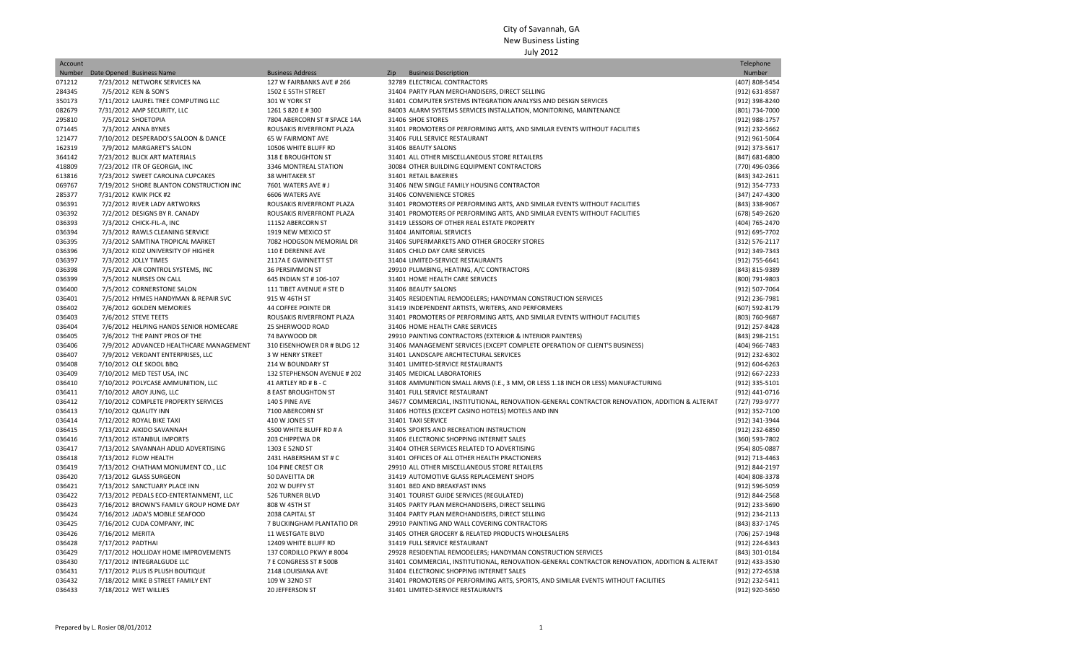# City of Savannah, GA New Business Listing July 2012

| Account |                                          |                              |                                                                                               | Telephone      |
|---------|------------------------------------------|------------------------------|-----------------------------------------------------------------------------------------------|----------------|
| Number  | Date Opened Business Name                | <b>Business Address</b>      | <b>Business Description</b><br>Zip                                                            | Number         |
| 071212  | 7/23/2012 NETWORK SERVICES NA            | 127 W FAIRBANKS AVE # 266    | 32789 ELECTRICAL CONTRACTORS                                                                  | (407) 808-5454 |
| 284345  | 7/5/2012 KEN & SON'S                     | 1502 E 55TH STREET           | 31404 PARTY PLAN MERCHANDISERS, DIRECT SELLING                                                | (912) 631-8587 |
| 350173  | 7/11/2012 LAUREL TREE COMPUTING LLC      | 301 W YORK ST                | 31401 COMPUTER SYSTEMS INTEGRATION ANALYSIS AND DESIGN SERVICES                               | (912) 398-8240 |
| 082679  | 7/31/2012 AMP SECURITY, LLC              | 1261 S 820 E # 300           | 84003 ALARM SYSTEMS SERVICES INSTALLATION, MONITORING, MAINTENANCE                            | (801) 734-7000 |
| 295810  | 7/5/2012 SHOETOPIA                       | 7804 ABERCORN ST # SPACE 14A | 31406 SHOE STORES                                                                             | (912) 988-1757 |
| 071445  | 7/3/2012 ANNA BYNES                      | ROUSAKIS RIVERFRONT PLAZA    | 31401 PROMOTERS OF PERFORMING ARTS, AND SIMILAR EVENTS WITHOUT FACILITIES                     | (912) 232-5662 |
| 121477  | 7/10/2012 DESPERADO'S SALOON & DANCE     | <b>65 W FAIRMONT AVE</b>     | 31406 FULL SERVICE RESTAURANT                                                                 | (912) 961-5064 |
| 162319  | 7/9/2012 MARGARET'S SALON                | 10506 WHITE BLUFF RD         | 31406 BEAUTY SALONS                                                                           | (912) 373-5617 |
| 364142  | 7/23/2012 BLICK ART MATERIALS            | 318 E BROUGHTON ST           | 31401 ALL OTHER MISCELLANEOUS STORE RETAILERS                                                 | (847) 681-6800 |
| 418809  | 7/23/2012 ITR OF GEORGIA, INC            | 3346 MONTREAL STATION        | 30084 OTHER BUILDING EQUIPMENT CONTRACTORS                                                    | (770) 496-0366 |
| 613816  | 7/23/2012 SWEET CAROLINA CUPCAKES        | <b>38 WHITAKER ST</b>        | 31401 RETAIL BAKERIES                                                                         | (843) 342-2611 |
| 069767  | 7/19/2012 SHORE BLANTON CONSTRUCTION INC | 7601 WATERS AVE # J          | 31406 NEW SINGLE FAMILY HOUSING CONTRACTOR                                                    | (912) 354-7733 |
| 285377  | 7/31/2012 KWIK PICK #2                   | 6606 WATERS AVE              | 31406 CONVENIENCE STORES                                                                      | (347) 247-4300 |
| 036391  | 7/2/2012 RIVER LADY ARTWORKS             | ROUSAKIS RIVERFRONT PLAZA    | 31401 PROMOTERS OF PERFORMING ARTS, AND SIMILAR EVENTS WITHOUT FACILITIES                     | (843) 338-9067 |
| 036392  | 7/2/2012 DESIGNS BY R. CANADY            | ROUSAKIS RIVERFRONT PLAZA    | 31401 PROMOTERS OF PERFORMING ARTS, AND SIMILAR EVENTS WITHOUT FACILITIES                     | (678) 549-2620 |
| 036393  | 7/3/2012 CHICK-FIL-A, INC                | 11152 ABERCORN ST            | 31419 LESSORS OF OTHER REAL ESTATE PROPERTY                                                   | (404) 765-2470 |
| 036394  | 7/3/2012 RAWLS CLEANING SERVICE          | 1919 NEW MEXICO ST           | 31404 JANITORIAL SERVICES                                                                     | (912) 695-7702 |
| 036395  | 7/3/2012 SAMTINA TROPICAL MARKET         | 7082 HODGSON MEMORIAL DR     | 31406 SUPERMARKETS AND OTHER GROCERY STORES                                                   | (312) 576-2117 |
| 036396  | 7/3/2012 KIDZ UNIVERSITY OF HIGHER       | 110 E DERENNE AVE            | 31405 CHILD DAY CARE SERVICES                                                                 | (912) 349-7343 |
| 036397  | 7/3/2012 JOLLY TIMES                     | 2117A E GWINNETT ST          | 31404 LIMITED-SERVICE RESTAURANTS                                                             | (912) 755-6641 |
| 036398  | 7/5/2012 AIR CONTROL SYSTEMS, INC        | 36 PERSIMMON ST              | 29910 PLUMBING, HEATING, A/C CONTRACTORS                                                      | (843) 815-9389 |
| 036399  | 7/5/2012 NURSES ON CALL                  | 645 INDIAN ST # 106-107      | 31401 HOME HEALTH CARE SERVICES                                                               | (800) 791-9803 |
| 036400  | 7/5/2012 CORNERSTONE SALON               | 111 TIBET AVENUE # STE D     | 31406 BEAUTY SALONS                                                                           | (912) 507-7064 |
| 036401  | 7/5/2012 HYMES HANDYMAN & REPAIR SVC     | 915 W 46TH ST                | 31405 RESIDENTIAL REMODELERS; HANDYMAN CONSTRUCTION SERVICES                                  | (912) 236-7981 |
| 036402  | 7/6/2012 GOLDEN MEMORIES                 | 44 COFFEE POINTE DR          | 31419 INDEPENDENT ARTISTS, WRITERS, AND PERFORMERS                                            | (607) 592-8179 |
| 036403  | 7/6/2012 STEVE TEETS                     | ROUSAKIS RIVERFRONT PLAZA    | 31401 PROMOTERS OF PERFORMING ARTS, AND SIMILAR EVENTS WITHOUT FACILITIES                     | (803) 760-9687 |
| 036404  | 7/6/2012 HELPING HANDS SENIOR HOMECARE   | 25 SHERWOOD ROAD             | 31406 HOME HEALTH CARE SERVICES                                                               | (912) 257-8428 |
| 036405  | 7/6/2012 THE PAINT PROS OF THE           | 74 BAYWOOD DR                | 29910 PAINTING CONTRACTORS (EXTERIOR & INTERIOR PAINTERS)                                     | (843) 298-2151 |
| 036406  | 7/9/2012 ADVANCED HEALTHCARE MANAGEMENT  | 310 EISENHOWER DR # BLDG 12  | 31406 MANAGEMENT SERVICES (EXCEPT COMPLETE OPERATION OF CLIENT'S BUSINESS)                    | (404) 966-7483 |
|         |                                          |                              |                                                                                               |                |
| 036407  | 7/9/2012 VERDANT ENTERPRISES, LLC        | <b>3 W HENRY STREET</b>      | 31401 LANDSCAPE ARCHITECTURAL SERVICES                                                        | (912) 232-6302 |
| 036408  | 7/10/2012 OLE SKOOL BBQ                  | 214 W BOUNDARY ST            | 31401 LIMITED-SERVICE RESTAURANTS                                                             | (912) 604-6263 |
| 036409  | 7/10/2012 MED TEST USA, INC              | 132 STEPHENSON AVENUE # 202  | 31405 MEDICAL LABORATORIES                                                                    | (912) 667-2233 |
| 036410  | 7/10/2012 POLYCASE AMMUNITION, LLC       | 41 ARTLEY RD # B - C         | 31408 AMMUNITION SMALL ARMS (I.E., 3 MM, OR LESS 1.18 INCH OR LESS) MANUFACTURING             | (912) 335-5101 |
| 036411  | 7/10/2012 AROY JUNG, LLC                 | <b>8 EAST BROUGHTON ST</b>   | 31401 FULL SERVICE RESTAURANT                                                                 | (912) 441-0716 |
| 036412  | 7/10/2012 COMPLETE PROPERTY SERVICES     | 140 S PINE AVE               | 34677 COMMERCIAL, INSTITUTIONAL, RENOVATION-GENERAL CONTRACTOR RENOVATION, ADDITION & ALTERAT | (727) 793-9777 |
| 036413  | 7/10/2012 QUALITY INN                    | 7100 ABERCORN ST             | 31406 HOTELS (EXCEPT CASINO HOTELS) MOTELS AND INN                                            | (912) 352-7100 |
| 036414  | 7/12/2012 ROYAL BIKE TAXI                | 410 W JONES ST               | 31401 TAXI SERVICE                                                                            | (912) 341-3944 |
| 036415  | 7/13/2012 AIKIDO SAVANNAH                | 5500 WHITE BLUFF RD # A      | 31405 SPORTS AND RECREATION INSTRUCTION                                                       | (912) 232-6850 |
| 036416  | 7/13/2012 ISTANBUL IMPORTS               | 203 CHIPPEWA DR              | 31406 ELECTRONIC SHOPPING INTERNET SALES                                                      | (360) 593-7802 |
| 036417  | 7/13/2012 SAVANNAH ADLID ADVERTISING     | 1303 E 52ND ST               | 31404 OTHER SERVICES RELATED TO ADVERTISING                                                   | (954) 805-0887 |
| 036418  | 7/13/2012 FLOW HEALTH                    | 2431 HABERSHAM ST # C        | 31401 OFFICES OF ALL OTHER HEALTH PRACTIONERS                                                 | (912) 713-4463 |
| 036419  | 7/13/2012 CHATHAM MONUMENT CO., LLC      | 104 PINE CREST CIR           | 29910 ALL OTHER MISCELLANEOUS STORE RETAILERS                                                 | (912) 844-2197 |
| 036420  | 7/13/2012 GLASS SURGEON                  | 50 DAVEITTA DR               | 31419 AUTOMOTIVE GLASS REPLACEMENT SHOPS                                                      | (404) 808-3378 |
| 036421  | 7/13/2012 SANCTUARY PLACE INN            | 202 W DUFFY ST               | 31401 BED AND BREAKFAST INNS                                                                  | (912) 596-5059 |
| 036422  | 7/13/2012 PEDALS ECO-ENTERTAINMENT, LLC  | 526 TURNER BLVD              | 31401 TOURIST GUIDE SERVICES (REGULATED)                                                      | (912) 844-2568 |
| 036423  | 7/16/2012 BROWN'S FAMILY GROUP HOME DAY  | 808 W 45TH ST                | 31405 PARTY PLAN MERCHANDISERS, DIRECT SELLING                                                | (912) 233-5690 |
| 036424  | 7/16/2012 JADA'S MOBILE SEAFOOD          | 2038 CAPITAL ST              | 31404 PARTY PLAN MERCHANDISERS. DIRECT SELLING                                                | (912) 234-2113 |
| 036425  | 7/16/2012 CUDA COMPANY, INC              | 7 BUCKINGHAM PLANTATIO DR    | 29910 PAINTING AND WALL COVERING CONTRACTORS                                                  | (843) 837-1745 |
| 036426  | 7/16/2012 MERITA                         | 11 WESTGATE BLVD             | 31405 OTHER GROCERY & RELATED PRODUCTS WHOLESALERS                                            | (706) 257-1948 |
| 036428  | 7/17/2012 PADTHAI                        | 12409 WHITE BLUFF RD         | 31419 FULL SERVICE RESTAURANT                                                                 | (912) 224-6343 |
| 036429  | 7/17/2012 HOLLIDAY HOME IMPROVEMENTS     | 137 CORDILLO PKWY #8004      | 29928 RESIDENTIAL REMODELERS; HANDYMAN CONSTRUCTION SERVICES                                  | (843) 301-0184 |
| 036430  | 7/17/2012 INTEGRALGUDE LLC               | 7 E CONGRESS ST # 500B       | 31401 COMMERCIAL, INSTITUTIONAL, RENOVATION-GENERAL CONTRACTOR RENOVATION, ADDITION & ALTERAT | (912) 433-3530 |
| 036431  | 7/17/2012 PLUS IS PLUSH BOUTIQUE         | 2148 LOUISIANA AVE           | 31404 ELECTRONIC SHOPPING INTERNET SALES                                                      | (912) 272-6538 |
| 036432  | 7/18/2012 MIKE B STREET FAMILY ENT       | 109 W 32ND ST                | 31401 PROMOTERS OF PERFORMING ARTS, SPORTS, AND SIMILAR EVENTS WITHOUT FACILITIES             | (912) 232-5411 |
| 036433  | 7/18/2012 WET WILLIES                    | 20 JEFFERSON ST              | 31401 LIMITED-SERVICE RESTAURANTS                                                             | (912) 920-5650 |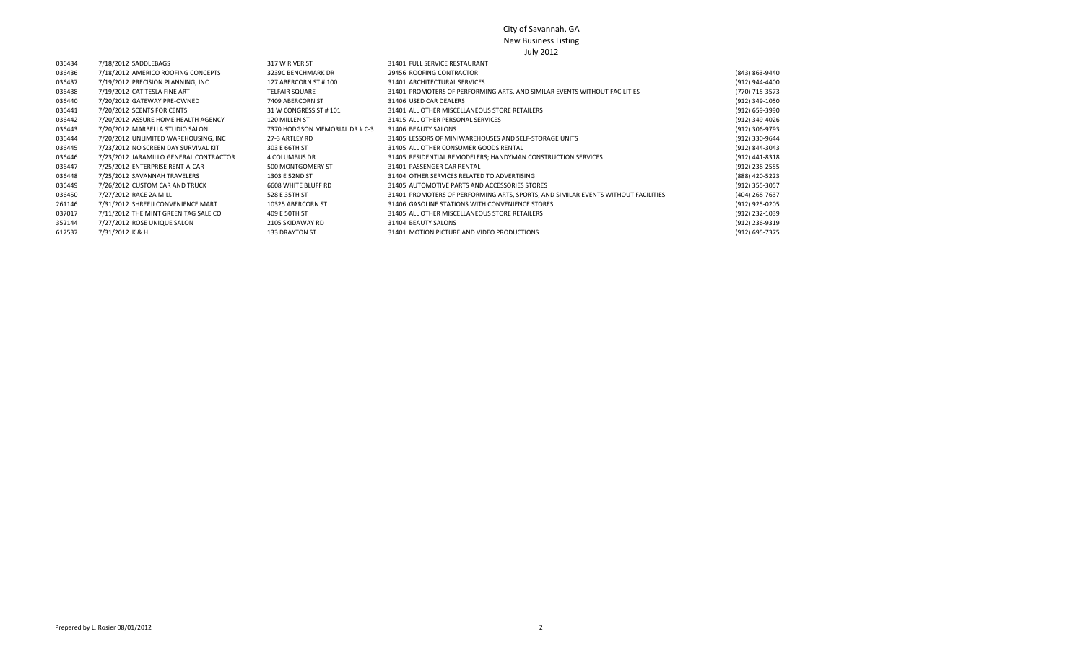# July 2012

| 036434 | 7/18/2012 SADDLEBAGS                   | 317 W RIVER ST                 | 31401 FULL SERVICE RESTAURANT                                                     |                |
|--------|----------------------------------------|--------------------------------|-----------------------------------------------------------------------------------|----------------|
| 036436 | 7/18/2012 AMERICO ROOFING CONCEPTS     | 3239C BENCHMARK DR             | 29456 ROOFING CONTRACTOR                                                          | (843) 863-9440 |
| 036437 | 7/19/2012 PRECISION PLANNING, INC      | 127 ABERCORN ST #100           | 31401 ARCHITECTURAL SERVICES                                                      | (912) 944-4400 |
| 036438 | 7/19/2012 CAT TESLA FINE ART           | <b>TELFAIR SQUARE</b>          | 31401 PROMOTERS OF PERFORMING ARTS, AND SIMILAR EVENTS WITHOUT FACILITIES         | (770) 715-3573 |
| 036440 | 7/20/2012 GATEWAY PRE-OWNED            | 7409 ABERCORN ST               | 31406 USED CAR DEALERS                                                            | (912) 349-1050 |
| 036441 | 7/20/2012 SCENTS FOR CENTS             | 31 W CONGRESS ST #101          | 31401 ALL OTHER MISCELLANEOUS STORE RETAILERS                                     | (912) 659-3990 |
| 036442 | 7/20/2012 ASSURE HOME HEALTH AGENCY    | 120 MILLEN ST                  | 31415 ALL OTHER PERSONAL SERVICES                                                 | (912) 349-4026 |
| 036443 | 7/20/2012 MARBELLA STUDIO SALON        | 7370 HODGSON MEMORIAL DR # C-3 | 31406 BEAUTY SALONS                                                               | (912) 306-9793 |
| 036444 | 7/20/2012 UNLIMITED WAREHOUSING, INC   | 27-3 ARTLEY RD                 | 31405 LESSORS OF MINIWAREHOUSES AND SELF-STORAGE UNITS                            | (912) 330-9644 |
| 036445 | 7/23/2012 NO SCREEN DAY SURVIVAL KIT   | 303 E 66TH ST                  | 31405 ALL OTHER CONSUMER GOODS RENTAL                                             | (912) 844-3043 |
| 036446 | 7/23/2012 JARAMILLO GENERAL CONTRACTOR | 4 COLUMBUS DR                  | 31405 RESIDENTIAL REMODELERS; HANDYMAN CONSTRUCTION SERVICES                      | (912) 441-8318 |
| 036447 | 7/25/2012 ENTERPRISE RENT-A-CAR        | 500 MONTGOMERY ST              | 31401 PASSENGER CAR RENTAL                                                        | (912) 238-2555 |
| 036448 | 7/25/2012 SAVANNAH TRAVELERS           | 1303 E 52ND ST                 | 31404 OTHER SERVICES RELATED TO ADVERTISING                                       | (888) 420-5223 |
| 036449 | 7/26/2012 CUSTOM CAR AND TRUCK         | 6608 WHITE BLUFF RD            | 31405 AUTOMOTIVE PARTS AND ACCESSORIES STORES                                     | (912) 355-3057 |
| 036450 | 7/27/2012 RACE 2A MILL                 | 528 E 35TH ST                  | 31401 PROMOTERS OF PERFORMING ARTS, SPORTS, AND SIMILAR EVENTS WITHOUT FACILITIES | (404) 268-7637 |
| 261146 | 7/31/2012 SHREEJI CONVENIENCE MART     | 10325 ABERCORN ST              | 31406 GASOLINE STATIONS WITH CONVENIENCE STORES                                   | (912) 925-0205 |
| 037017 | 7/11/2012 THE MINT GREEN TAG SALE CO   | 409 E 50TH ST                  | 31405 ALL OTHER MISCELLANEOUS STORE RETAILERS                                     | (912) 232-1039 |
| 352144 | 7/27/2012 ROSE UNIQUE SALON            | 2105 SKIDAWAY RD               | 31404 BEAUTY SALONS                                                               | (912) 236-9319 |
| 617537 | 7/31/2012 K & H                        | <b>133 DRAYTON ST</b>          | 31401 MOTION PICTURE AND VIDEO PRODUCTIONS                                        | (912) 695-7375 |
|        |                                        |                                |                                                                                   |                |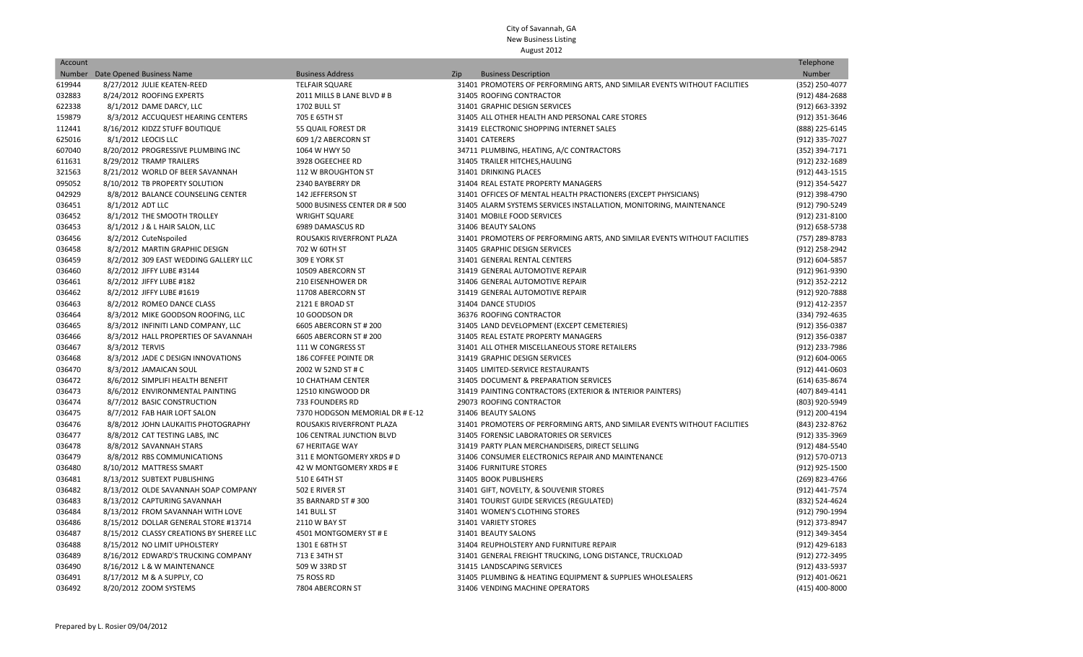## City of Savannah, GA New Business Listing August 2012

| Account |                                          |                                 |                                                                           | Telephone      |
|---------|------------------------------------------|---------------------------------|---------------------------------------------------------------------------|----------------|
|         | Number Date Opened Business Name         | <b>Business Address</b>         | <b>Business Description</b><br>Zip                                        | Number         |
| 619944  | 8/27/2012 JULIE KEATEN-REED              | <b>TELFAIR SQUARE</b>           | 31401 PROMOTERS OF PERFORMING ARTS, AND SIMILAR EVENTS WITHOUT FACILITIES | (352) 250-4077 |
| 032883  | 8/24/2012 ROOFING EXPERTS                | 2011 MILLS B LANE BLVD # B      | 31405 ROOFING CONTRACTOR                                                  | (912) 484-2688 |
| 622338  | 8/1/2012 DAME DARCY, LLC                 | 1702 BULL ST                    | 31401 GRAPHIC DESIGN SERVICES                                             | (912) 663-3392 |
| 159879  | 8/3/2012 ACCUQUEST HEARING CENTERS       | 705 E 65TH ST                   | 31405 ALL OTHER HEALTH AND PERSONAL CARE STORES                           | (912) 351-3646 |
| 112441  | 8/16/2012 KIDZZ STUFF BOUTIQUE           | 55 QUAIL FOREST DR              | 31419 ELECTRONIC SHOPPING INTERNET SALES                                  | (888) 225-6145 |
| 625016  | 8/1/2012 LEOCIS LLC                      | 609 1/2 ABERCORN ST             | 31401 CATERERS                                                            | (912) 335-7027 |
| 607040  | 8/20/2012 PROGRESSIVE PLUMBING INC       | 1064 W HWY 50                   | 34711 PLUMBING, HEATING, A/C CONTRACTORS                                  | (352) 394-7171 |
| 611631  | 8/29/2012 TRAMP TRAILERS                 | 3928 OGEECHEE RD                | 31405 TRAILER HITCHES, HAULING                                            | (912) 232-1689 |
| 321563  | 8/21/2012 WORLD OF BEER SAVANNAH         | 112 W BROUGHTON ST              | 31401 DRINKING PLACES                                                     | (912) 443-1515 |
| 095052  | 8/10/2012 TB PROPERTY SOLUTION           | 2340 BAYBERRY DR                | 31404 REAL ESTATE PROPERTY MANAGERS                                       | (912) 354-5427 |
| 042929  | 8/8/2012 BALANCE COUNSELING CENTER       | <b>142 JEFFERSON ST</b>         | 31401 OFFICES OF MENTAL HEALTH PRACTIONERS (EXCEPT PHYSICIANS)            | (912) 398-4790 |
| 036451  | 8/1/2012 ADT LLC                         | 5000 BUSINESS CENTER DR # 500   | 31405 ALARM SYSTEMS SERVICES INSTALLATION, MONITORING, MAINTENANCE        | (912) 790-5249 |
| 036452  | 8/1/2012 THE SMOOTH TROLLEY              | <b>WRIGHT SQUARE</b>            | 31401 MOBILE FOOD SERVICES                                                | (912) 231-8100 |
| 036453  | 8/1/2012 J & L HAIR SALON, LLC           | 6989 DAMASCUS RD                | 31406 BEAUTY SALONS                                                       | (912) 658-5738 |
| 036456  | 8/2/2012 CuteNspoiled                    | ROUSAKIS RIVERFRONT PLAZA       | 31401 PROMOTERS OF PERFORMING ARTS, AND SIMILAR EVENTS WITHOUT FACILITIES | (757) 289-8783 |
| 036458  | 8/2/2012 MARTIN GRAPHIC DESIGN           | 702 W 60TH ST                   | 31405 GRAPHIC DESIGN SERVICES                                             | (912) 258-2942 |
| 036459  | 8/2/2012 309 EAST WEDDING GALLERY LLC    | 309 E YORK ST                   | 31401 GENERAL RENTAL CENTERS                                              | (912) 604-5857 |
| 036460  | 8/2/2012 JIFFY LUBE #3144                | 10509 ABERCORN ST               | 31419 GENERAL AUTOMOTIVE REPAIR                                           | (912) 961-9390 |
| 036461  | 8/2/2012 JIFFY LUBE #182                 | 210 EISENHOWER DR               | 31406 GENERAL AUTOMOTIVE REPAIR                                           | (912) 352-2212 |
| 036462  | 8/2/2012 JIFFY LUBE #1619                | 11708 ABERCORN ST               | 31419 GENERAL AUTOMOTIVE REPAIR                                           | (912) 920-7888 |
| 036463  | 8/2/2012 ROMEO DANCE CLASS               | 2121 E BROAD ST                 | 31404 DANCE STUDIOS                                                       | (912) 412-2357 |
| 036464  | 8/3/2012 MIKE GOODSON ROOFING, LLC       | 10 GOODSON DR                   | 36376 ROOFING CONTRACTOR                                                  | (334) 792-4635 |
| 036465  | 8/3/2012 INFINITI LAND COMPANY, LLC      | 6605 ABERCORN ST # 200          | 31405 LAND DEVELOPMENT (EXCEPT CEMETERIES)                                | (912) 356-0387 |
| 036466  | 8/3/2012 HALL PROPERTIES OF SAVANNAH     | 6605 ABERCORN ST # 200          | 31405 REAL ESTATE PROPERTY MANAGERS                                       | (912) 356-0387 |
| 036467  | 8/3/2012 TERVIS                          | 111 W CONGRESS ST               | 31401 ALL OTHER MISCELLANEOUS STORE RETAILERS                             | (912) 233-7986 |
| 036468  | 8/3/2012 JADE C DESIGN INNOVATIONS       | 186 COFFEE POINTE DR            | 31419 GRAPHIC DESIGN SERVICES                                             | (912) 604-0065 |
| 036470  | 8/3/2012 JAMAICAN SOUL                   | 2002 W 52ND ST # C              | 31405 LIMITED-SERVICE RESTAURANTS                                         | (912) 441-0603 |
| 036472  | 8/6/2012 SIMPLIFI HEALTH BENEFIT         | <b>10 CHATHAM CENTER</b>        | 31405 DOCUMENT & PREPARATION SERVICES                                     | (614) 635-8674 |
| 036473  | 8/6/2012 ENVIRONMENTAL PAINTING          | 12510 KINGWOOD DR               | 31419 PAINTING CONTRACTORS (EXTERIOR & INTERIOR PAINTERS)                 | (407) 849-4141 |
| 036474  | 8/7/2012 BASIC CONSTRUCTION              | 733 FOUNDERS RD                 | 29073 ROOFING CONTRACTOR                                                  | (803) 920-5949 |
| 036475  | 8/7/2012 FAB HAIR LOFT SALON             | 7370 HODGSON MEMORIAL DR # E-12 | 31406 BEAUTY SALONS                                                       | (912) 200-4194 |
| 036476  | 8/8/2012 JOHN LAUKAITIS PHOTOGRAPHY      | ROUSAKIS RIVERFRONT PLAZA       | 31401 PROMOTERS OF PERFORMING ARTS, AND SIMILAR EVENTS WITHOUT FACILITIES | (843) 232-8762 |
| 036477  | 8/8/2012 CAT TESTING LABS, INC           | 106 CENTRAL JUNCTION BLVD       | 31405 FORENSIC LABORATORIES OR SERVICES                                   | (912) 335-3969 |
| 036478  | 8/8/2012 SAVANNAH STARS                  | 67 HERITAGE WAY                 | 31419 PARTY PLAN MERCHANDISERS, DIRECT SELLING                            | (912) 484-5540 |
| 036479  | 8/8/2012 RBS COMMUNICATIONS              | 311 E MONTGOMERY XRDS # D       | 31406 CONSUMER ELECTRONICS REPAIR AND MAINTENANCE                         | (912) 570-0713 |
| 036480  | 8/10/2012 MATTRESS SMART                 | 42 W MONTGOMERY XRDS # E        | 31406 FURNITURE STORES                                                    | (912) 925-1500 |
| 036481  | 8/13/2012 SUBTEXT PUBLISHING             | 510 E 64TH ST                   | 31405 BOOK PUBLISHERS                                                     | (269) 823-4766 |
| 036482  | 8/13/2012 OLDE SAVANNAH SOAP COMPANY     | 502 E RIVER ST                  | 31401 GIFT, NOVELTY, & SOUVENIR STORES                                    | (912) 441-7574 |
| 036483  | 8/13/2012 CAPTURING SAVANNAH             | 35 BARNARD ST #300              | 31401 TOURIST GUIDE SERVICES (REGULATED)                                  | (832) 524-4624 |
| 036484  | 8/13/2012 FROM SAVANNAH WITH LOVE        | 141 BULL ST                     | 31401 WOMEN'S CLOTHING STORES                                             | (912) 790-1994 |
| 036486  | 8/15/2012 DOLLAR GENERAL STORE #13714    | 2110 W BAY ST                   | 31401 VARIETY STORES                                                      | (912) 373-8947 |
| 036487  | 8/15/2012 CLASSY CREATIONS BY SHEREE LLC | 4501 MONTGOMERY ST # E          | 31401 BEAUTY SALONS                                                       | (912) 349-3454 |
| 036488  | 8/15/2012 NO LIMIT UPHOLSTERY            | 1301 E 68TH ST                  | 31404 REUPHOLSTERY AND FURNITURE REPAIR                                   | (912) 429-6183 |
| 036489  | 8/16/2012 EDWARD'S TRUCKING COMPANY      | 713 E 34TH ST                   | 31401 GENERAL FREIGHT TRUCKING, LONG DISTANCE, TRUCKLOAD                  | (912) 272-3495 |
| 036490  | 8/16/2012 L & W MAINTENANCE              | 509 W 33RD ST                   | 31415 LANDSCAPING SERVICES                                                | (912) 433-5937 |
| 036491  | 8/17/2012 M & A SUPPLY, CO               | 75 ROSS RD                      | 31405 PLUMBING & HEATING EQUIPMENT & SUPPLIES WHOLESALERS                 | (912) 401-0621 |
| 036492  | 8/20/2012 ZOOM SYSTEMS                   | 7804 ABERCORN ST                | 31406 VENDING MACHINE OPERATORS                                           | (415) 400-8000 |